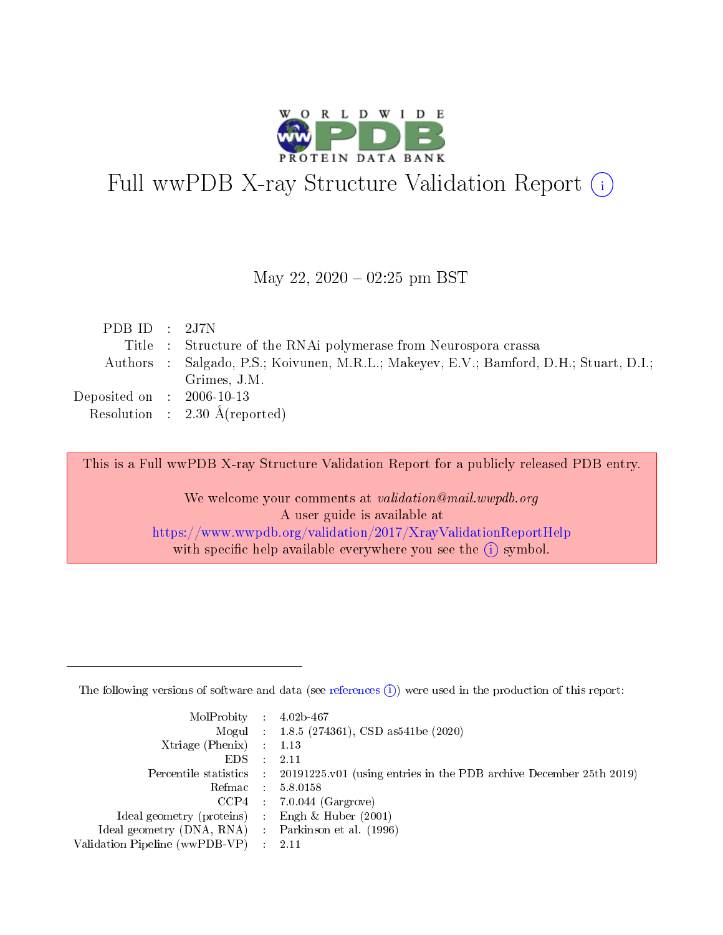

# Full wwPDB X-ray Structure Validation Report (i)

#### May 22,  $2020 - 02:25$  pm BST

| PDB ID : $2J7N$             |                                                                                        |
|-----------------------------|----------------------------------------------------------------------------------------|
|                             | Title : Structure of the RNAi polymerase from Neurospora crassa                        |
|                             | Authors : Salgado, P.S.; Koivunen, M.R.L.; Makeyev, E.V.; Bamford, D.H.; Stuart, D.I.; |
|                             | Grimes, J.M.                                                                           |
| Deposited on : $2006-10-13$ |                                                                                        |
|                             | Resolution : $2.30 \text{ Å}$ (reported)                                               |
|                             |                                                                                        |

This is a Full wwPDB X-ray Structure Validation Report for a publicly released PDB entry.

We welcome your comments at validation@mail.wwpdb.org A user guide is available at <https://www.wwpdb.org/validation/2017/XrayValidationReportHelp> with specific help available everywhere you see the  $(i)$  symbol.

The following versions of software and data (see [references](https://www.wwpdb.org/validation/2017/XrayValidationReportHelp#references)  $(1)$ ) were used in the production of this report:

| $MolProbability$ : 4.02b-467                      |                              |                                                                                            |
|---------------------------------------------------|------------------------------|--------------------------------------------------------------------------------------------|
|                                                   |                              | Mogul : $1.8.5$ (274361), CSD as 541be (2020)                                              |
| Xtriage (Phenix) $: 1.13$                         |                              |                                                                                            |
| EDS –                                             | $\sim$                       | -2.11                                                                                      |
|                                                   |                              | Percentile statistics : 20191225.v01 (using entries in the PDB archive December 25th 2019) |
| Refmac : 5.8.0158                                 |                              |                                                                                            |
| CCP4                                              |                              | $7.0.044$ (Gargrove)                                                                       |
| Ideal geometry (proteins)                         | $\mathcal{L}_{\mathrm{eff}}$ | Engh & Huber $(2001)$                                                                      |
| Ideal geometry (DNA, RNA) Parkinson et al. (1996) |                              |                                                                                            |
| Validation Pipeline (wwPDB-VP) : 2.11             |                              |                                                                                            |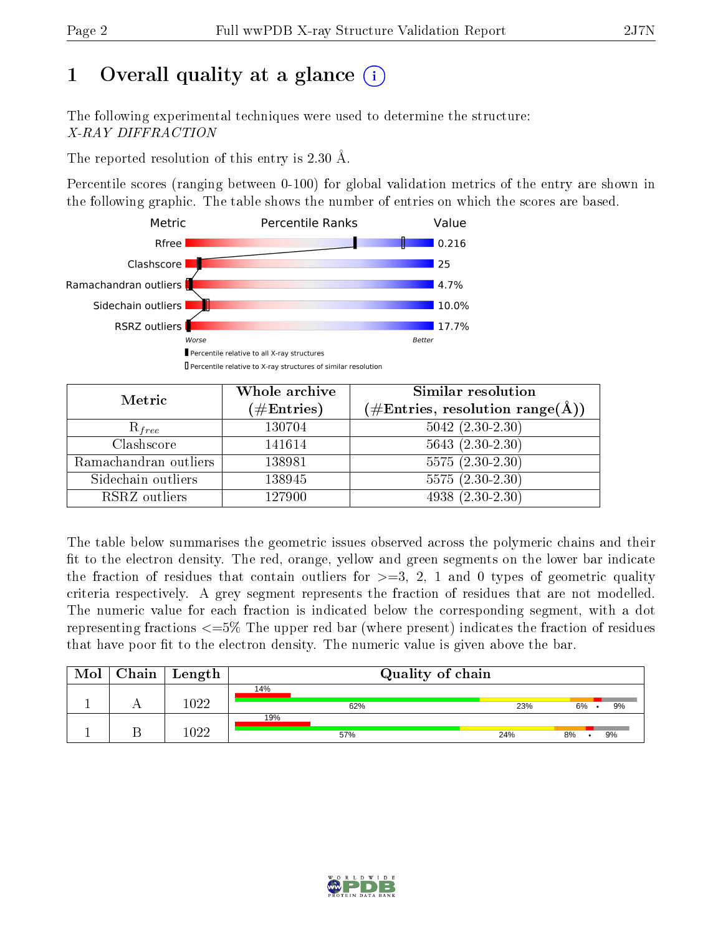## 1 [O](https://www.wwpdb.org/validation/2017/XrayValidationReportHelp#overall_quality)verall quality at a glance  $(i)$

The following experimental techniques were used to determine the structure: X-RAY DIFFRACTION

The reported resolution of this entry is 2.30 Å.

Percentile scores (ranging between 0-100) for global validation metrics of the entry are shown in the following graphic. The table shows the number of entries on which the scores are based.



| Metric                | Whole archive<br>$(\#\mathrm{Entries})$ | Similar resolution<br>$(\#\text{Entries},\, \text{resolution}\; \text{range}(\textup{\AA}))$ |
|-----------------------|-----------------------------------------|----------------------------------------------------------------------------------------------|
| $R_{free}$            | 130704                                  | $5042$ $(2.30-2.30)$                                                                         |
| Clashscore            | 141614                                  | $5643(2.30-2.30)$                                                                            |
| Ramachandran outliers | 138981                                  | $5575(2.30-2.30)$                                                                            |
| Sidechain outliers    | 138945                                  | $5575(2.30-2.30)$                                                                            |
| RSRZ outliers         | 127900                                  | $4938(2.30-2.30)$                                                                            |

The table below summarises the geometric issues observed across the polymeric chains and their fit to the electron density. The red, orange, yellow and green segments on the lower bar indicate the fraction of residues that contain outliers for  $>=3, 2, 1$  and 0 types of geometric quality criteria respectively. A grey segment represents the fraction of residues that are not modelled. The numeric value for each fraction is indicated below the corresponding segment, with a dot representing fractions  $\epsilon=5\%$  The upper red bar (where present) indicates the fraction of residues that have poor fit to the electron density. The numeric value is given above the bar.

| Mol | $Chain \,  $ | Length |     |     | Quality of chain |     |    |    |
|-----|--------------|--------|-----|-----|------------------|-----|----|----|
|     |              |        | 14% |     |                  |     |    |    |
|     |              | 1022   |     | 62% |                  | 23% | 6% | 9% |
|     |              |        | 19% |     |                  |     |    |    |
|     |              | 1099   |     | 57% |                  | 24% | 8% | 9% |

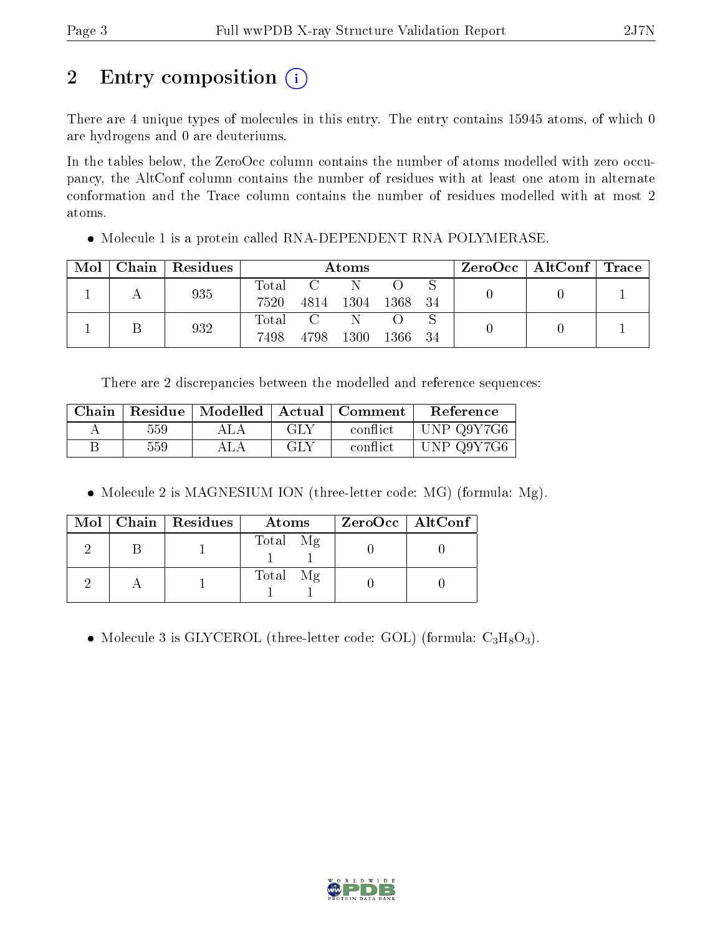## 2 Entry composition  $\left( \cdot \right)$

There are 4 unique types of molecules in this entry. The entry contains 15945 atoms, of which 0 are hydrogens and 0 are deuteriums.

In the tables below, the ZeroOcc column contains the number of atoms modelled with zero occupancy, the AltConf column contains the number of residues with at least one atom in alternate conformation and the Trace column contains the number of residues modelled with at most 2 atoms.

• Molecule 1 is a protein called RNA-DEPENDENT RNA POLYMERASE.

| Mol | Chain | Residues | Atoms                                                |                        |        |      | $ZeroOcc \   \ AltConf \   \ Trace \  $ |  |  |
|-----|-------|----------|------------------------------------------------------|------------------------|--------|------|-----------------------------------------|--|--|
|     |       | 935      | Total<br>7520                                        | $\overline{C}$<br>4814 | - 1304 | 1368 | -34                                     |  |  |
|     |       | 932      | $\begin{matrix} \text{Total} \end{matrix}$ C<br>7498 | 4798                   | 1300   | 1366 | 34                                      |  |  |

There are 2 discrepancies between the modelled and reference sequences:

|     |     | Chain   Residue   Modelled   Actual   Comment | Reference  |
|-----|-----|-----------------------------------------------|------------|
| 559 | GLY | conflict                                      | UNP Q9Y7G6 |
| 559 | GLY | conflict                                      | UNP Q9Y7G6 |

• Molecule 2 is MAGNESIUM ION (three-letter code: MG) (formula: Mg).

|  | Mol   Chain   Residues | Atoms    | $ZeroOcc \   \ AltConf$ |
|--|------------------------|----------|-------------------------|
|  |                        | Total Mg |                         |
|  |                        | Total Mg |                         |

• Molecule 3 is GLYCEROL (three-letter code: GOL) (formula:  $C_3H_8O_3$ ).

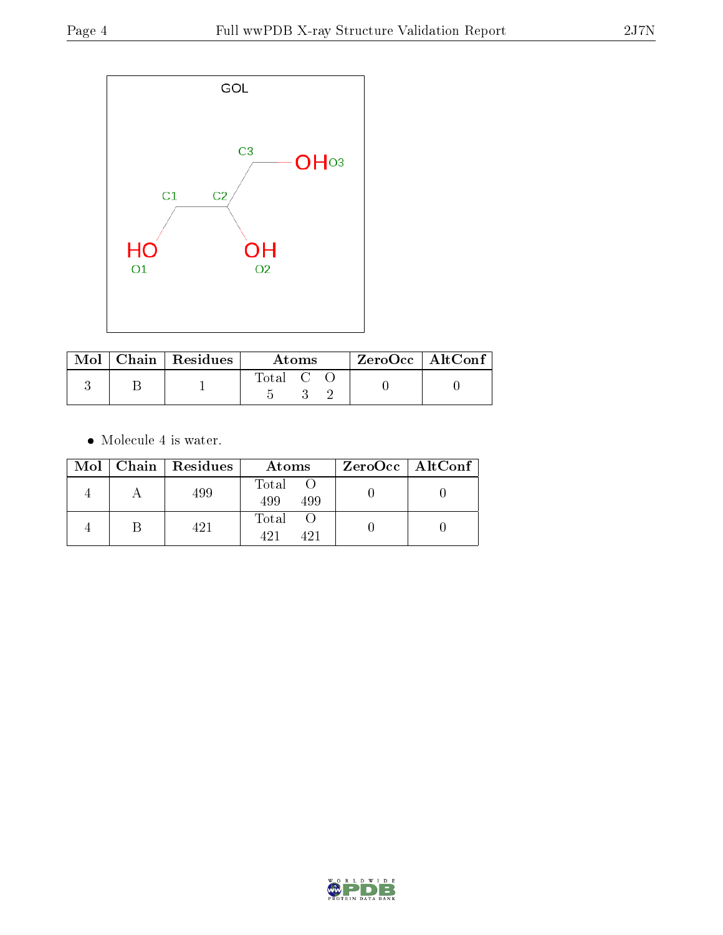

|  | Mol   Chain   Residues | Atoms     |  |  | $\rm ZeroOcc \mid AltConf$ |  |
|--|------------------------|-----------|--|--|----------------------------|--|
|  |                        | Total C C |  |  |                            |  |

 $\bullet\,$  Molecule 4 is water.

|  | Mol   Chain   Residues | Atoms               | $ZeroOcc \   \ AltConf \  $ |
|--|------------------------|---------------------|-----------------------------|
|  | 499                    | Total<br>499<br>499 |                             |
|  | 421                    | Total<br>491        |                             |

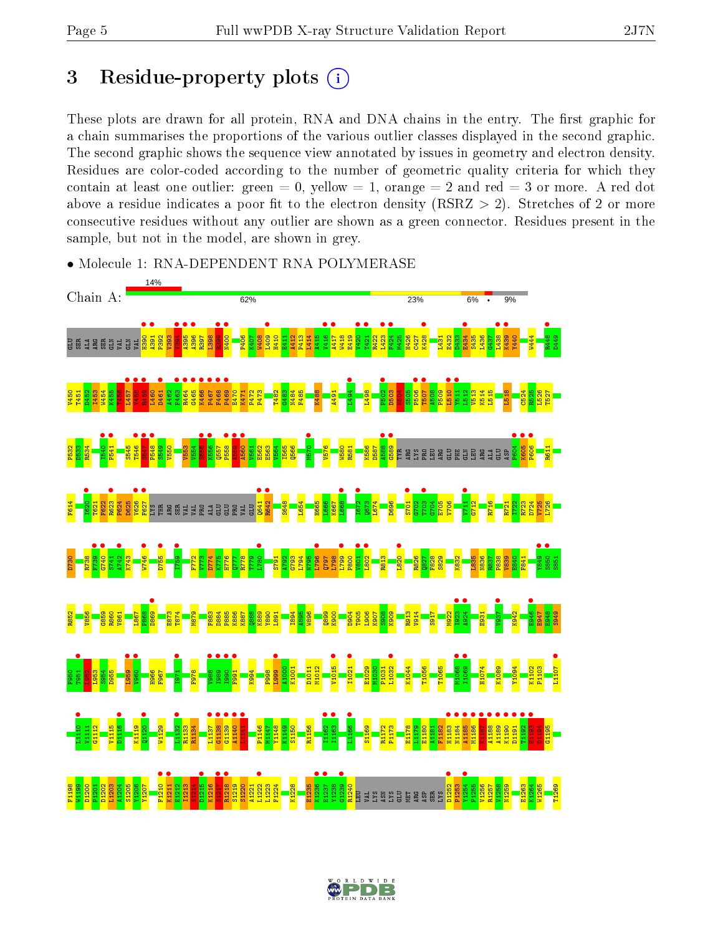## 3 Residue-property plots  $(i)$

These plots are drawn for all protein, RNA and DNA chains in the entry. The first graphic for a chain summarises the proportions of the various outlier classes displayed in the second graphic. The second graphic shows the sequence view annotated by issues in geometry and electron density. Residues are color-coded according to the number of geometric quality criteria for which they contain at least one outlier: green  $= 0$ , yellow  $= 1$ , orange  $= 2$  and red  $= 3$  or more. A red dot above a residue indicates a poor fit to the electron density (RSRZ  $> 2$ ). Stretches of 2 or more consecutive residues without any outlier are shown as a green connector. Residues present in the sample, but not in the model, are shown in grey.



• Molecule 1: RNA-DEPENDENT RNA POLYMERASE

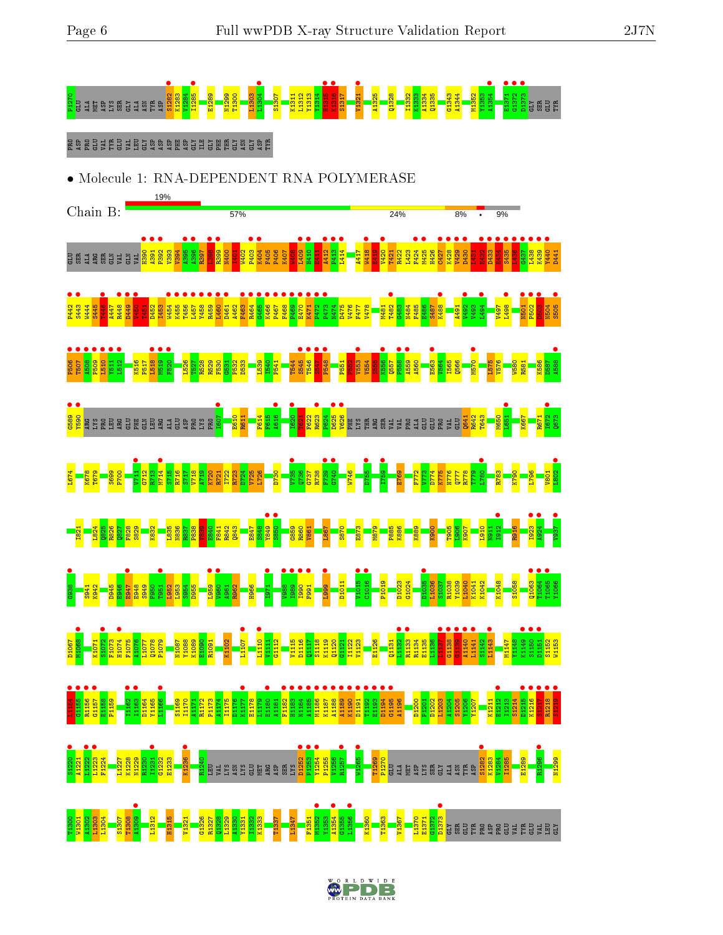

**•**<br>889<br>2590<br>2590 LA SPERIS E SPERIS ARGI PRO I607 • E610 R611 F614 F615 **A616** I620 • T621 F622 R623 • P624 **• •**<br>88<br>28 •<br>28 • PHE PROGRAM – PROGRAM – PROGRAM – PROGRAM – PROGRAM – PROGRAM – PROGRAM – PROGRAM – PROGRAM – PROGRAM – Q641 R642 T643 M650 L651 • K667 R671  $\frac{1672}{1673}$ Q673 L674 K678 T679 S699 P700  $\frac{11}{211}$ G712 R713  $\frac{6}{1715}$ S715 R716 S717 V718 A719 K720 R721 I722 R723 D724 V725 L726 D730  $V735$  •  $\frac{36}{10}$ G737 R738  $\frac{6}{5}$  $-6473$ W746 D755 **• •** 65/1 E769 F772 V773 D774 K775 H776 Q777 R778 T779  $\bullet$   $\bullet$   $\bullet$   $\bullet$ R783 K790 L796 V801  $\frac{1802}{ }$ I821 L824 Q825 R826 Q827 F828 S829 K832 L835 N836 R837 P838  $\frac{83}{2}$ E840 F841 R842 Q843 E847 S848  $\frac{949}{1050}$ **•** 9385 G859 R860 V861 L867 S870 E873 M879 P885 K886 K889 K900 T905  $\frac{8}{10}$ K907 L910 N911 **•**<br>1912 R916 I923 • **a**924 **•** 1864 **•**<br>G938 • S941 K942 D945 E946 E947 • E948 S949 F950 T951 • L952 L953 S954 D955 L959 •  $\bullet$   $\bullet$   $\bullet$ A961 R962 H966 **1971**  $\frac{1}{2}$ I989 • ■<br>-<br>न<br>न<br>न F991 • **•** 6661 D1011 V1015 **•** C<sub>1016</sub> P1019 D1023 G1024 D1035 •<br>Linas L1036 S1037 R1038 Y1039 L1040 K1041 K1042 K1048 S1058  $\frac{1063}{\frac{1062}{2}}$ T1064 • T1065 •<br>v:nces Y1066

D1067 **\*1068** K1071  $\frac{1072}{\frac{1072}{2}}$ F1073  $\frac{1074}{51075}$ F1075 A1076 L1077 Q1078 P1079 N1087 Y1088 K1089 E1090 R1091 K1102  $\begin{array}{|c|c|}\n\hline\n\hline\n\hline\n\hline\n\end{array}$ L1110 •<br>"H111 V1111  $\frac{1112}{1}$ V1115 D1116 Q1117 S1118 K1119 Q1120 G1121 I1122 V1123 E1126 Q1131 L1132<br><sup>D1132</sup> **R1133** • R1134 E1135 L1136 e<br>List<br>List G1138 China<br>Bara A1140 •  $\frac{11141}{1142}$ S1142 L<sub>1143</sub> M1147 Y1148 K1149 • S1150 • D1151 • S1152 W1153

L1154<br>CHEF C1155 •<br>B1156 • **R1156** •<br>atter G1157 • E1158 P1159 I1162 • **11163** D1164 Y1165 L<sub>1166</sub> • S1169 I1170 A1171 R1172 P1173 A1174 I1175 D1176  $\frac{624177}{241720}$ E1178 L1179 E1180 • A1181 F1182 • H1183 • N1184 • A1185 • M1186 • K1187 • A1188 • A1189 • K1190 • D1191 • T1192 • E1193 • D1194 • G1195 • A1196 D1200 P1201 D1202 L1203 A1204 S1205 Y1206 Y1207 K1211 E1212 • I1213 S1214 D1215 •<br>01216 • **K1216** S1217 • **R1218** S1219 • **S**<br>31220 A1221  $\frac{11222}{11022}$  $\frac{11223}{\cdot}$ F1224 L1227 K1228 N1229 R1230 **1**<br>11231 G1232 E1233 K1236 • <mark>ង</mark><br>ក្នុម និងខ្លួន មិន មិន មិន<br>ក្នុម និង មិន មិន មិន D1252 • P1253 Y1254 ●<br><sub>P10EE</sub> P1255 V1256 R1257 W<sub>1265</sub> T1269 <mark>ន្</mark>ត<br>ក្នុង ម្នាំ និង ម្លី ទី ក្នុង ម្តី<br>ត្រូវ ASP S1282 • K1283 V1284 I1285 E1289 R1296 • N1299

T1300 W1301 A1302 L1304<br>L1304 S1307 T1308 **•** 60STA L1312 H1315 V1321 G1326 R1327 Q1328 L1329 A1330 Y1331 I1332 K1333 T1337 L1347 F1351 M1352 • Y1353  $\frac{1354}{11355}$ G1355 L1356 • K1360 T1363 V1367 L1370 E1371 G1372 **e**<br><mark>2</mark><br>Blasses ar Belensen

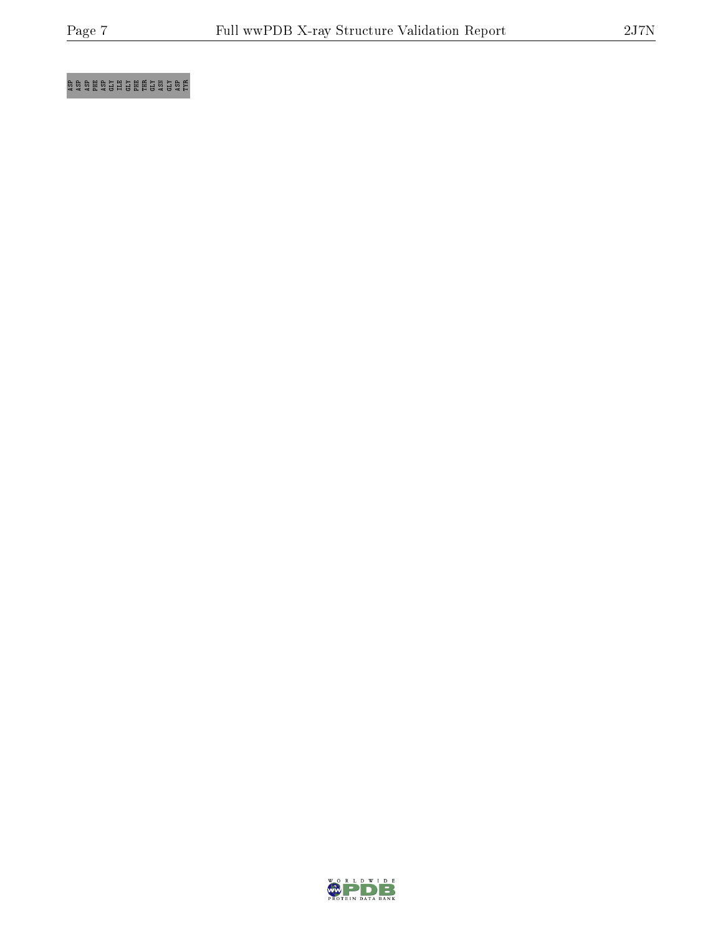### $\frac{1}{2}$  as phenomenology  $\frac{1}{2}$

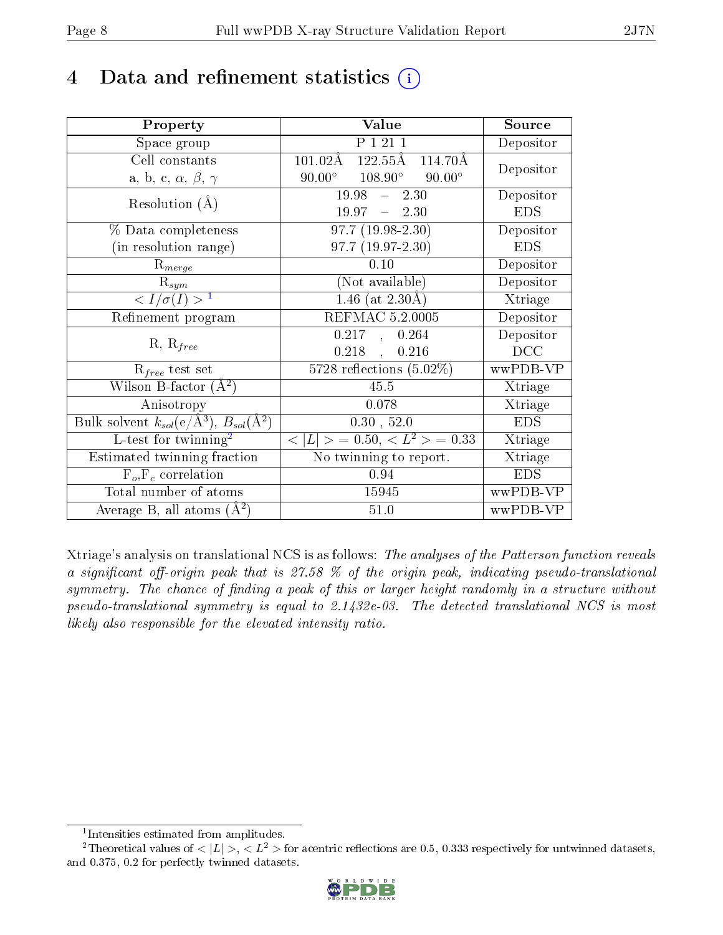## 4 Data and refinement statistics  $(i)$

| Property                                                         | Value                                                          | Source     |
|------------------------------------------------------------------|----------------------------------------------------------------|------------|
| Space group                                                      | P 1 21 1                                                       | Depositor  |
| Cell constants                                                   | $122.55\text{\AA}$<br>$101.02\text{\AA}$<br>$114.70\text{\AA}$ | Depositor  |
| a, b, c, $\alpha$ , $\beta$ , $\gamma$                           | $90.00^{\circ}$ $108.90^{\circ}$<br>$90.00^\circ$              |            |
| Resolution $(A)$                                                 | $19.98 - 2.30$                                                 | Depositor  |
|                                                                  | $19.97 - 2.30$                                                 | <b>EDS</b> |
| % Data completeness                                              | $\overline{97.7 (19.98-2.30)}$                                 | Depositor  |
| (in resolution range)                                            | $97.7(19.97-2.30)$                                             | <b>EDS</b> |
| $R_{merge}$                                                      | 0.10                                                           | Depositor  |
| $\mathrm{R}_{sym}$                                               | (Not available)                                                | Depositor  |
| $\langle I/\sigma(I) \rangle^{-1}$                               | 1.46 (at $2.30\text{\AA}$ )                                    | Xtriage    |
| Refinement program                                               | <b>REFMAC 5.2.0005</b>                                         | Depositor  |
| $R, R_{free}$                                                    | $0.217$ , $0.264$                                              | Depositor  |
|                                                                  | $0.218$ ,<br>0.216                                             | DCC        |
| $\mathcal{R}_{free}$ test set                                    | $\overline{5728}$ reflections $(5.02\%)$                       | wwPDB-VP   |
| Wilson B-factor $(A^2)$                                          | 45.5                                                           | Xtriage    |
| Anisotropy                                                       | 0.078                                                          | Xtriage    |
| Bulk solvent $k_{sol}(\text{e}/\text{A}^3), B_{sol}(\text{A}^2)$ | 0.30, 52.0                                                     | <b>EDS</b> |
| L-test for $\mathrm{twinning}^2$                                 | $< L >$ = 0.50, $< L^2 >$ = 0.33                               | Xtriage    |
| Estimated twinning fraction                                      | $\overline{\text{No}}$ twinning to report.                     | Xtriage    |
| $\overline{F_o}, \overline{F_c}$ correlation                     | 0.94                                                           | <b>EDS</b> |
| Total number of atoms                                            | 15945                                                          | wwPDB-VP   |
| Average B, all atoms $(A^2)$                                     | 51.0                                                           | wwPDB-VP   |

Xtriage's analysis on translational NCS is as follows: The analyses of the Patterson function reveals a significant off-origin peak that is  $27.58\%$  of the origin peak, indicating pseudo-translational symmetry. The chance of finding a peak of this or larger height randomly in a structure without pseudo-translational symmetry is equal to 2.1432e-03. The detected translational NCS is most likely also responsible for the elevated intensity ratio.

<sup>&</sup>lt;sup>2</sup>Theoretical values of  $\langle |L| \rangle$ ,  $\langle L^2 \rangle$  for acentric reflections are 0.5, 0.333 respectively for untwinned datasets, and 0.375, 0.2 for perfectly twinned datasets.



<span id="page-7-1"></span><span id="page-7-0"></span><sup>1</sup> Intensities estimated from amplitudes.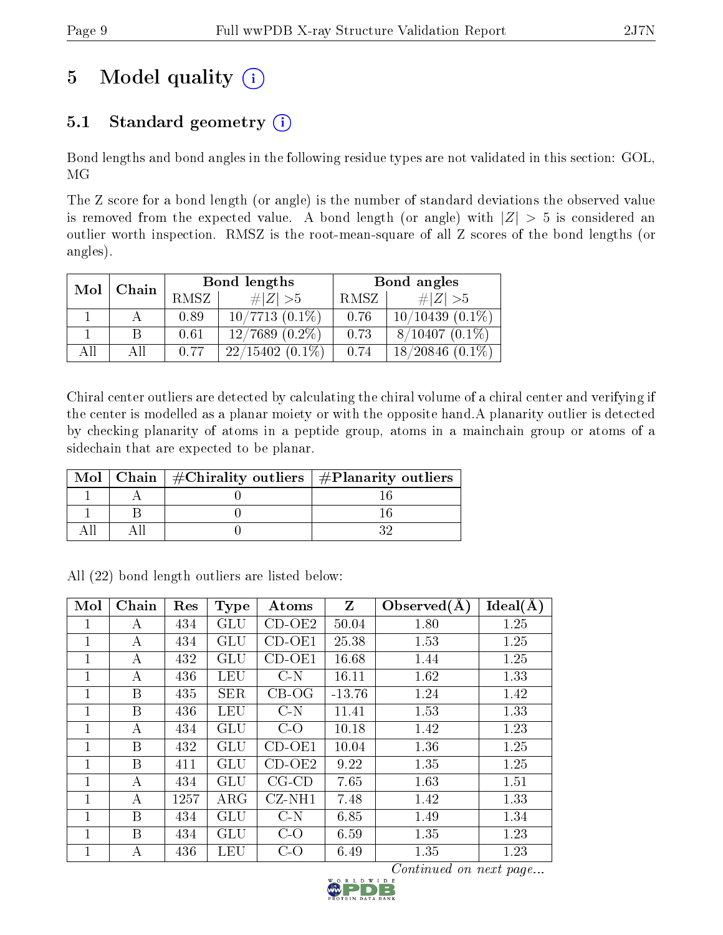## 5 Model quality  $(i)$

### 5.1 Standard geometry  $(i)$

Bond lengths and bond angles in the following residue types are not validated in this section: GOL, MG

The Z score for a bond length (or angle) is the number of standard deviations the observed value is removed from the expected value. A bond length (or angle) with  $|Z| > 5$  is considered an outlier worth inspection. RMSZ is the root-mean-square of all Z scores of the bond lengths (or angles).

| Mol | Chain |             | Bond lengths        | Bond angles |                       |  |
|-----|-------|-------------|---------------------|-------------|-----------------------|--|
|     |       | <b>RMSZ</b> | $\# Z  > 5$         | RMSZ        | $\ Z\  > 5$           |  |
|     |       | 0.89        | $10/7713$ $(0.1\%)$ | 0.76        | $10/10439(0.1\%)$     |  |
|     | В     | 0.61        | $12/7689(0.2\%)$    | 0.73        | $8/10407(0.1\%)$      |  |
| All | All   | 0.77        | $22/15402(0.1\%)$   | 0.74        | 18/20846<br>$(0.1\%)$ |  |

Chiral center outliers are detected by calculating the chiral volume of a chiral center and verifying if the center is modelled as a planar moiety or with the opposite hand.A planarity outlier is detected by checking planarity of atoms in a peptide group, atoms in a mainchain group or atoms of a sidechain that are expected to be planar.

|  | Mol   Chain   $\#\text{Chirality outliers}$   $\#\text{Planarity outliers}$ |
|--|-----------------------------------------------------------------------------|
|  |                                                                             |
|  |                                                                             |
|  |                                                                             |

All (22) bond length outliers are listed below:

| Mol            | Chain | Res  | Type       | Atoms       | $Z_{\rm}$ | Observed $(A)$ | Ideal(A) |
|----------------|-------|------|------------|-------------|-----------|----------------|----------|
| 1              | А     | 434  | GLU        | $CD-OE2$    | 50.04     | 1.80           | 1.25     |
| 1              | А     | 434  | GLU        | $CD-OE1$    | 25.38     | 1.53           | 1.25     |
| 1              | А     | 432  | GLU        | $CD-OE1$    | 16.68     | 1.44           | 1.25     |
| 1              | А     | 436  | LEU        | $C-N$       | 16.11     | 1.62           | 1.33     |
| 1              | B     | 435  | <b>SER</b> | $CB-OG$     | $-13.76$  | 1.24           | 1.42     |
| $\overline{1}$ | B     | 436  | LEU        | $C-N$       | 11.41     | 1.53           | 1.33     |
| 1              | А     | 434  | GLU        | $C-O$       | 10.18     | 1.42           | 1.23     |
| 1              | B     | 432  | GLU        | $CD-OE1$    | 10.04     | 1.36           | 1.25     |
| $\overline{1}$ | B     | 411  | GLU        | $CD-OE2$    | 9.22      | 1.35           | 1.25     |
| $\overline{1}$ | А     | 434  | GLU        | $CG$ - $CD$ | 7.65      | 1.63           | 1.51     |
| 1              | A     | 1257 | $\rm{ARG}$ | $CZ-NH1$    | 7.48      | 1.42           | 1.33     |
| 1              | B     | 434  | GLU        | $C-N$       | 6.85      | 1.49           | 1.34     |
| 1              | B     | 434  | GLU        | $C-O$       | 6.59      | 1.35           | 1.23     |
| 1              | А     | 436  | LEU        | $C-O$       | 6.49      | 1.35           | 1.23     |

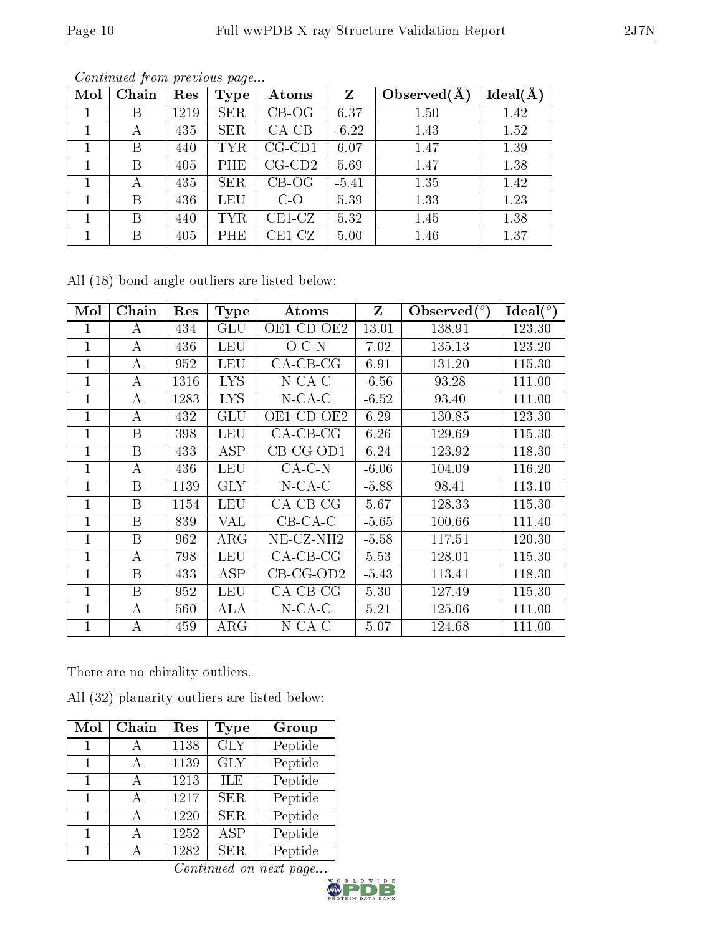|--|--|

| Mol | Chain | Res  | <b>Type</b> | Atoms                    | Z       | Observed $(A$ | Ideal(A |
|-----|-------|------|-------------|--------------------------|---------|---------------|---------|
|     | Β     | 1219 | <b>SER</b>  | $CB-OG$                  | 6.37    | 1.50          | 1.42    |
|     | А     | 435  | <b>SER</b>  | $CA-CB$                  | $-6.22$ | 1.43          | 1.52    |
|     | Β     | 440  | <b>TYR</b>  | $CG\text{-}\mathrm{CD1}$ | 6.07    | 1.47          | 1.39    |
|     | B     | 405  | PHE         | $CG\text{-}CD2$          | 5.69    | 1.47          | 1.38    |
|     | А     | 435  | <b>SER</b>  | $CB-OG$                  | $-5.41$ | 1.35          | 1.42    |
|     | В     | 436  | <b>LEU</b>  | $C-O$                    | 5.39    | 1.33          | 1.23    |
|     | B     | 440  | <b>TYR</b>  | $CE1-CZ$                 | 5.32    | 1.45          | 1.38    |
|     | В     | 405  | PHE         | $\operatorname{CE1-CZ}$  | 5.00    | 1.46          | 1.37    |

All (18) bond angle outliers are listed below:

| Mol            | Chain | Res  | <b>Type</b> | Atoms                 | $Z_{\rm}$ | Observed $(°)$ | Ideal( $\overline{^{\circ}}$ ) |
|----------------|-------|------|-------------|-----------------------|-----------|----------------|--------------------------------|
| 1              | А     | 434  | GLU         | OE1-CD-OE2            | 13.01     | 138.91         | 123.30                         |
| 1              | А     | 436  | <b>LEU</b>  | $O-C-N$               | 7.02      | 135.13         | 123.20                         |
| 1              | A     | 952  | LEU         | $CA$ -CB-CG           | 6.91      | 131.20         | 115.30                         |
| 1              | А     | 1316 | <b>LYS</b>  | $N$ -CA-C             | $-6.56$   | 93.28          | 111.00                         |
| 1              | A     | 1283 | <b>LYS</b>  | $N$ -CA-C             | $-6.52$   | 93.40          | 111.00                         |
| 1              | А     | 432  | GLU         | OE1-CD-OE2            | 6.29      | 130.85         | 123.30                         |
| 1              | B     | 398  | LEU         | $CA-CB-CG$            | 6.26      | 129.69         | 115.30                         |
| 1              | B     | 433  | ASP         | $CB-CG-OD1$           | 6.24      | 123.92         | 118.30                         |
|                | А     | 436  | LEU         | $CA-C-N$              | $-6.06$   | 104.09         | 116.20                         |
| $\mathbf{1}$   | B     | 1139 | <b>GLY</b>  | $N$ -CA-C             | $-5.88$   | 98.41          | 113.10                         |
| 1              | B     | 1154 | LEU         | $CA-CB-CG$            | 5.67      | 128.33         | 115.30                         |
| $\mathbf 1$    | B     | 839  | VAL         | $CB-CA-C$             | $-5.65$   | 100.66         | 111.40                         |
| $\overline{1}$ | B     | 962  | $\rm{ARG}$  | NE-CZ-NH <sub>2</sub> | $-5.58$   | 117.51         | 120.30                         |
| 1              | А     | 798  | LEU         | $CA-CB-CG$            | 5.53      | 128.01         | 115.30                         |
| 1              | B     | 433  | ASP         | $CB-CG-OD2$           | $-5.43$   | 113.41         | 118.30                         |
| 1              | B     | 952  | LEU         | $CA$ -CB-CG           | 5.30      | 127.49         | 115.30                         |
| $\overline{1}$ | А     | 560  | ALA         | $N$ -CA-C             | 5.21      | 125.06         | 111.00                         |
| 1              | А     | 459  | $\rm{ARG}$  | $N$ -CA-C             | 5.07      | 124.68         | 111.00                         |

There are no chirality outliers.

All (32) planarity outliers are listed below:

| Mol | Chain        | Res  | Type       | Group   |
|-----|--------------|------|------------|---------|
| 1   |              | 1138 | <b>GLY</b> | Peptide |
| 1   | А            | 1139 | <b>GLY</b> | Peptide |
| 1   | А            | 1213 | ILE        | Peptide |
| 1   | $\mathsf{A}$ | 1217 | <b>SER</b> | Peptide |
| 1   |              | 1220 | <b>SER</b> | Peptide |
| 1   |              | 1252 | <b>ASP</b> | Peptide |
|     |              | 1282 | <b>SER</b> | Peptide |

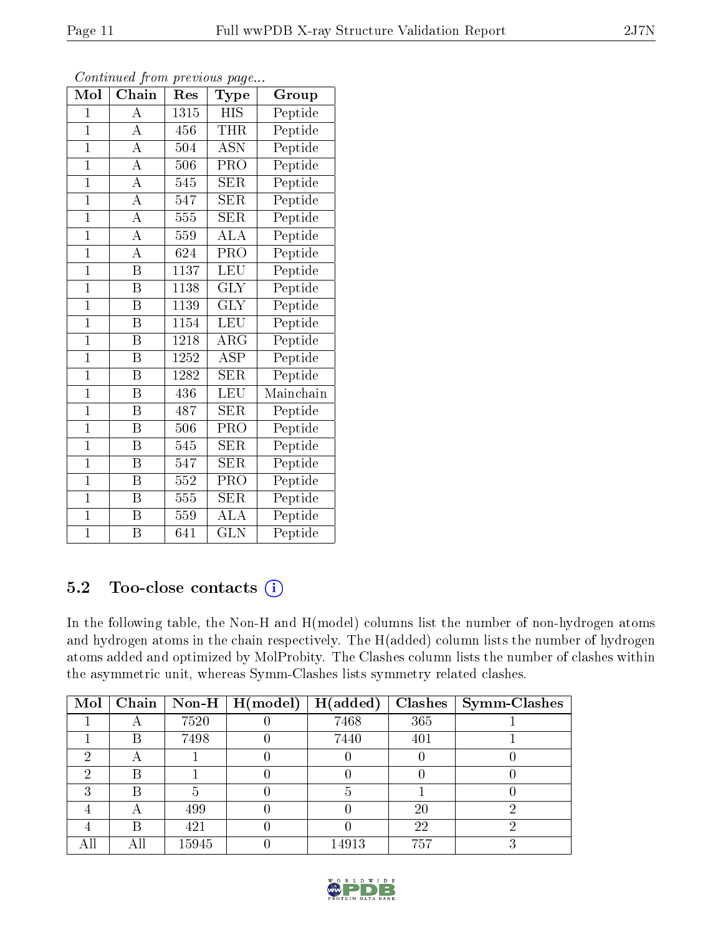| $\mathbf{1}$ |   | 547  | <b>SER</b> | Peptide |
|--------------|---|------|------------|---------|
| 1            |   | 555  | <b>SER</b> | Peptide |
| 1            |   | 559  | ALA        | Peptide |
| $\mathbf{1}$ | А | 624  | <b>PRO</b> | Peptide |
| $\mathbf{1}$ | В | 1137 | <b>LEU</b> | Peptide |
| $\mathbf{1}$ | В | 1138 | <b>GLY</b> | Peptide |
| $\mathbf{1}$ | В | 1139 | <b>GLY</b> | Peptide |
| $\mathbf{1}$ | В | 1154 | LEU        | Peptide |
|              |   |      |            |         |

Continued from previous page...

 $\mathrm{Mol}\mid\mathrm{Chain}\mid\mathrm{Res}\mid\mathrm{Type}\mid\;\;\mathrm{Group}$ 1 | A | 1315 | HIS | Peptide  $1 \mid A \mid 456 \mid \text{THR} \mid \text{Peptide}$ 1 | A | 504 | ASN | Peptide 1 | A | 506 | PRO | Peptide 1 | A | 545 | SER | Peptide

#### $1 \mid B \mid 1139$ 1 B 1154 LEU Peptide 1 | B | 1218 | ARG | Peptide 1 B 1252 ASP Peptide 1 | B | 1282 | SER | Peptide 1 B 436 LEU Mainchain 1 B 487 SER Peptide 1 | B | 506 | PRO | Peptide 1 | B | 545 | SER | Peptide 1 | B | 547 | SER | Peptide 1 | B | 552 | PRO | Peptide 1 | B | 555 | SER | Peptide 1 | B | 559 | ALA | Peptide 1 B 641 GLN Peptide

### 5.2 Too-close contacts  $(i)$

In the following table, the Non-H and H(model) columns list the number of non-hydrogen atoms and hydrogen atoms in the chain respectively. The H(added) column lists the number of hydrogen atoms added and optimized by MolProbity. The Clashes column lists the number of clashes within the asymmetric unit, whereas Symm-Clashes lists symmetry related clashes.

| Mol | Chain                    |       | $\boxed{\textbf{Non-H} \mid \textbf{H}(\text{model})}$ | H(added) | <b>Clashes</b> | <b>Symm-Clashes</b> |
|-----|--------------------------|-------|--------------------------------------------------------|----------|----------------|---------------------|
|     |                          | 7520  |                                                        | 7468     | 365            |                     |
|     | В                        | 7498  |                                                        | 7440     | 401            |                     |
|     | $\overline{\phantom{a}}$ |       |                                                        |          |                |                     |
|     | B                        |       |                                                        |          |                |                     |
|     | В                        |       |                                                        |          |                |                     |
|     |                          | 499   |                                                        |          | 20             |                     |
|     | В                        | 421   |                                                        |          | 22             |                     |
| AП  |                          | 15945 |                                                        | 14913    | 757            |                     |

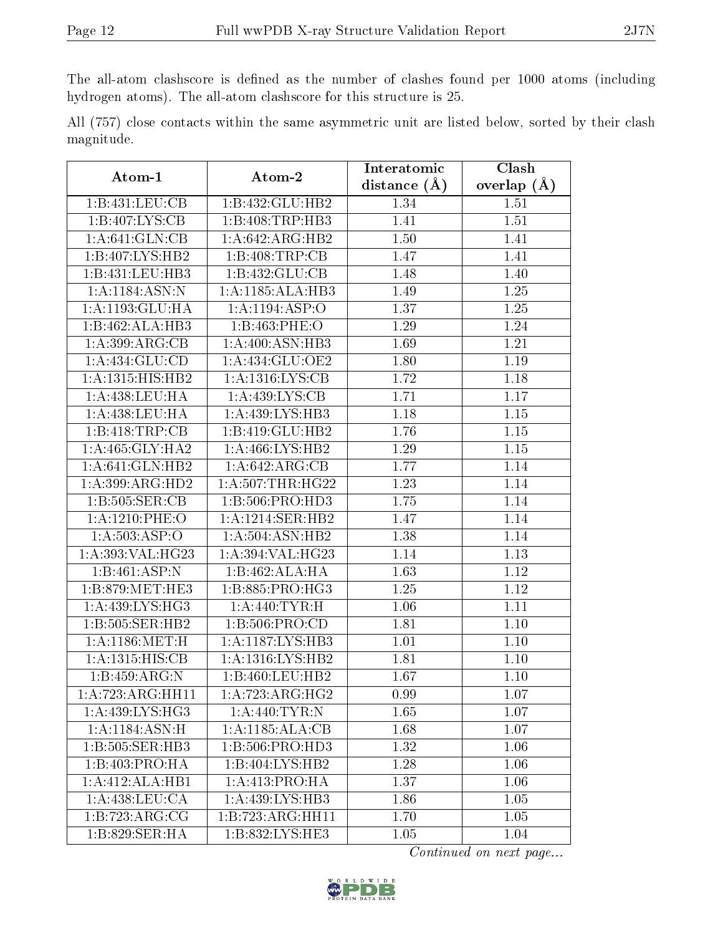The all-atom clashscore is defined as the number of clashes found per 1000 atoms (including hydrogen atoms). The all-atom clashscore for this structure is 25.

|            |  |  | All (757) close contacts within the same asymmetric unit are listed below, sorted by their clash |  |  |  |  |
|------------|--|--|--------------------------------------------------------------------------------------------------|--|--|--|--|
| magnitude. |  |  |                                                                                                  |  |  |  |  |

| $\boldsymbol{\mathrm{Atom}\text{-}1}$ | Atom-2             | Interatomic       | <b>Clash</b>      |  |
|---------------------------------------|--------------------|-------------------|-------------------|--|
|                                       |                    | distance $(\AA)$  | overlap $(A)$     |  |
| 1:B:431:LEU:CB                        | 1:B:432:GLU:HB2    | 1.34              | 1.51              |  |
| 1:B:407:LYS:CB                        | 1:B:408:TRP:HB3    | 1.41              | 1.51              |  |
| 1:A:641:GLN:CB                        | 1:A:642:ARG:HB2    | 1.50              | 1.41              |  |
| 1:B:407:LYS:HB2                       | 1:B:408:TRP:CB     | 1.47              | 1.41              |  |
| 1:B:431:LEU:HB3                       | 1:B:432:GLU:CB     | 1.48              | 1.40              |  |
| 1:A:1184:ASN:N                        | 1:A:1185:ALA:HB3   | 1.49              | 1.25              |  |
| 1:A:1193:GLU:HA                       | 1:A:1194:ABP:O     | 1.37              | 1.25              |  |
| 1:B:462:ALA:HB3                       | 1:B:463:PHE:O      | 1.29              | 1.24              |  |
| 1:A:399:ARG:CB                        | 1:A:400:ASN:HB3    | 1.69              | 1.21              |  |
| 1:A:434:GLU:CD                        | 1:A:434:GLU:OE2    | 1.80              | 1.19              |  |
| 1: A: 1315: HIS: HB2                  | 1:A:1316:LYS:CB    | 1.72              | 1.18              |  |
| $1:A:\overline{438:LEU:HA}$           | 1: A: 439: LYS: CB | 1.71              | 1.17              |  |
| 1:A:438:LEU:HA                        | 1:A:439:LYS:HB3    | 1.18              | $1.15\,$          |  |
| 1:B:418:TRP:CB                        | 1:B:419:GLU:HB2    | 1.76              | 1.15              |  |
| 1:A:465:GLY:HA2                       | 1: A:466: LYS: HB2 | $\overline{1.29}$ | 1.15              |  |
| 1: A:641: GLN:HB2                     | 1:A:642:ARG:CB     | 1.77              | 1.14              |  |
| 1:A:399:ARG:HD2                       | 1:A:507:THR:HG22   | 1.23              | 1.14              |  |
| 1:B:505:SER:CB                        | 1:B:506:PRO:HD3    | 1.75              | 1.14              |  |
| $1: A:1210:$ PHE:O                    | 1:A:1214:SER:HB2   | 1.47              | 1.14              |  |
| 1:A:503:ASP:O                         | 1:A:504:ASN:HB2    | 1.38              | 1.14              |  |
| 1:A:393:VAL:HG23                      | 1:A:394:VAL:HG23   | 1.14              | 1.13              |  |
| 1:B:461:ASP:N                         | 1:B:462:ALA:HA     | 1.63              | 1.12              |  |
| 1:B:879:MET:HE3                       | 1:B:885:PRO:HG3    | 1.25              | 1.12              |  |
| 1: A:439: LYS: HG3                    | 1: A:440: TYR:H    | 1.06              | 1.11              |  |
| 1:B:505:SER:HB2                       | 1: B:506: PRO:CD   | 1.81              | 1.10              |  |
| 1: A: 1186: MET:H                     | 1:A:1187:LYS:HB3   | 1.01              | 1.10              |  |
| 1:A:1315:HIS:CB                       | 1:A:1316:LYS:HB2   | 1.81              | 1.10              |  |
| 1:B:459:ARG:N                         | 1:B:460:LEU:HB2    | 1.67              | 1.10              |  |
| $1:\overline{A:723:ARG:HH11}$         | 1:A:723:ARG:HG2    | 0.99              | $\overline{1.07}$ |  |
| 1:A:439:LYS:HG3                       | 1: A:440: TYR:N    | 1.65              | 1.07              |  |
| 1: A:1184:ASN:H                       | 1: A:1185: ALA:CB  | 1.68              | 1.07              |  |
| 1:B:505:SER:HB3                       | 1:B:506:PRO:HD3    | 1.32              | 1.06              |  |
| 1:B:403:PRO:HA                        | 1:B:404:LYS:HB2    | 1.28              | 1.06              |  |
| 1:A:412:ALA:HB1                       | 1:A:413:PRO:HA     | 1.37              | 1.06              |  |
| 1: A: 438: LEU: CA                    | 1:A:439:LYS:HB3    | 1.86              | 1.05              |  |
| 1:B:723:ARG:CG                        | 1:B:723:ARG:HH11   | 1.70              | 1.05              |  |
| 1:B:829:SER:HA                        | 1:B:832:LYS:HE3    | 1.05              | 1.04              |  |

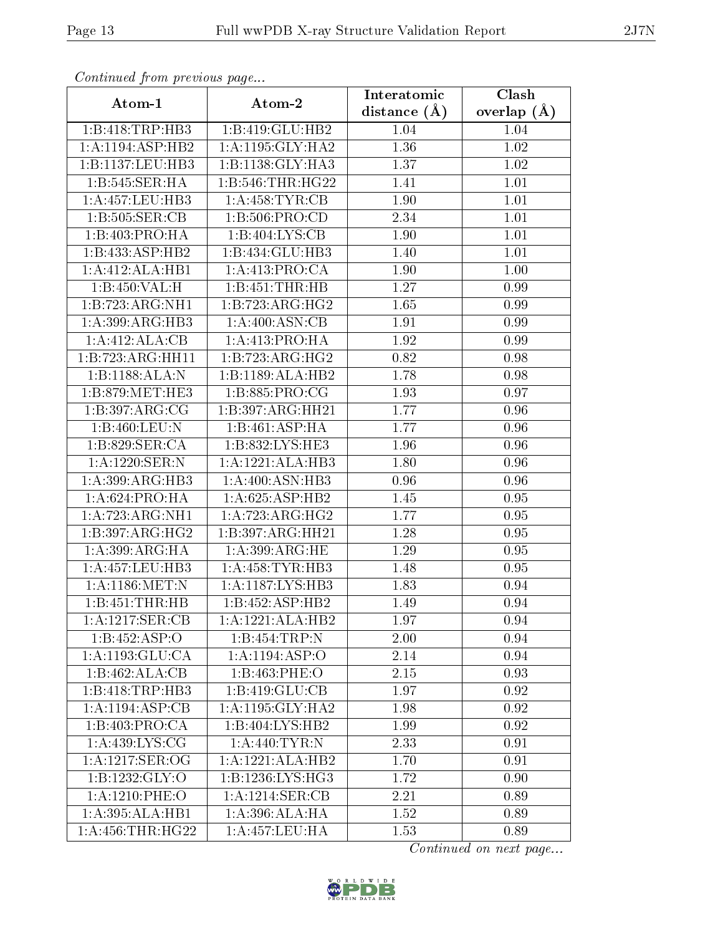| $\sum_{i=1}^{n}$<br>Atom-1 | Atom-2                 | Interatomic       | Clash           |
|----------------------------|------------------------|-------------------|-----------------|
|                            |                        | distance $(A)$    | overlap $(\AA)$ |
| 1:B:418:TRP:HB3            | 1:B:419:GLU:HB2        | 1.04              | 1.04            |
| 1:A:1194:ASP:HB2           | 1:A:1195:GLY:HA2       | 1.36              | 1.02            |
| 1:B:1137:LEU:HB3           | 1:B:1138:GLY:HA3       | $\overline{1.37}$ | 1.02            |
| 1:B:545:SER:HA             | 1:B:546:THR:HG22       | 1.41              | 1.01            |
| 1: A: 457: LEU: HB3        | 1: A:458: TYR: CB      | 1.90              | 1.01            |
| 1: B: 505: SER: CB         | 1: B:506: PRO:CD       | 2.34              | 1.01            |
| 1:B:403:PRO:HA             | 1:B:404:LYS:CB         | 1.90              | 1.01            |
| 1:B:433:ASP:HB2            | 1:B:434:GLU:HB3        | 1.40              | 1.01            |
| 1:A:412:ALA:HB1            | 1:A:413:PRO:CA         | 1.90              | 1.00            |
| 1:B:450:VAL:H              | 1:B:451:THR:HB         | 1.27              | 0.99            |
| 1:B:723:ARG:NH1            | 1:B:723:ARG:HG2        | 1.65              | 0.99            |
| 1:A:399:ARG:HB3            | 1:A:400:ASN:CB         | 1.91              | 0.99            |
| 1:A:412:ALA:CB             | 1: A:413: PRO:HA       | 1.92              | 0.99            |
| 1:B:723:ARG:HH11           | 1:B:723:ARG:HG2        | 0.82              | 0.98            |
| 1:B:1188:ALA:N             | 1:B:1189:ALA:HB2       | 1.78              | $0.98\,$        |
| 1:B:879:MET:HE3            | 1:B:885:PRO:CG         | 1.93              | 0.97            |
| 1:B:397:ARG:CG             | 1:B:397:ARG:HH21       | 1.77              | 0.96            |
| 1:B:460:LEU:N              | 1:B:461:ASP:HA         | 1.77              | 0.96            |
| 1: B:829: SER:CA           | 1:B:832:LYS:HE3        | 1.96              | 0.96            |
| 1:A:1220:SER:N             | 1:A:1221:ALA:HB3       | 1.80              | 0.96            |
| 1:A:399:ARG:HB3            | 1:A:400:ASN:HB3        | 0.96              | 0.96            |
| 1:A:624:PRO:HA             | 1:A:625:ASP:HB2        | 1.45              | 0.95            |
| 1:A:723:ARG:NH1            | 1:A:723:ARG:HG2        | 1.77              | 0.95            |
| 1:B:397:ARG:HG2            | 1:B:397:ARG:HH21       | 1.28              | 0.95            |
| 1: A:399: ARG: HA          | 1: A:399: ARG: HE      | 1.29              | 0.95            |
| 1:A:457:LEU:HB3            | 1: A: 458: TYR: HB3    | 1.48              | 0.95            |
| 1: A:1186: MET: N          | 1: A:1187: LYS:HB3     | 1.83              | 0.94            |
| 1:B:451:THR:HB             | 1:B:452:ASP:HB2        | 1.49              | 0.94            |
| 1: A: 1217: SER: CB        | 1:A:1221:ALA:HB2       | 1.97              | 0.94            |
| 1:B:452:ASP:O              | 1:B:454:TRP:N          | 2.00              | 0.94            |
| 1:A:1193:GLU:CA            | 1:A:1194:ASP:O         | 2.14              | 0.94            |
| 1:B:462:ALA:CB             | 1:B:463:PHE:O          | 2.15              | 0.93            |
| 1:B:418:TRP:HB3            | 1:B:419:GLU:CB         | 1.97              | 0.92            |
| 1:A:1194:ASP:CB            | $1:A:1195:$ GLY: $HA2$ | 1.98              | 0.92            |
| 1:B:403:PRO:CA             | 1:B:404:LYS:HB2        | 1.99              | 0.92            |
| 1: A: 439: LYS: CG         | 1: A:440: TYR: N       | 2.33              | 0.91            |
| 1:A:1217:SER:OG            | 1:A:1221:ALA:HB2       | 1.70              | 0.91            |
| 1: B: 1232: GLY:O          | 1:B:1236:LYS:HG3       | 1.72              | 0.90            |
| 1:A:1210:PHE:O             | 1: A: 1214: SER: CB    | 2.21              | 0.89            |
| 1:A:395:ALA:HB1            | 1:A:396:ALA:HA         | 1.52              | 0.89            |
| 1: A: 456: THR: HG22       | 1:A:457:LEU:HA         | 1.53              | 0.89            |

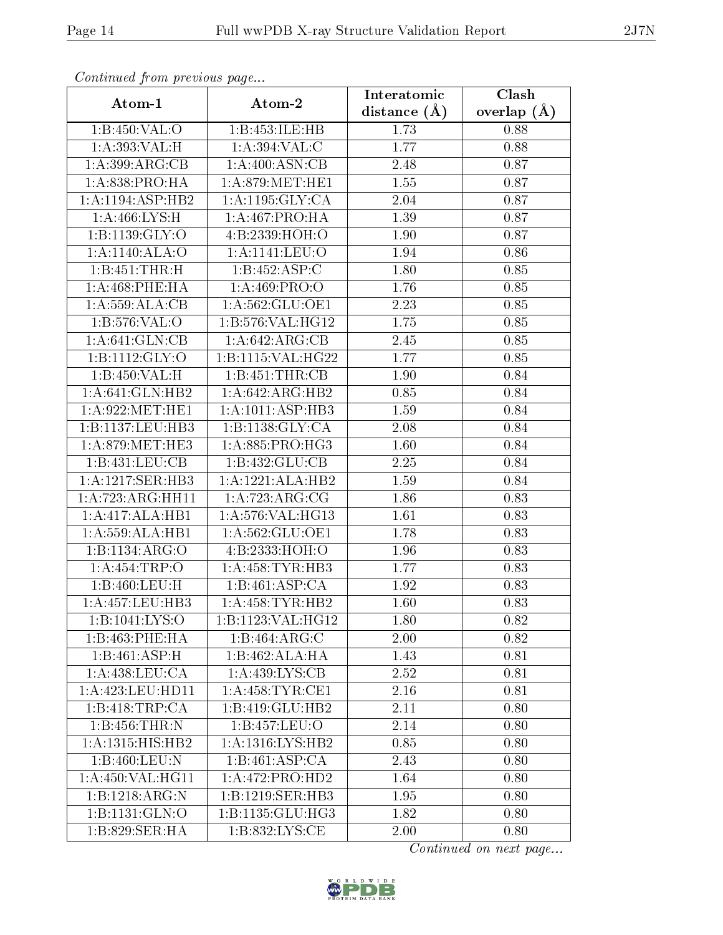| . <i>. .</i><br>Atom-1 | $\cdots$ $\cdots$ $\cdots$<br>Atom-2 | Interatomic       | Clash         |
|------------------------|--------------------------------------|-------------------|---------------|
|                        |                                      | distance $(\AA)$  | overlap $(A)$ |
| 1:B:450:VAL:O          | 1:B:453:ILE:HB                       | 1.73              | 0.88          |
| 1:A:393:VAL:H          | 1: A:394: VAL:C                      | 1.77              | 0.88          |
| 1:A:399:ARG:CB         | 1: A:400: ASN:CB                     | 2.48              | 0.87          |
| 1: A:838: PRO:HA       | 1: A:879:MET:HE1                     | 1.55              | 0.87          |
| 1:A:1194:ASP:HB2       | 1: A: 1195: GLY: CA                  | 2.04              | 0.87          |
| 1: A:466: LYS:H        | 1: A:467: PRO:HA                     | 1.39              | 0.87          |
| 1:B:1139:GLY:O         | 4:B:2339:HOH:O                       | 1.90              | 0.87          |
| 1:A:1140:ALA:O         | $1: A: 1141:$ LEU:O                  | 1.94              | 0.86          |
| 1:B:451:THR:H          | 1:B:452:ASP:C                        | 1.80              | 0.85          |
| $1: A:468:$ PHE:HA     | 1: A:469: PRO:O                      | 1.76              | 0.85          |
| 1: A:559:ALA:CB        | 1:A:562:GLU:OE1                      | 2.23              | 0.85          |
| 1: B:576: VAL:O        | 1: B: 576: VAL: HG12                 | $\overline{1.75}$ | 0.85          |
| 1: A:641: GLN:CB       | 1:A:642:ARG:CB                       | 2.45              | 0.85          |
| 1: B: 1112: GLY: O     | 1:B:1115:VAL:HG22                    | 1.77              | 0.85          |
| 1:B:450:VAL:H          | 1:B:451:THR:CB                       | 1.90              | 0.84          |
| 1: A:641: GLN:HB2      | 1:A:642:ARG:HB2                      | 0.85              | 0.84          |
| 1: A:922: MET:HE1      | 1:A:1011:ASP:HB3                     | 1.59              | 0.84          |
| 1:B:1137:LEU:HB3       | 1:B:1138:GLY:CA                      | 2.08              | 0.84          |
| 1: A:879:MET:HE3       | 1: A:885: PRO:HG3                    | 1.60              | 0.84          |
| 1:B:431:LEU:CB         | 1:B:432:GLU:CB                       | 2.25              | 0.84          |
| 1:A:1217:SER:HB3       | 1:A:1221:ALA:HB2                     | 1.59              | 0.84          |
| 1:A:723:ARG:HH11       | 1:A:723:ARG:CG                       | 1.86              | 0.83          |
| 1:A:417:ALA:HB1        | 1:A:576:VAL:HG13                     | 1.61              | 0.83          |
| 1: A:559:ALA:HB1       | 1:A:562:GLU:OE1                      | 1.78              | 0.83          |
| 1:B:1134:ARG:O         | 4:B:2333:HOH:O                       | 1.96              | 0.83          |
| 1:A:454:TRP:O          | 1: A: 458: TYR: HB3                  | 1.77              | 0.83          |
| 1:B:460:LEU:H          | 1:B:461:ASP:CA                       | 1.92              | 0.83          |
| 1: A: 457: LEU: HB3    | 1: A: 458: TYR: HB2                  | 1.60              | 0.83          |
| 1:B:1041:LYS:O         | 1:B:1123:VAL:HG12                    | 1.80              | 0.82          |
| 1:B:463:PHE:HA         | 1:B:464:ARG:C                        | 2.00              | 0.82          |
| 1:B:461:ASP:H          | 1:B:462:ALA:HA                       | 1.43              | 0.81          |
| 1: A:438:LEU:CA        | 1: A: 439: LYS: CB                   | 2.52              | 0.81          |
| 1:A:423:LEU:HD11       | 1:A:458:TYR:CE1                      | 2.16              | 0.81          |
| 1:B:418:TRP:CA         | 1:B:419:GLU:HB2                      | 2.11              | 0.80          |
| 1:B:456:THR:N          | 1:B:457:LEU:O                        | 2.14              | 0.80          |
| 1:A:1315:HIS:HB2       | 1:A:1316:LYS:HB2                     | 0.85              | 0.80          |
| 1:B:460:LEU:N          | 1:B:461:ASP:CA                       | 2.43              | 0.80          |
| 1:A:450:VAL:HG11       | $1:A:472:\overline{PRO:HD2}$         | 1.64              | 0.80          |
| 1:B:1218:ARG:N         | 1:B:1219:SER:HB3                     | 1.95              | 0.80          |
| 1:B:1131:GLN:O         | 1:B:1135:GLU:HG3                     | 1.82              | 0.80          |
| 1:B:829:SER:HA         | $1: B:832: \overline{\text{LYS:CE}}$ | 2.00              | 0.80          |

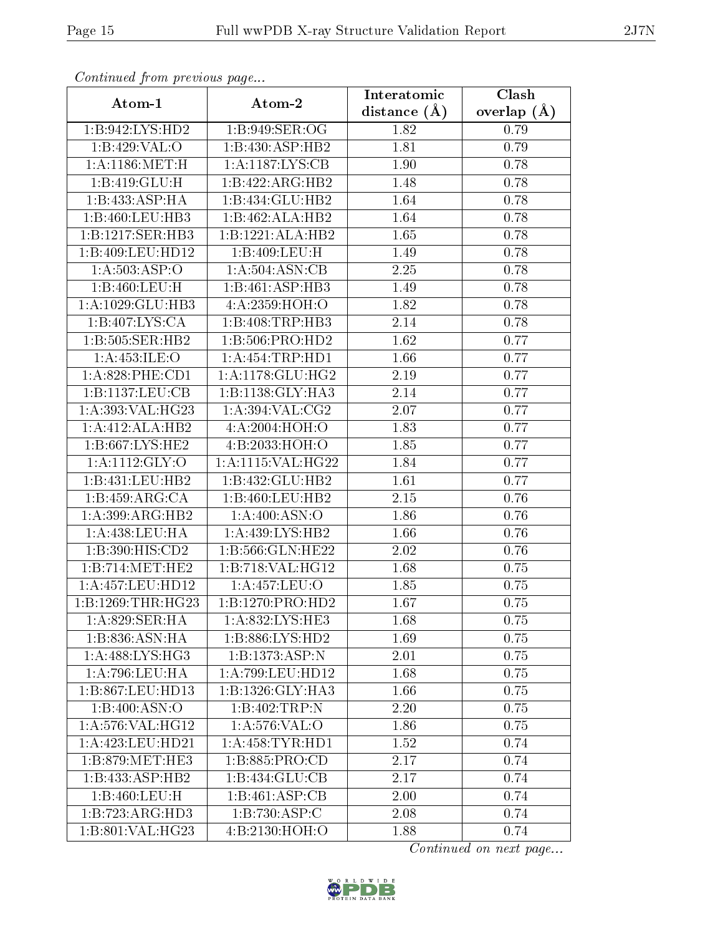|                     | Atom-2                       | Interatomic      | Clash           |
|---------------------|------------------------------|------------------|-----------------|
| Atom-1              |                              | distance $(\AA)$ | overlap $(\AA)$ |
| 1:B:942:LYS:HD2     | 1:B:949:SER:OG               | 1.82             | 0.79            |
| 1:B:429:VAL:O       | 1:B:430:ASP:HB2              | 1.81             | 0.79            |
| 1:A:1186:MET:H      | 1:A:1187:LYS:CB              | 1.90             | 0.78            |
| 1:B:419:GLU:H       | 1:B:422:ARG:HB2              | 1.48             | 0.78            |
| 1:B:433:ASP:HA      | 1:B:434:GLU:HB2              | 1.64             | 0.78            |
| 1:B:460:LEU:HB3     | 1:B:462:ALA:HB2              | 1.64             | 0.78            |
| 1:B:1217:SER:HB3    | 1:B:1221:ALA:HB2             | 1.65             | 0.78            |
| 1:B:409:LEU:HD12    | 1:B:409:LEU:H                | 1.49             | 0.78            |
| 1: A: 503: ASP:O    | 1:A:504:ASN:CB               | 2.25             | 0.78            |
| 1:B:460:LEU:H       | 1:B:461:ASP:HB3              | 1.49             | 0.78            |
| 1:A:1029:GLU:HB3    | 4:A:2359:HOH:O               | 1.82             | 0.78            |
| 1:B:407:LYS:CA      | 1:B:408:TRP:HB3              | 2.14             | 0.78            |
| 1:B:505:SER:HB2     | 1:B:506:PRO:HD2              | 1.62             | 0.77            |
| 1:A:453:ILE:O       | 1:A:454:TRP:HD1              | 1.66             | 0.77            |
| 1: A:828: PHE:CD1   | 1: A:1178: GLU:HG2           | 2.19             | 0.77            |
| 1:B:1137:LEU:CB     | 1:B:1138:GLY:HA3             | 2.14             | 0.77            |
| 1:A:393:VAL:HG23    | 1: A:394: VAL: CG2           | 2.07             | 0.77            |
| 1:A:412:ALA:HB2     | 4:A:2004:HOH:O               | 1.83             | 0.77            |
| 1: B: 667: LYS: HE2 | 4:B:2033:HOH:O               | 1.85             | 0.77            |
| 1: A: 1112: GLY: O  | 1:A:1115:VAL:HG22            | 1.84             | 0.77            |
| 1:B:431:LEU:HB2     | 1:B:432:GLU:HB2              | 1.61             | 0.77            |
| 1:B:459:ARG:CA      | 1:B:460:LEU:HB2              | 2.15             | $0.76\,$        |
| 1:A:399:ARG:HB2     | 1: A:400:ASN:O               | 1.86             | 0.76            |
| 1: A:438: LEU: HA   | 1:A:439:LYS:HB2              | 1.66             | 0.76            |
| 1:B:390:HIS:CD2     | 1:B:566:GLN:HE22             | 2.02             | 0.76            |
| 1:B:714:MET:HE2     | 1:B:718:VAL:H <sub>G12</sub> | 1.68             | 0.75            |
| 1:A:457:LEU:HD12    | 1:A:457:LEU:O                | 1.85             | 0.75            |
| 1:B:1269:THR:HG23   | 1:B:1270:PRO:HD2             | 1.67             | 0.75            |
| 1:A:829:SER:HA      | 1:A:832:LYS:HE3              | 1.68             | 0.75            |
| 1:B:836:ASN:HA      | 1:B:886:LYS:HD2              | 1.69             | 0.75            |
| 1:A:488:LYS:HG3     | 1:B:1373:ASP:N               | 2.01             | 0.75            |
| 1:A:796:LEU:HA      | 1:A:799:LEU:HD12             | 1.68             | 0.75            |
| 1:B:867:LEU:HD13    | 1:B:1326:GLY:HA3             | 1.66             | 0.75            |
| 1:B:400:ASN:O       | 1:B:402:TRP:N                | 2.20             | 0.75            |
| 1:A:576:VAL:HG12    | 1: A: 576: VAL: O            | 1.86             | 0.75            |
| 1:A:423:LEU:HD21    | 1: A:458: TYR: HD1           | 1.52             | 0.74            |
| 1:B:879:MET:HE3     | 1: B: 885: PRO: CD           | 2.17             | 0.74            |
| 1:B:433:ASP:HB2     | 1:B:434:GLU:CB               | 2.17             | 0.74            |
| 1:B:460:LEU:H       | 1:B:461:ASP:CB               | 2.00             | 0.74            |
| 1:B:723:ARG:HD3     | $1:B:730:A\overline{SP:C}$   | 2.08             | 0.74            |
| 1:B:801:VAL:HG23    | 4: B: 2130: HOH:O            | 1.88             | 0.74            |

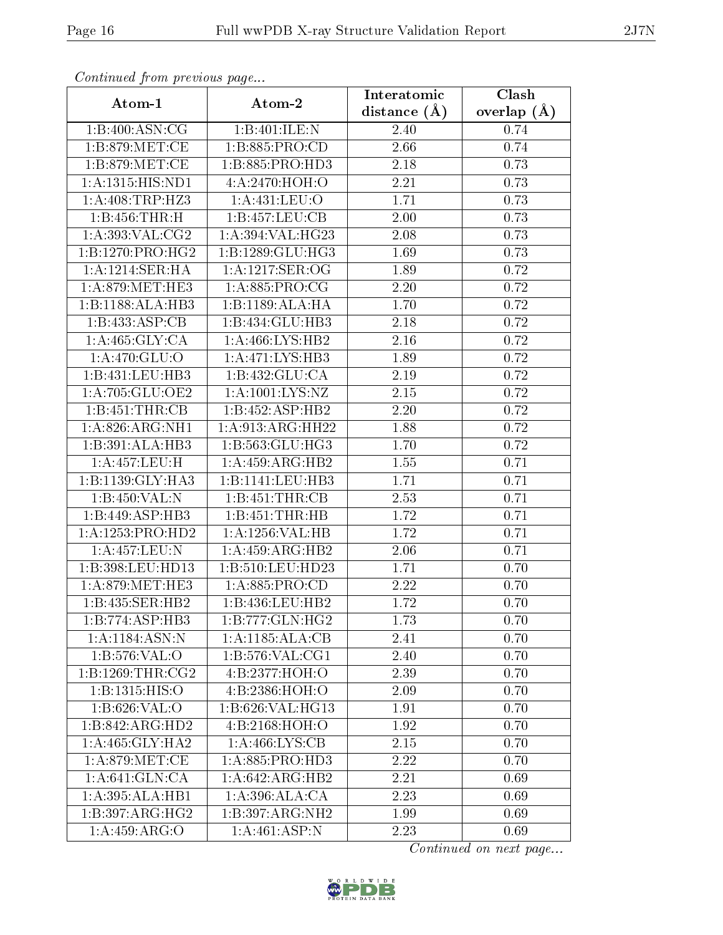| Atom-1                       | Atom-2                         | Interatomic      | Clash         |
|------------------------------|--------------------------------|------------------|---------------|
|                              |                                | distance $(\AA)$ | overlap $(A)$ |
| 1:B:400:ASN:CG               | 1:B:401:ILE:N                  | 2.40             | 0.74          |
| 1: B:879:MET:CE              | 1: B: 885: PRO:CD              | 2.66             | 0.74          |
| 1:B:879:MET:CE               | 1:B:885:PRO:HD3                | 2.18             | 0.73          |
| 1: A: 1315: HIS: ND1         | 4: A:2470:HOH:O                | 2.21             | 0.73          |
| 1:A:408:TRP:HZ3              | 1: A: 431: LEU: O              | 1.71             | 0.73          |
| 1:B:456:THR:H                | 1:B:457:LEU:CB                 | 2.00             | 0.73          |
| 1:A:393:VAL:CG2              | 1:A:394:VAL:HG23               | 2.08             | 0.73          |
| 1:B:1270:PRO:HG2             | 1:B:1289:GLU:HG3               | 1.69             | 0.73          |
| 1:A:1214:SER:HA              | 1: A: 1217: SER: OG            | 1.89             | 0.72          |
| 1: A:879:MET:HE3             | 1: A:885: PRO:CG               | 2.20             | 0.72          |
| 1:B:1188:ALA:HB3             | 1:B:1189:ALA:HA                | 1.70             | 0.72          |
| 1:B:433:ASP:CB               | 1:B:434:GLU:HB3                | 2.18             | 0.72          |
| 1: A:465: GLY:CA             | 1: A:466: LYS: HB2             | 2.16             | 0.72          |
| 1:A:470:GLU:O                | 1:A:471:LYS:HB3                | 1.89             | 0.72          |
| 1:B:431:LEU:HB3              | 1:B:432:GLU:CA                 | 2.19             | 0.72          |
| 1:A:705:GLU:OE2              | 1: A: 1001: L <sub>YS:NZ</sub> | 2.15             | 0.72          |
| 1:B:451:THR:CB               | 1:B:452:ASP:HB2                | 2.20             | 0.72          |
| 1: A:826: ARG: NH1           | 1:A:913:ARG:HH22               | 1.88             | 0.72          |
| 1:B:391:ALA:HB3              | 1: B: 563: GLU: HG3            | 1.70             | 0.72          |
| 1:A:457:LEU:H                | 1:A:459:ARG:HB2                | 1.55             | 0.71          |
| 1:B:1139:GLY:HA3             | 1:B:1141:LEU:HB3               | 1.71             | 0.71          |
| 1:B:450:VAL:N                | 1:B:451:THR:CB                 | 2.53             | 0.71          |
| 1:B:449:ASP:HB3              | 1:B:451:THR:HB                 | 1.72             | 0.71          |
| 1:A:1253:PRO:HD2             | 1: A: 1256: VAL: HB            | 1.72             | 0.71          |
| 1:A:457:LEU:N                | 1:A:459:ARG:HB2                | 2.06             | 0.71          |
| 1:B:398:LEU:HD13             | 1:B:510:LEU:HD23               | 1.71             | 0.70          |
| 1: A:879:MET:HE3             | 1: A:885: PRO:CD               | 2.22             | 0.70          |
| 1:B:435:SER:HB2              | 1:B:436:LEU:HB2                | 1.72             | 0.70          |
| 1:B:774:ASP:HB3              | $1:B:777:GLN:H\overline{G2}$   | 1.73             | 0.70          |
| 1: A: 1184: ASN: N           | 1:A:1185:ALA:CB                | 2.41             | 0.70          |
| 1: B: 576: VAL: O            | $1:B:576:VAL: \overline{CG1}$  | 2.40             | 0.70          |
| 1:B:1269:THR:CG2             | 4:B:2377:HOH:O                 | 2.39             | 0.70          |
| 1:B:1315:HIS:O               | 4:B:2386:HOH:O                 | 2.09             | 0.70          |
| 1: B:626: VAL:O              | 1:B:626:VAL:HG13               | 1.91             | 0.70          |
| 1:B:842:ARG:HD2              | 4:B:2168:HOH:O                 | 1.92             | 0.70          |
| 1:A:465:GLY:HA2              | 1:A:466:LYS:CB                 | 2.15             | 0.70          |
| 1: A:879:MET:CE              | 1: A:885: PRO:HD3              | 2.22             | 0.70          |
| 1: A:641: GLN:CA             | 1:A:642:ARG:HB2                | 2.21             | 0.69          |
| 1:A:395:ALA:HB1              | 1:A:396:ALA:CA                 | 2.23             | 0.69          |
| $1:B:397:AR\overline{G:HG2}$ | 1:B:397:ARG:NH2                | 1.99             | 0.69          |
| 1:A:459:ARG:O                | 1:A:461:ASP:N                  | 2.23             | 0.69          |

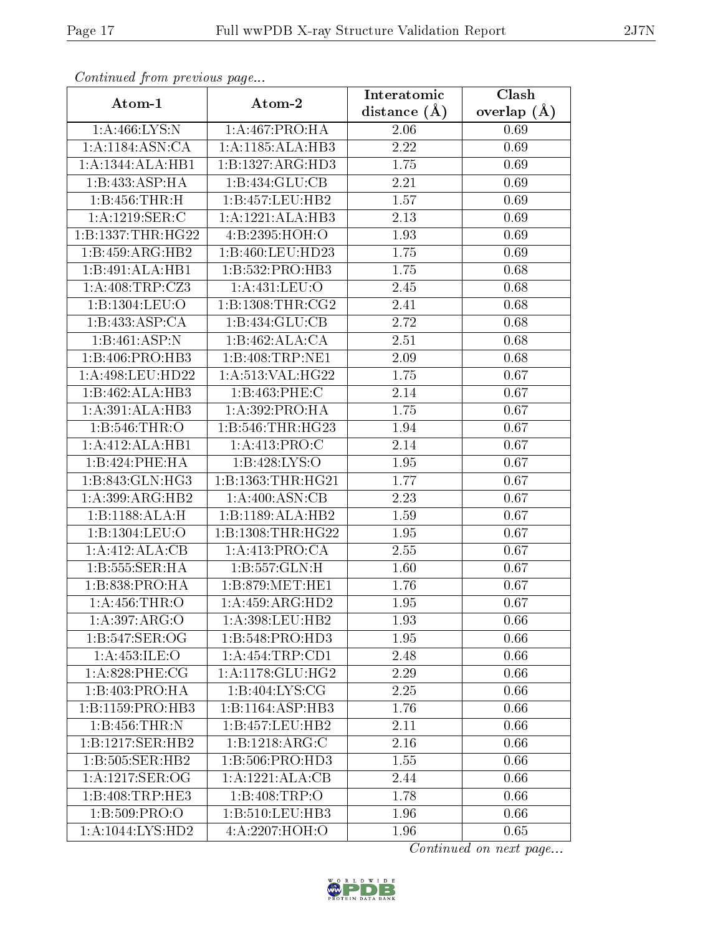| $F$ . The set of $F$ is the set of $F$ and $F$ and $F$ are set of $F$ and $F$ are set of $F$ and $F$ are set of $F$ and $F$ are set of $F$ and $F$ are set of $F$ and $F$ are set of $F$ and $F$ are set of $F$ and $F$ are s |                              | Interatomic       | Clash         |
|-------------------------------------------------------------------------------------------------------------------------------------------------------------------------------------------------------------------------------|------------------------------|-------------------|---------------|
| Atom-1                                                                                                                                                                                                                        | Atom-2                       | distance $(A)$    | overlap $(A)$ |
| 1: A:466: LYS:N                                                                                                                                                                                                               | 1:A:467:PRO:HA               | 2.06              | 0.69          |
| 1:A:1184:ASN:CA                                                                                                                                                                                                               | 1:A:1185:ALA:HB3             | 2.22              | 0.69          |
| 1:A:1344:ALA:HB1                                                                                                                                                                                                              | 1:B:1327:ARG:HD3             | 1.75              | 0.69          |
| 1:B:433:ASP:HA                                                                                                                                                                                                                | 1:B:434:GLU:CB               | 2.21              | 0.69          |
| 1:B:456:THR:H                                                                                                                                                                                                                 | 1:B:457:LEU:HB2              | 1.57              | 0.69          |
| 1:A:1219:SER:C                                                                                                                                                                                                                | 1:A:1221:ALA:HB3             | 2.13              | 0.69          |
| 1:B:1337:THR:HG22                                                                                                                                                                                                             | 4:B:2395:HOH:O               | 1.93              | 0.69          |
| 1:B:459:ARG:HB2                                                                                                                                                                                                               | 1:B:460:LEU:HD23             | $\overline{1.75}$ | 0.69          |
| 1:B:491:ALA:HB1                                                                                                                                                                                                               | 1:B:532:PRO:HB3              | 1.75              | 0.68          |
| 1: A:408:TRP: CZ3                                                                                                                                                                                                             | 1: A: 431: LEU: O            | 2.45              | 0.68          |
| 1:B:1304:LEU:O                                                                                                                                                                                                                | 1: B: 1308: THR: CG2         | 2.41              | 0.68          |
| 1:B:433:ASP:CA                                                                                                                                                                                                                | 1:B:434:GLU:CB               | 2.72              | 0.68          |
| $1:B:461:ASP:\overline{N}$                                                                                                                                                                                                    | 1:B:462:ALA:CA               | 2.51              | 0.68          |
| 1:B:406:PRO:HB3                                                                                                                                                                                                               | 1:B:408:TRP:NE1              | 2.09              | 0.68          |
| 1:A:498:LEU:HD22                                                                                                                                                                                                              | 1:A:513:VAL:HG22             | 1.75              | 0.67          |
| 1:B:462:ALA:HB3                                                                                                                                                                                                               | 1:B:463:PHE:C                | 2.14              | 0.67          |
| 1:A:391:ALA:HB3                                                                                                                                                                                                               | 1: A:392: PRO:HA             | 1.75              | 0.67          |
| 1:B:546:THR:O                                                                                                                                                                                                                 | 1:B:546:THR:HG23             | 1.94              | 0.67          |
| 1:A:412:ALA:HB1                                                                                                                                                                                                               | 1: A:413: PRO:C              | 2.14              | 0.67          |
| 1:B:424:PHE:HA                                                                                                                                                                                                                | 1:B:428:LYS:O                | 1.95              | 0.67          |
| 1:B:843:GLN:HG3                                                                                                                                                                                                               | 1:B:1363:THR:HG21            | 1.77              | 0.67          |
| 1:A:399:ARG:HB2                                                                                                                                                                                                               | 1:A:400:ASN:CB               | 2.23              | 0.67          |
| $1:B:1188:ALA:\overline{H}$                                                                                                                                                                                                   | 1:B:1189:ALA:HB2             | 1.59              | 0.67          |
| 1:Bi:1304:LEU:O                                                                                                                                                                                                               | 1:B:1308:THR:HG22            | 1.95              | 0.67          |
| 1:A:412:ALA:CB                                                                                                                                                                                                                | 1: A: 413: PRO: CA           | 2.55              | 0.67          |
| 1:B:555:SER:HA                                                                                                                                                                                                                | 1: B: 557: GLN: H            | 1.60              | 0.67          |
| 1:B:838:PRO:HA                                                                                                                                                                                                                | 1: B: 879: MET: HE1          | 1.76              | 0.67          |
| 1:A:456:THR:O                                                                                                                                                                                                                 | 1:A:459:ARG:HD2              | 1.95              | 0.67          |
| 1:A:397:ARG:O                                                                                                                                                                                                                 | 1:A:398:LEU:HB2              | 1.93              | 0.66          |
| 1:B:547:SER:OG                                                                                                                                                                                                                | 1:B:548:PRO:HD3              | 1.95              | 0.66          |
| 1: A: 453: ILE: O                                                                                                                                                                                                             | 1: A: 454: TRP: CD1          | 2.48              | 0.66          |
| $1: A:828:$ PHE:CG                                                                                                                                                                                                            | 1: A:1178: GLU: HG2          | 2.29              | 0.66          |
| 1:B:403:PRO:HA                                                                                                                                                                                                                | 1:B:404:LYS:CG               | 2.25              | 0.66          |
| 1:B:1159:PRO:HB3                                                                                                                                                                                                              | 1:B:1164:ASP:HB3             | 1.76              | 0.66          |
| 1:B:456:THR:N                                                                                                                                                                                                                 | 1:B:457:LEU:HB2              | 2.11              | 0.66          |
| 1:B:1217:SER:HB2                                                                                                                                                                                                              | 1:B:1218:ARG:C               | 2.16              | 0.66          |
| 1:B:505:SER:HB2                                                                                                                                                                                                               | 1:B:506:PRO:HD3              | 1.55              | 0.66          |
| 1: A: 1217: SER: OG                                                                                                                                                                                                           | $1:A:1221:\overline{ALA:CB}$ | 2.44              | 0.66          |
| 1:B:408:TRP:HE3                                                                                                                                                                                                               | 1:B:408:TRP:O                | 1.78              | 0.66          |
| 1:B:509:PRO:O                                                                                                                                                                                                                 | 1:B:510:LEU:HB3              | 1.96              | 0.66          |
| 1:A:1044:LYS:HD2                                                                                                                                                                                                              | 4:A:2207:HOH:O               | 1.96              | 0.65          |

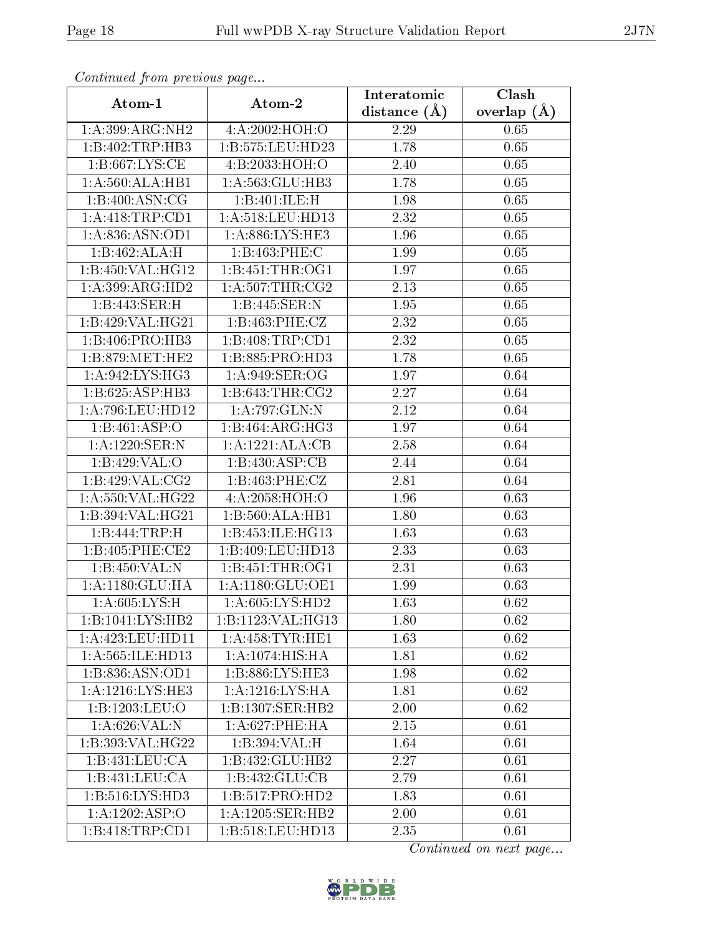| contentwear from provided page<br>Atom-1 | Atom-2               | Interatomic    | $\overline{\text{Clash}}$ |
|------------------------------------------|----------------------|----------------|---------------------------|
|                                          |                      | distance $(A)$ | overlap $(A)$             |
| 1:A:399:ARG:NH2                          | 4:A:2002:HOH:O       | 2.29           | 0.65                      |
| 1:B:402:TRP:HB3                          | 1:B:575:LEU:HD23     | 1.78           | 0.65                      |
| 1: B:667: LYS: CE                        | 4:B:2033:HOH:O       | 2.40           | 0.65                      |
| 1:A:560:ALA:HB1                          | 1: A: 563: GLU: HB3  | 1.78           | 0.65                      |
| 1:B:400:ASN:CG                           | 1:B:401:ILE:H        | 1.98           | 0.65                      |
| 1:A:418:TRP:CD1                          | 1: A:518:LEU:HD13    | 2.32           | 0.65                      |
| 1:A:836:ASN:OD1                          | 1:A:886:LYS:HE3      | 1.96           | 0.65                      |
| 1:B:462:ALA:H                            | 1:B:463:PHE:C        | 1.99           | 0.65                      |
| 1:B:450:VAL:HG12                         | 1:B:451:THR:OG1      | 1.97           | 0.65                      |
| 1:A:399:ARG:HD2                          | 1: A:507:THR:CG2     | 2.13           | 0.65                      |
| 1:B:443:SER:H                            | 1:B:445:SER:N        | 1.95           | 0.65                      |
| 1:B:429:VAL:HG21                         | 1:B:463:PHE:CZ       | 2.32           | 0.65                      |
| 1:B:406:PRO:HB3                          | 1:B:408:TRP:CD1      | 2.32           | 0.65                      |
| 1: B:879:MET:HE2                         | 1:B:885:PRO:HD3      | 1.78           | 0.65                      |
| 1: A:942: LYS: HG3                       | 1:A:949:SER:OG       | 1.97           | 0.64                      |
| 1:B:625:ASP:HB3                          | 1:B:643:THR:CG2      | 2.27           | 0.64                      |
| 1:A:796:LEU:HD12                         | 1:A:797:GLN:N        | 2.12           | 0.64                      |
| 1:B:461:ASP:O                            | 1:B:464:ARG:HG3      | 1.97           | 0.64                      |
| 1:A:1220:SER:N                           | 1:A:1221:ALA:CB      | 2.58           | 0.64                      |
| 1:B:429:VAL:O                            | 1:B:430:ASP:CB       | 2.44           | 0.64                      |
| 1:B:429:VAL:CG2                          | 1:B:463:PHE:CZ       | 2.81           | 0.64                      |
| 1:A:550:VAL:HG22                         | 4:A:2058:HOH:O       | 1.96           | 0.63                      |
| 1:B:394:VAL:HG21                         | 1:B:560:ALA:HB1      | 1.80           | 0.63                      |
| 1:B:444:TRP:H                            | 1:B:453:ILE:HG13     | 1.63           | 0.63                      |
| 1:B:405:PHE:CE2                          | 1:B:409:LEU:HD13     | 2.33           | 0.63                      |
| 1:B:450:VAL:N                            | 1:B:451:THR:OG1      | 2.31           | 0.63                      |
| 1: A: 1180: GLU: HA                      | 1: A: 1180: GLU: OE1 | 1.99           | 0.63                      |
| 1: A:605: LYS:H                          | 1: A:605: LYS: HD2   | 1.63           | 0.62                      |
| 1:B:1041:LYS:HB2                         | 1:B:1123:VAL:HG13    | 1.80           | 0.62                      |
| 1:A:423:LEU:HD11                         | 1: A:458: TYR: HE1   | 1.63           | 0.62                      |
| 1:A:565:ILE:HD13                         | 1: A: 1074: HIS: HA  | 1.81           | 0.62                      |
| 1:B:836:ASN:OD1                          | 1: B: 886: LYS: HE3  | 1.98           | 0.62                      |
| 1:A:1216:LYS:HE3                         | 1: A: 1216: LYS: HA  | 1.81           | 0.62                      |
| 1:B:1203:LEU:O                           | 1:B:1307:SER:HB2     | 2.00           | 0.62                      |
| 1:A:626:VAL:N                            | 1: A:627:PHE:HA      | 2.15           | 0.61                      |
| 1:B:393:VAL:HG22                         | 1:B:394:VAL:H        | 1.64           | 0.61                      |
| 1:B:431:LEU:CA                           | 1:B:432:GLU:HB2      | 2.27           | 0.61                      |
| 1:B:431:LEU:CA                           | 1:B:432:GLU:CB       | 2.79           | 0.61                      |
| 1:B:516:LYS:HD3                          | 1:B:517:PRO:HD2      | 1.83           | 0.61                      |
| 1:A:1202:ASP:O                           | 1:A:1205:SER:HB2     | 2.00           | 0.61                      |
| 1:B:418:TRP:CD1                          | 1:B:518:LEU:HD13     | 2.35           | 0.61                      |

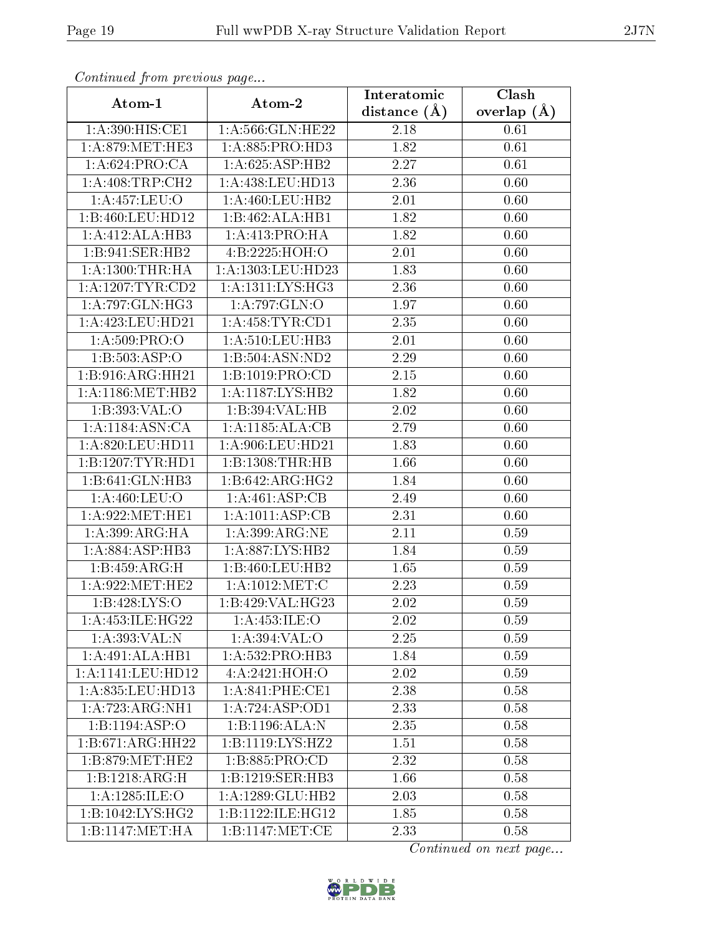| Atom-1                        | Atom-2                              | Interatomic      | $\overline{\text{Clash}}$ |
|-------------------------------|-------------------------------------|------------------|---------------------------|
|                               |                                     | distance $(\AA)$ | overlap $(A)$             |
| 1: A:390:HIS:CE1              | $1: A:566: GLN: HE22$               | 2.18             | 0.61                      |
| 1: A:879:MET:HE3              | 1: A:885: PRO:HD3                   | 1.82             | 0.61                      |
| 1: A:624: PRO:CA              | 1:A:625:ASP:HB2                     | 2.27             | 0.61                      |
| 1:A:408:TRP:CH2               | 1:A:438:LEU:HD13                    | 2.36             | 0.60                      |
| 1:A:457:LEU:O                 | 1: A:460: LEU:HB2                   | 2.01             | 0.60                      |
| 1:B:460:LEU:HD12              | 1:B:462:ALA:HB1                     | 1.82             | 0.60                      |
| 1:A:412:ALA:HB3               | 1:A:413:PRO:HA                      | 1.82             | 0.60                      |
| 1:B:941:SER:HB2               | 4:B:2225:HOH:O                      | 2.01             | 0.60                      |
| 1: A: 1300: THR: HA           | 1:A:1303:LEU:HD23                   | 1.83             | 0.60                      |
| 1: A: 1207: TYR: CD2          | 1: A: 1311: LYS: HG3                | 2.36             | 0.60                      |
| 1: A:797: GLN: HG3            | 1: A:797: GLN:O                     | 1.97             | 0.60                      |
| 1:A:423:LEU:HD21              | 1: A:458: TYR: CD1                  | 2.35             | 0.60                      |
| 1: A:509: PRO:                | 1: A:510: LEU: HB3                  | 2.01             | 0.60                      |
| 1:B:503:ASP:O                 | 1:B:504:ASN:ND2                     | 2.29             | 0.60                      |
| 1:B:916:ARG:HH21              | 1:B:1019:PRO:CD                     | 2.15             | 0.60                      |
| 1:A:1186:MET:HB2              | 1:A:1187:LYS:HB2                    | 1.82             | 0.60                      |
| 1:B:393:VAL:O                 | 1:B:394:VAL:HB                      | 2.02             | 0.60                      |
| 1:A:1184:ASN:CA               | 1:A:1185:ALA:CB                     | 2.79             | 0.60                      |
| 1:A:820:LEU:HD11              | 1:A:906:LEU:HD21                    | 1.83             | 0.60                      |
| 1:B:1207:TYR:HDI              | 1:B:1308:THR:HB                     | 1.66             | 0.60                      |
| $1:B:641:$ GLN:HB3            | 1:B:642:ARG:HG2                     | 1.84             | 0.60                      |
| 1: A:460: LEU:O               | 1:A:461:ASP:CB                      | 2.49             | 0.60                      |
| 1: A:922: MET:HE1             | 1: A: 1011: ASP: CB                 | 2.31             | 0.60                      |
| 1:A:399:ARG:HA                | 1:A:399:ARG:NE                      | 2.11             | 0.59                      |
| 1: A:884: ASP:HB3             | 1:A:887:LYS:HB2                     | 1.84             | 0.59                      |
| 1:B:459:ARG:H                 | 1:B:460:LEU:HB2                     | 1.65             | 0.59                      |
| 1: A:922: MET:HE2             | 1: A: 1012: MET: C                  | 2.23             | 0.59                      |
| 1: B: 428: LYS: O             | 1:B:429:VAL:HG23                    | 2.02             | 0.59                      |
| 1: A: 453: ILE: HG22          | 1: A: 453: ILE: O                   | 2.02             | 0.59                      |
| 1:A:393:VAL:N                 | 1:A:394:VAL:O                       | 2.25             | 0.59                      |
| 1:A:491:ALA:HB1               | 1:A:532:PRO:HB3                     | 1.84             | 0.59                      |
| 1: A:1141:LEU:HD12            | 4: A: 2421: HOH:O                   | 2.02             | 0.59                      |
| 1:A:835:LEU:HD13              | $1:A:841:PHE:\overline{\text{CE1}}$ | 2.38             | 0.58                      |
| 1:A:723:ARG:NH1               | 1:A:724:ASP:OD1                     | 2.33             | 0.58                      |
| 1:B:1194:ABP:O                | 1:B:1196:ALA:N                      | 2.35             | 0.58                      |
| $1:B:671:A\overline{RG:HH22}$ | 1:B:1119:LYS:HZ2                    | 1.51             | 0.58                      |
| 1: B:879:MET:HE2              | 1:B:885:PRO:CD                      | 2.32             | 0.58                      |
| 1:B:1218:ARG:H                | 1:B:1219:SER:HB3                    | 1.66             | 0.58                      |
| 1:A:1285:ILE:O                | 1:A:1289:GLU:HB2                    | 2.03             | 0.58                      |
| 1:B:1042:LYS:HG2              | 1:B:1122:ILE:HG12                   | 1.85             | 0.58                      |
| 1:B:1147:MET:HA               | 1:B:1147:MET:CE                     | 2.33             | 0.58                      |

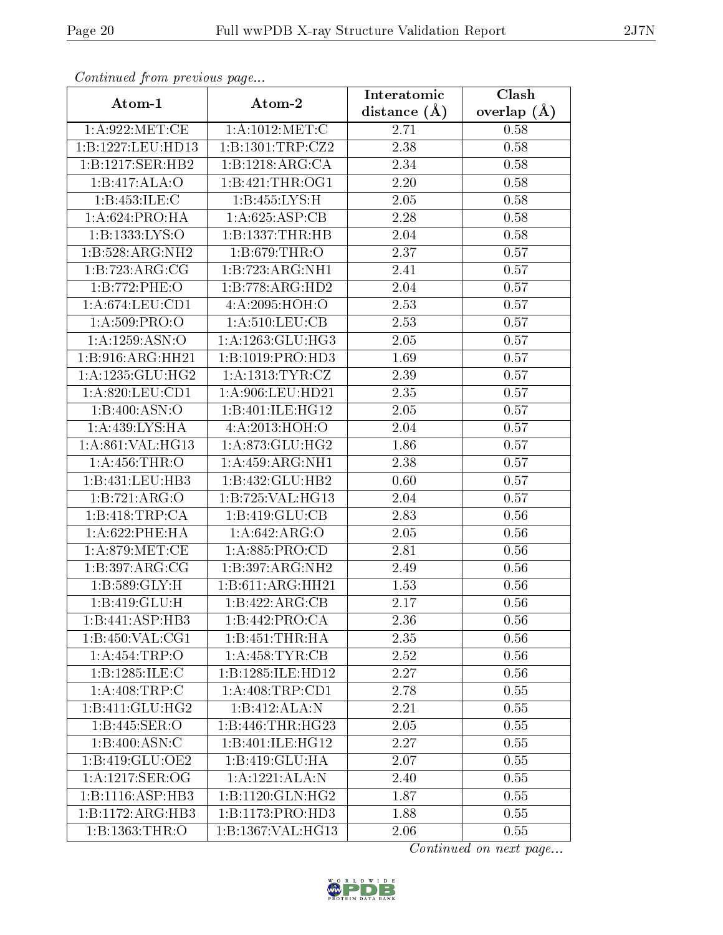| $\cdots$ $\cdots$ $\cdots$ $\cdots$ $\cdots$ $\cdots$ $\cdots$ $\cdots$<br>Atom-1 | Atom-2               | Interatomic      | Clash           |
|-----------------------------------------------------------------------------------|----------------------|------------------|-----------------|
|                                                                                   |                      | distance $(\AA)$ | overlap $(\AA)$ |
| 1: A:922:MET:CE                                                                   | 1: A:1012: MET:C     | 2.71             | 0.58            |
| 1:B:1227:LEU:HD13                                                                 | 1:B:1301:TRP:CZ2     | 2.38             | 0.58            |
| 1:B:1217:SER:HB2                                                                  | 1:B:1218:ARG:CA      | 2.34             | 0.58            |
| 1:B:417:ALA:O                                                                     | 1:B:421:THR:OG1      | 2.20             | 0.58            |
| 1:B:453:ILE:C                                                                     | 1:B:455:LYS:H        | 2.05             | 0.58            |
| 1: A:624: PRO:HA                                                                  | 1:A:625:ASP:CB       | 2.28             | 0.58            |
| 1:B:1333:LYS:O                                                                    | 1:B:1337:THR:HB      | 2.04             | 0.58            |
| 1:B:528:ARG:NH2                                                                   | 1:B:679:THR:O        | 2.37             | 0.57            |
| 1:B:723:ARG:CG                                                                    | 1:B:723:ARG:NH1      | 2.41             | 0.57            |
| 1:B:772:PHE:O                                                                     | 1:B:778:ARG:HD2      | 2.04             | 0.57            |
| 1: A:674:LEU:CD1                                                                  | 4:A:2095:HOH:O       | 2.53             | 0.57            |
| 1: A:509: PRO:                                                                    | 1:A:510:LEU:CB       | 2.53             | 0.57            |
| 1:A:1259:ASN:O                                                                    | 1: A: 1263: GLU: HG3 | 2.05             | 0.57            |
| 1:B:916:ARG:HH21                                                                  | 1:B:1019:PRO:HD3     | 1.69             | 0.57            |
| 1:A:1235:GLU:HG2                                                                  | 1: A: 1313: TYR: CZ  | 2.39             | 0.57            |
| 1: A:820: LEU: CD1                                                                | 1:A:906:LEU:HD21     | 2.35             | 0.57            |
| 1:B:400:ASN:O                                                                     | 1:B:401:ILE:HG12     | 2.05             | 0.57            |
| 1:A:439:LYS:HA                                                                    | 4:A:2013:HOH:O       | 2.04             | 0.57            |
| 1:A:861:VAL:HG13                                                                  | 1: A:873: GLU:HG2    | 1.86             | 0.57            |
| 1:A:456:THR:O                                                                     | 1: A: 459: ARG: NH1  | 2.38             | 0.57            |
| 1:B:431:LEU:HB3                                                                   | 1:B:432:GLU:HB2      | 0.60             | 0.57            |
| 1:B:721:ARG:O                                                                     | 1:B:725:VAL:HG13     | 2.04             | 0.57            |
| 1:B:418:TRP:CA                                                                    | 1:B:419:GLU:CB       | 2.83             | 0.56            |
| 1:A:622:PHE:HA                                                                    | 1:A:642:ARG:O        | 2.05             | 0.56            |
| 1: A:879: MET:CE                                                                  | 1: A:885: PRO:CD     | 2.81             | 0.56            |
| $1:B:397: \overline{\rm ARG:CG}$                                                  | 1:B:397:ARG:NH2      | 2.49             | 0.56            |
| $1:B:589:GLY:\overline{H}$                                                        | 1:B:611:ARG:HH21     | 1.53             | 0.56            |
| 1:B:419:GLU:H                                                                     | 1:B:422:ARG:CB       | 2.17             | 0.56            |
| 1:B:441:ASP:HB3                                                                   | 1:B:442:PRO:CA       | 2.36             | 0.56            |
| 1:B:450:VAL:CG1                                                                   | 1:B:451:THR:HA       | 2.35             | 0.56            |
| 1:A:454:TRP:O                                                                     | 1: A:458: TYR: CB    | 2.52             | 0.56            |
| 1:B:1285:ILE:C                                                                    | 1:B:1285:ILE:HD12    | 2.27             | 0.56            |
| 1: A:408:TRP:C                                                                    | 1:A:408:TRP:CD1      | 2.78             | 0.55            |
| 1:B:411:GLU:HG2                                                                   | 1:B:412:ALA:N        | 2.21             | 0.55            |
| 1:B:445:SER:O                                                                     | 1:B:446:THR:HG23     | 2.05             | 0.55            |
| 1:B:400:ASN:C                                                                     | 1:B:401:ILE:HG12     | 2.27             | 0.55            |
| 1:B:419:GLU:OE2                                                                   | 1:B:419:GLU:HA       | 2.07             | $0.55\,$        |
| 1: A: 1217: SER: OG                                                               | 1:A:1221:ALA:N       | 2.40             | 0.55            |
| 1:B:1116:ASP:HB3                                                                  | 1:B:1120:GLN:HG2     | 1.87             | 0.55            |
| 1:B:1172:ARG:HB3                                                                  | 1:B:1173:PRO:HD3     | 1.88             | 0.55            |
| 1:B:1363:THR:O                                                                    | 1:B:1367:VAL:HG13    | 2.06             | 0.55            |

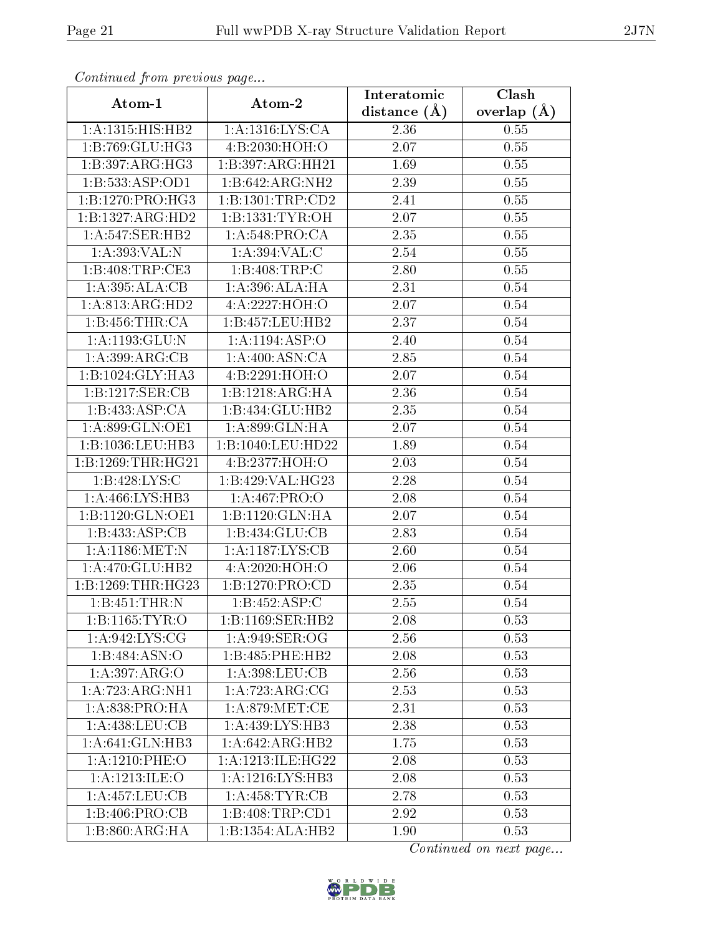| contentava promo providuo pago<br>Atom-1 | Atom-2                               | Interatomic    | $\overline{\text{Clash}}$ |
|------------------------------------------|--------------------------------------|----------------|---------------------------|
|                                          |                                      | distance $(A)$ | overlap $(A)$             |
| 1:A:1315:HIS:HB2                         | 1: A: 1316: LYS: CA                  | 2.36           | 0.55                      |
| 1:B:769:GLU:HG3                          | 4:B:2030:HOH:O                       | 2.07           | 0.55                      |
| 1:B:397:ARG:HG3                          | 1:B:397:ARG:HH21                     | 1.69           | 0.55                      |
| 1:B:533:ASP:OD1                          | 1:B:642:ARG:NH2                      | 2.39           | 0.55                      |
| 1:B:1270:PRO:HG3                         | 1:B:1301:TRP:CD2                     | 2.41           | $0.55\,$                  |
| 1:B:1327:ARG:HD2                         | 1: B: 1331: TYR: OH                  | 2.07           | 0.55                      |
| 1:A:547:SER:HB2                          | 1: A:548: PRO:CA                     | 2.35           | 0.55                      |
| 1:A:393:VAL:N                            | 1:A:394:VAL:CC                       | 2.54           | 0.55                      |
| 1: B:408:TRP:CE3                         | 1:B:408:TRP:C                        | 2.80           | 0.55                      |
| 1:A:395:ALA:CB                           | 1:A:396:ALA:HA                       | 2.31           | 0.54                      |
| 1: A:813:ARG:HD2                         | 4:A:2227:HOH:O                       | 2.07           | 0.54                      |
| 1:B:456:THR:CA                           | 1:B:457:LEU:HB2                      | 2.37           | 0.54                      |
| 1:A:1193:GLU:N                           | 1: A: 1194: ASP: O                   | 2.40           | $0.54\,$                  |
| 1: A:399:ARG:CB                          | 1: A:400: ASN:CA                     | 2.85           | 0.54                      |
| 1:B:1024:GLY:HA3                         | 4:B:2291:HOH:O                       | 2.07           | $0.54\,$                  |
| 1:B:1217:SER:CB                          | 1:B:1218:ARG:HA                      | 2.36           | 0.54                      |
| 1:B:433:ASP:CA                           | 1:B:434:GLU:HB2                      | 2.35           | 0.54                      |
| 1: A:899: GLN:OE1                        | 1: A:899: GLN: HA                    | 2.07           | 0.54                      |
| 1:B:1036:LEU:HB3                         | 1:B:1040:LEU:HD22                    | 1.89           | 0.54                      |
| 1:B:1269:THR:HG21                        | 4:B:2377:HOH:O                       | 2.03           | 0.54                      |
| 1: B: 428: LYS: C                        | 1:B:429:VAL:HG23                     | 2.28           | 0.54                      |
| 1: A:466: LYS:HB3                        | 1:A:467:PRO:O                        | 2.08           | $0.54\,$                  |
| 1:B:1120:GLN:OE1                         | 1:B:1120:GLN:HA                      | 2.07           | $0.54\,$                  |
| 1:B:433:ASP:CB                           | 1:B:434:GLU:CB                       | 2.83           | 0.54                      |
| 1: A: 1186: MET: N                       | 1:A:1187:LYS:CB                      | 2.60           | 0.54                      |
| 1:A.470:GLU:HB2                          | 4:A:2020:HOH:O                       | 2.06           | $0.54\,$                  |
| 1:B:1269:THR:HG23                        | 1: B: 1270: PRO:CD                   | 2.35           | 0.54                      |
| 1:B:451:THR:N                            | 1:B:452:ASP:C                        | 2.55           | 0.54                      |
| 1:B:1165:TYR:O                           | 1:B:1169:SER:HB2                     | 2.08           | 0.53                      |
| 1:A:942:LYS:CG                           | 1:A:949:SER:OG                       | 2.56           | 0.53                      |
| 1:B:484:ASN:O                            | 1:B:485:PHE:HB2                      | 2.08           | 0.53                      |
| 1:A:397:ARG:O                            | 1: A: 398: LEU: CB                   | 2.56           | 0.53                      |
| 1:A:723:ARG:NH1                          | 1: A:723:ARG:CG                      | 2.53           | 0.53                      |
| 1:A:838:PRO:HA                           | 1: A:879:MET:CE                      | 2.31           | 0.53                      |
| 1:A:438:LEU:CB                           | 1: A:439: LYS: HB3                   | 2.38           | 0.53                      |
| 1:A:641:GLN:HB3                          | $1:A:642: \overline{\text{ARG:HB2}}$ | 1.75           | 0.53                      |
| 1:A:1210:PHE:O                           | 1: A:1213: ILE: HG22                 | 2.08           | 0.53                      |
| 1: A: 1213: ILE: O                       | 1:A:1216:LYS:HB3                     | 2.08           | 0.53                      |
| 1:A:457:LEU:CB                           | 1: A:458: TYR: CB                    | 2.78           | 0.53                      |
| 1:B:406:PRO:CB                           | 1:B:408:TRP:CD1                      | 2.92           | 0.53                      |
| 1:B:860:ARG:HA                           | 1:B:1354:ALA:HB2                     | 1.90           | 0.53                      |

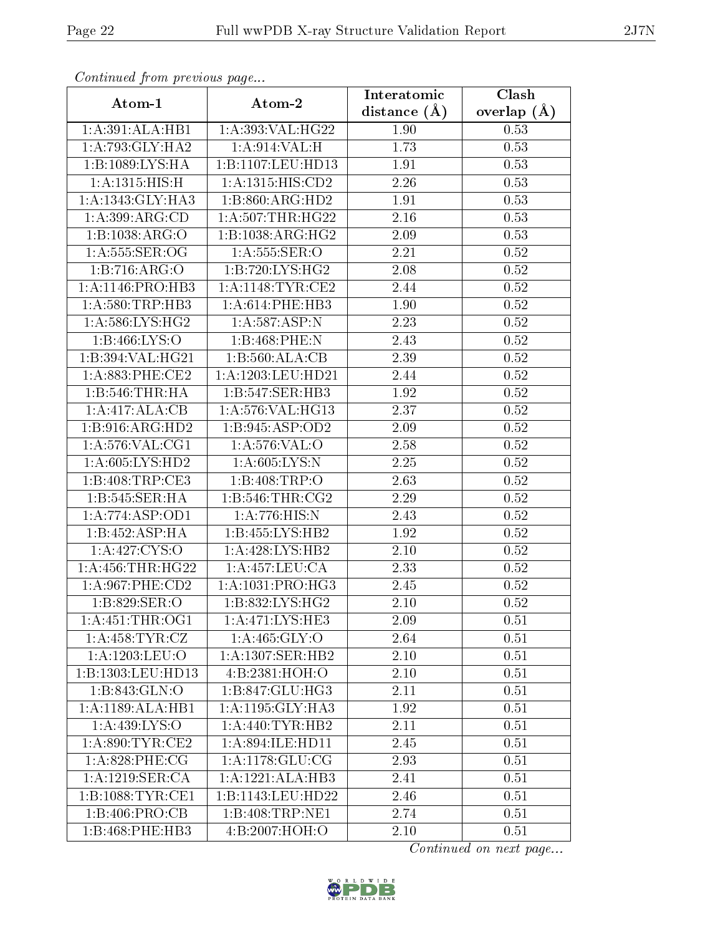| $\sum_{i=1}^{n}$<br>Atom-1 | Atom-2                                 | Interatomic    | Clash         |
|----------------------------|----------------------------------------|----------------|---------------|
|                            |                                        | distance $(A)$ | overlap $(A)$ |
| 1:A:391:ALA:HB1            | 1:A:393:VAL:HG22                       | 1.90           | 0.53          |
| 1: A:793: GLY:HA2          | 1: A:914: VAL:H                        | 1.73           | 0.53          |
| 1:B:1089:LYS:HA            | 1:B:1107:LEU:HD13                      | 1.91           | 0.53          |
| 1: A:1315: HIS:H           | 1: A: 1315: HIS: CD2                   | 2.26           | 0.53          |
| 1:A:1343:GLY:HA3           | 1:B:860:ARG:HD2                        | 1.91           | 0.53          |
| 1: A:399: ARG:CD           | 1: A: 507: THR: HG22                   | 2.16           | 0.53          |
| 1:B:1038:ARG:O             | 1:B:1038:ARG:HG2                       | 2.09           | 0.53          |
| 1: A: 555: SER: OG         | 1: A: 555: SER: O                      | 2.21           | 0.52          |
| 1: B:716: ARG:O            | 1:B:720:LYS:HG2                        | 2.08           | 0.52          |
| 1:A:1146:PRO:HB3           | 1:A:1148:TYR:CE2                       | 2.44           | $0.52\,$      |
| 1: A:580:TRP:HB3           | 1:A:614:PHE:HB3                        | 1.90           | 0.52          |
| 1: A:586: LYS: HG2         | 1:A:587:ASP:N                          | 2.23           | 0.52          |
| 1: B: 466: LYS: O          | 1:B:468:PHE:N                          | 2.43           | 0.52          |
| 1:B:394:VAL:HG21           | 1:B:560:ALA:CB                         | 2.39           | 0.52          |
| 1: A:883:PHE:CE2           | 1:A:1203:LEU:HD21                      | 2.44           | 0.52          |
| 1:B:546:THR:HA             | 1:B:547:SER:HB3                        | 1.92           | 0.52          |
| 1:A:417:ALA:CB             | 1: A:576: VAL:HG13                     | 2.37           | 0.52          |
| 1:B:916:ARG:HD2            | $1:B:945:AS\overline{P:OD2}$           | 2.09           | $0.52\,$      |
| 1: A:576: VAL:CG1          | 1:A:576:VAL:O                          | $2.58\,$       | $0.52\,$      |
| 1: A:605: LYS: HD2         | 1: A:605:LYS:N                         | 2.25           | 0.52          |
| 1: B:408:TRP:CE3           | 1:B:408:TRP:O                          | 2.63           | 0.52          |
| 1:B:545:SER:HA             | 1: B: 546: THR: CG2                    | 2.29           | 0.52          |
| 1:A:774:ASP:OD1            | 1:A:776:HIS:N                          | 2.43           | 0.52          |
| 1:B:452:ASP:HA             | 1:B:455:LYS:HB2                        | 1.92           | 0.52          |
| 1:A:427:CYS:O              | 1: A:428: LYS: HB2                     | 2.10           | 0.52          |
| 1: A: 456: THR: HG22       | 1: A: 457: LEU: CA                     | 2.33           | 0.52          |
| 1: A:967:PHE:CD2           | 1: A: 1031: PRO:HG3                    | 2.45           | 0.52          |
| 1:B:829:SER:O              | 1: B: 832: LYS: HG2                    | 2.10           | 0.52          |
| 1: A: 451: THE: OG1        | 1:A:471:LYS:HE3                        | 2.09           | 0.51          |
| 1: A: 458: TYR: CZ         | 1:A:465:GLY:O                          | 2.64           | 0.51          |
| 1:A:1203:LEU:O             | 1:A:1307:SER:HB2                       | $2.10\,$       | 0.51          |
| 1:B:1303:LEU:HD13          | 4:B:2381:HOH:O                         | 2.10           | 0.51          |
| 1:B:843:GLN:O              | 1:B:847:GLU:HG3                        | 2.11           | 0.51          |
| 1:A:1189:ALA:HB1           | $1: A:1195: \overline{GLY:HA3}$        | 1.92           | 0.51          |
| 1: A: 439: LYS: O          | 1: A:440: TYR: HB2                     | 2.11           | 0.51          |
| 1: A:890: TYR: CE2         | 1: A:894: ILE: HD11                    | 2.45           | 0.51          |
| 1: A:828:PHE:CG            | 1: A:1178: GLU: CG                     | 2.93           | 0.51          |
| 1: A: 1219: SER: CA        | 1:A:1221:ALA:HB3                       | 2.41           | 0.51          |
| 1:B:1088:TYR:CE1           | 1:B:1143:LEU:HD22                      | 2.46           | 0.51          |
| 1:B:406:PRO:CB             | 1:B:408:TRP:NE1                        | 2.74           | 0.51          |
| 1:B:468:PHE:HB3            | 4:B:2007:H <sub>0</sub> H <sub>0</sub> | 2.10           | 0.51          |

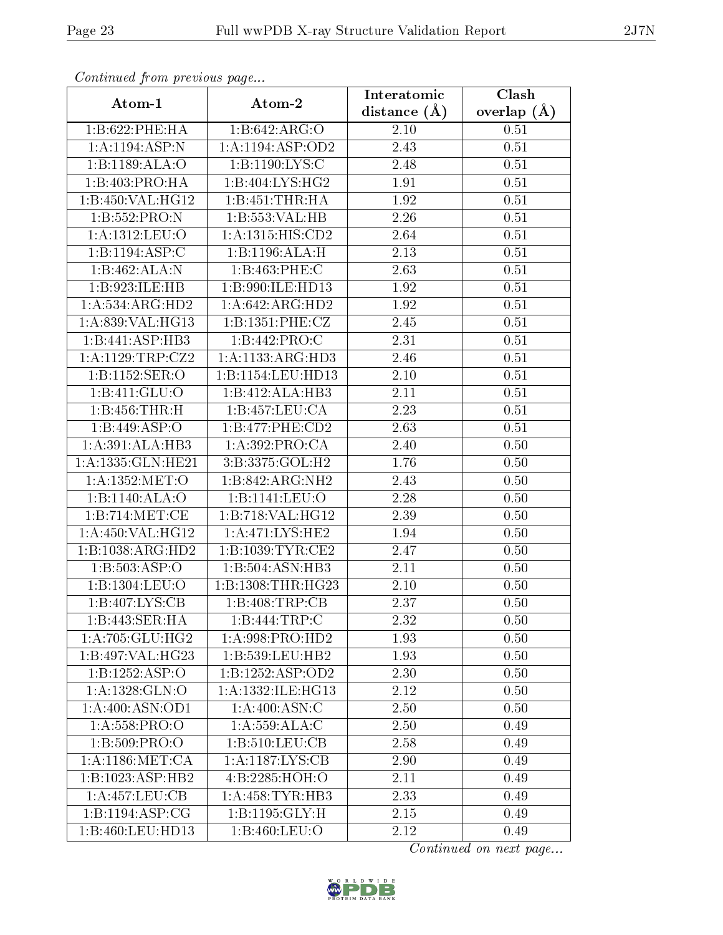| $\sum_{i=1}^{n}$<br>Atom-1 | Atom-2                                     | Interatomic       | $\overline{\text{Clash}}$ |
|----------------------------|--------------------------------------------|-------------------|---------------------------|
|                            |                                            | distance $(A)$    | overlap $(\AA)$           |
| 1:B:622:PHE:HA             | 1:B:642:ARG:O                              | 2.10              | 0.51                      |
| 1:A:1194:ASP:N             | 1:A:1194:ASP:OD2                           | 2.43              | 0.51                      |
| 1:B:1189:ALA:O             | 1:B:1190:LYS:C                             | 2.48              | 0.51                      |
| 1:B:403:PRO:HA             | 1:B:404:LYS:HG2                            | 1.91              | 0.51                      |
| 1:B:450:VAL:HG12           | 1:B:451:THR:HA                             | 1.92              | 0.51                      |
| 1:B:552:PRO:N              | 1:B:553:VAL:HB                             | 2.26              | 0.51                      |
| 1:A:1312:LEU:O             | 1: A: 1315: HIS: CD2                       | 2.64              | 0.51                      |
| 1:B:1194:ASP:C             | 1:B:1196:ALA:H                             | 2.13              | 0.51                      |
| 1:B:462:ALA:N              | 1:B:463:PHE:C                              | 2.63              | 0.51                      |
| 1:B:923:ILE:HB             | 1:B:990:ILE:HD13                           | 1.92              | 0.51                      |
| 1:A:534:ARG:HD2            | 1:A:642:ARG:HD2                            | 1.92              | 0.51                      |
| 1:A:839:VAL:HG13           | 1:B:1351:PHE:CZ                            | $2.45\,$          | 0.51                      |
| 1:B:441:ASP:HB3            | 1:B:442:PRO:C                              | 2.31              | 0.51                      |
| $1:$ A:1129:TRP:CZ2        | 1:A:1133:ARG:HD3                           | 2.46              | 0.51                      |
| 1:B:1152:SER:O             | 1:B:1154:LEU:HD13                          | 2.10              | 0.51                      |
| 1:B:411:GLU:O              | 1:B:412:ALA:HB3                            | 2.11              | 0.51                      |
| 1:B:456:THR:H              | 1:B:457:LEU:CA                             | 2.23              | 0.51                      |
| 1:B:449:ASP:O              | 1:B:477:PHE:CD2                            | 2.63              | 0.51                      |
| 1:A:391:ALA:HB3            | 1:A:392:PRO:CA                             | 2.40              | 0.50                      |
| 1:A:1335:GLN:HE21          | 3:B:3375:GOL:H2                            | $\overline{1.76}$ | 0.50                      |
| 1:A:1352:MET:O             | 1:B:842:ARG:NH2                            | 2.43              | 0.50                      |
| 1:B:1140:ALA:O             | 1:B:1141:LEU:O                             | 2.28              | 0.50                      |
| 1:B:714:MET:CE             | 1:B:718:VAL:HG12                           | 2.39              | 0.50                      |
| 1:A:450:VAL:HG12           | 1:A:471:LYS:HE2                            | 1.94              | 0.50                      |
| 1:B:1038:ARG:HD2           | 1: B: 1039: TYR: CE2                       | 2.47              | 0.50                      |
| 1:B:503:ASP:O              | 1:B:504:ASN:HB3                            | 2.11              | 0.50                      |
| 1:B:1304:LEU:O             | 1: B: 1308: THR: HG23                      | $2.10\,$          | 0.50                      |
| 1:B:407:LYS:CB             | 1:B:408:TRP:CB                             | 2.37              | 0.50                      |
| 1:B:443:SER:HA             | 1:B:444:TRP:C                              | 2.32              | 0.50                      |
| 1: A:705: GLU:HG2          | 1: A:998: PRO:HD2                          | 1.93              | 0.50                      |
| 1:B:497:VAL:HG23           | 1: B: 539: LEU: HB2                        | 1.93              | 0.50                      |
| 1:B:1252:ASP:O             | 1:B:1252:ASP:OD2                           | 2.30              | 0.50                      |
| 1: A: 1328: GLN:O          | 1:A:1332:ILE:HG13                          | 2.12              | 0.50                      |
| 1: A:400: ASN:OD1          | 1: A:400:ASN:C                             | 2.50              | 0.50                      |
| 1:A:558:PRO:O              | 1: A: 559: ALA: C                          | 2.50              | 0.49                      |
| 1:B:509:PRO:O              | 1:B:510:LEU:CB                             | 2.58              | 0.49                      |
| 1: A:1186:MET:CA           | $1:A:1187:\overline{\text{L}YS:\text{CB}}$ | 2.90              | 0.49                      |
| 1:B:1023:ASP:HB2           | 4:B:2285:HOH:O                             | 2.11              | 0.49                      |
| 1:A:457:LEU:CB             | 1: A: 458: TYR: HB3                        | 2.33              | 0.49                      |
| 1: B: 1194: ASP: CG        | $1:B:1195:GLY:\overline{H}$                | 2.15              | 0.49                      |
| 1:B:460:LEU:HD13           | 1:B:460:LEU:O                              | 2.12              | 0.49                      |

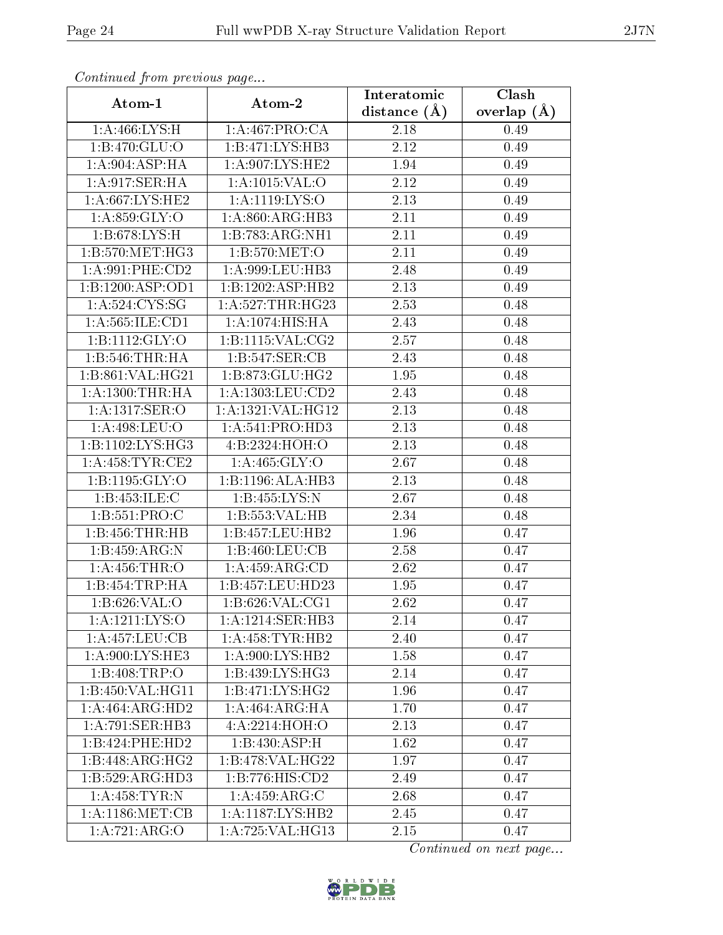| <i>. .</i><br>Atom-1         | $\cdots$ $\cdots$<br>Atom-2 | Interatomic      | Clash           |
|------------------------------|-----------------------------|------------------|-----------------|
|                              |                             | distance $(\AA)$ | overlap $(\AA)$ |
| 1: A:466: LYS:H              | 1:A:467:PRO:CA              | 2.18             | 0.49            |
| 1:B:470:GLU:O                | 1:B:471:LYS:HB3             | 2.12             | 0.49            |
| 1: A:904: ASP:HA             | 1:A:907:LYS:HE2             | 1.94             | 0.49            |
| 1:A:917:SER:HA               | 1: A: 1015: VAL: O          | 2.12             | 0.49            |
| 1:A:667:LYS:HE2              | 1: A:1119: LYS:O            | 2.13             | 0.49            |
| 1: A.859: GLY:O              | 1: A:860: ARG:HB3           | 2.11             | 0.49            |
| 1: B:678: LYS:H              | 1:B:783:ARG:NH1             | 2.11             | 0.49            |
| 1:B:570:MET:HG3              | 1: B: 570: MET:O            | 2.11             | 0.49            |
| 1: A:991: PHE:CD2            | 1:A:999:LEU:HB3             | 2.48             | 0.49            |
| 1:B:1200:ASP:OD1             | 1:B:1202:ASP:HB2            | 2.13             | 0.49            |
| 1: A:524: CYS:SG             | 1:A:527:THR:HG23            | 2.53             | 0.48            |
| 1:A:565:ILE:CD1              | 1: A:1074: HIS: HA          | 2.43             | 0.48            |
| 1: B: 1112: GLY: O           | 1: B: 1115: VAL: CG2        | 2.57             | 0.48            |
| 1:B:546:THR:HA               | 1:B:547:SER:CB              | 2.43             | 0.48            |
| 1:B:861:VAL:HG21             | 1: B: 873: GLU: HG2         | 1.95             | 0.48            |
| 1: A: 1300: THR: HA          | 1:A:1303:LEU:CD2            | 2.43             | 0.48            |
| 1:A:1317:SER:O               | 1:A:1321:VAL:HG12           | 2.13             | 0.48            |
| 1:A:498:LEU:O                | 1: A:541: PRO:HD3           | 2.13             | 0.48            |
| 1:B:1102:LYS:HG3             | 4:B:2324:HOH:O              | 2.13             | 0.48            |
| 1: A: 458: TYR: CE2          | 1: A: 465: GLY:O            | 2.67             | 0.48            |
| 1: B: 1195: GLY: O           | 1:B:1196:ALA:HB3            | 2.13             | 0.48            |
| 1:B:453:ILE:C                | 1:B:455:LYS:N               | 2.67             | 0.48            |
| 1: B: 551: PRO: C            | 1:B:553:VAL:HB              | 2.34             | 0.48            |
| 1:B:456:THR:HB               | 1:B:457:LEU:HB2             | 1.96             | 0.47            |
| 1:B:459:ARG:N                | 1:B:460:LEU:CB              | 2.58             | 0.47            |
| 1:A:456:THR:O                | 1: A: 459: ARG: CD          | 2.62             | 0.47            |
| 1:B:454:TRP:HA               | 1:B:457:LEU:HD23            | 1.95             | 0.47            |
| 1: B:626: VAL:O              | 1: B:626: VAL:CG1           | 2.62             | 0.47            |
| 1: A: 1211: LYS: O           | 1:A:1214:SER:HB3            | 2.14             | 0.47            |
| 1:A:457:LEU:CB               | 1: A: 458: TYR: HB2         | 2.40             | 0.47            |
| 1: A:900: LYS: HE3           | 1: A:900: LYS: HB2          | 1.58             | 0.47            |
| 1:B:408:TRP:O                | 1: B: 439: LYS: HG3         | 2.14             | 0.47            |
| 1:B:450:VAL:HG11             | 1:B:471:LYS:HG2             | 1.96             | 0.47            |
| 1:A:464:ARG:HD2              | 1: A: 464: ARG: HA          | 1.70             | 0.47            |
| 1:A:791:SER:HB3              | 4:A:2214:HOH:O              | 2.13             | 0.47            |
| 1:B:424:PHE:HD2              | 1:B:430:ASP:H               | 1.62             | 0.47            |
| $1:B:448:AR\overline{G:HG2}$ | 1:B:478:VAL:HG22            | 1.97             | 0.47            |
| 1:B:529:ARG:HD3              | 1:B:776:HIS:CD2             | 2.49             | 0.47            |
| 1:A:458:TYR:N                | 1: A:459: ARG: C            | 2.68             | 0.47            |
| 1: A:1186:MET:CB             | 1:A:1187:LYS:HB2            | 2.45             | 0.47            |
| 1:A:721:ARG:O                | 1:A:725:VAL:HG13            | 2.15             | 0.47            |

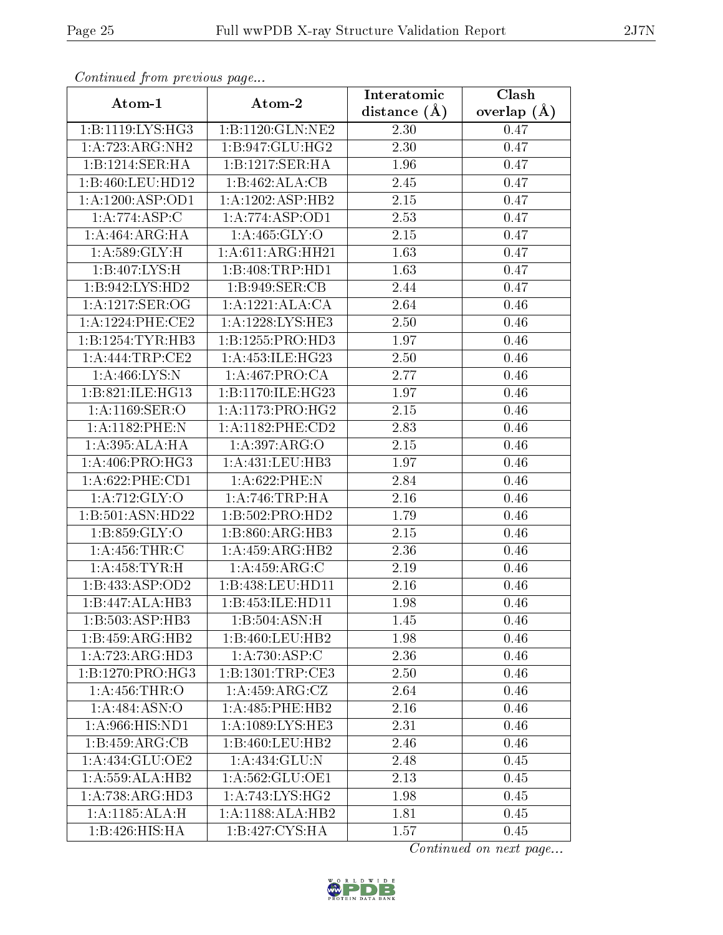| $\cdots$ $\cdots$ $\cdots$ $\cdots$ $\cdots$ $\cdots$ $\cdots$ $\cdots$ $\cdots$ $\cdots$<br>Atom-1 | Atom-2                        | Interatomic      | Clash         |
|-----------------------------------------------------------------------------------------------------|-------------------------------|------------------|---------------|
|                                                                                                     |                               | distance $(\AA)$ | overlap $(A)$ |
| 1:B:1119:LYS:HG3                                                                                    | 1:B:1120:GLN:NE2              | 2.30             | 0.47          |
| 1:A:723:ARG:NH2                                                                                     | 1:B:947:GLU:HG2               | 2.30             | 0.47          |
| 1:B:1214:SER:HA                                                                                     | 1:B:1217:SER:HA               | 1.96             | 0.47          |
| 1:B:460:LEU:HD12                                                                                    | 1:B:462:ALA:CB                | 2.45             | 0.47          |
| 1:A:1200:ASP:OD1                                                                                    | 1:A:1202:ASP:HB2              | 2.15             | 0.47          |
| 1:A:774:ASP:C                                                                                       | 1:A:774:ASP:OD1               | 2.53             | 0.47          |
| 1: A:464: ARG: HA                                                                                   | $1: A: 465: \overline{GLY:O}$ | 2.15             | 0.47          |
| 1: A:589: GLY: H                                                                                    | 1: A:611: ARG:HH21            | 1.63             | 0.47          |
| 1:B:407:LYS:H                                                                                       | 1:B:408:TRP:HD1               | 1.63             | 0.47          |
| 1:B:942:LYS:HD2                                                                                     | 1:B:949:SER:CB                | 2.44             | 0.47          |
| 1: A: 1217: SER: OG                                                                                 | 1:A:1221:ALA:CA               | 2.64             | 0.46          |
| 1:A:1224:PHE:CE2                                                                                    | 1:A:1228:LYS:HE3              | 2.50             | 0.46          |
| 1:B:1254:TYR:HB3                                                                                    | 1: B: 1255: PRO: HD3          | 1.97             | 0.46          |
| 1:A:444:TRP:CE2                                                                                     | 1: A: 453: ILE: HG23          | 2.50             | 0.46          |
| 1: A:466: LYS:N                                                                                     | 1:A:467:PRO:CA                | 2.77             | 0.46          |
| 1:B:821:ILE:HG13                                                                                    | 1:B:1170:ILE:HG23             | 1.97             | 0.46          |
| $1: A:1169: \overline{\text{SER:O}}$                                                                | 1:A:1173:PRO:HG2              | $2.15\,$         | 0.46          |
| 1:A:1182:PHE:N                                                                                      | 1:A:1182:PHE:CD2              | 2.83             | 0.46          |
| 1:A:395:ALA:HA                                                                                      | 1: A: 397: ARG: O             | 2.15             | 0.46          |
| 1: A:406: PRO:HG3                                                                                   | 1:A:431:LEU:HB3               | 1.97             | 0.46          |
| $1: A:622:$ PHE: $CD1$                                                                              | $1: A:622:$ PHE:N             | 2.84             | 0.46          |
| 1:A:712:GLY:O                                                                                       | 1: A:746:TRP:HA               | 2.16             | 0.46          |
| 1:B:501:ASN:HD22                                                                                    | 1:B:502:PRO:HD2               | 1.79             | 0.46          |
| 1: B:859: GLY:O                                                                                     | $1:B:860:A\overline{RG:H}B3$  | 2.15             | 0.46          |
| 1: A: 456: THR: C                                                                                   | 1:A:459:ARG:HB2               | 2.36             | 0.46          |
| 1: A: 458: TYR: H                                                                                   | 1: A: 459: ARG: C             | 2.19             | 0.46          |
| 1:B:433:ASP:OD2                                                                                     | 1:B:438:LEU:HD11              | 2.16             | 0.46          |
| 1:B:447:ALA:HB3                                                                                     | 1:B:453:ILE:HD11              | 1.98             | 0.46          |
| 1:B:503:ASP:HB3                                                                                     | 1:B:504:ASN:H                 | 1.45             | 0.46          |
| 1:B:459:ARG:HB2                                                                                     | 1:B:460:LEU:HB2               | 1.98             | 0.46          |
| 1:A:723:ARG:HD3                                                                                     | 1:A:730:ASP:C                 | 2.36             | 0.46          |
| 1:B:1270:PRO:HG3                                                                                    | 1:B:1301:TRP:CE3              | 2.50             | 0.46          |
| 1:A:456:THR:O                                                                                       | 1:A:459:ARG:CZ                | 2.64             | 0.46          |
| 1:A:484:ASN:O                                                                                       | 1:A:485:PHE:HB2               | 2.16             | 0.46          |
| 1:A:966:HIS:ND1                                                                                     | 1:A:1089:LYS:HE3              | 2.31             | 0.46          |
| 1:B:459:ARG:CB                                                                                      | 1:B:460:LEU:HB2               | 2.46             | 0.46          |
| 1:A:434:GLU:OE2                                                                                     | 1:A:434:GLU:N                 | 2.48             | 0.45          |
| 1: A: 559: ALA: HB2                                                                                 | 1:A:562:GLU:OE1               | 2.13             | 0.45          |
| 1:A:738:ARG:HD3                                                                                     | 1: A:743: LYS:HG2             | 1.98             | 0.45          |
| 1:A:1185:ALA:H                                                                                      | 1:A:1188:ALA:HB2              | 1.81             | 0.45          |
| 1:B:426:HIS:HA                                                                                      | 1:B:427:CYS:HA                | 1.57             | 0.45          |

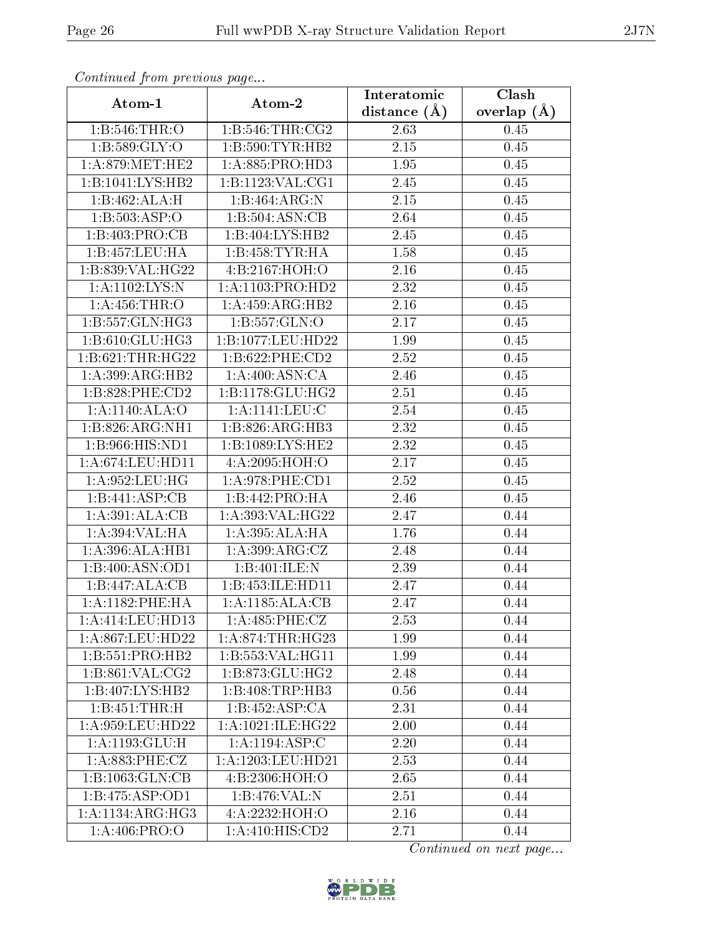| $\sum_{i=1}^{n}$<br>Atom-1          | Atom-2                | Interatomic    | Clash         |
|-------------------------------------|-----------------------|----------------|---------------|
|                                     |                       | distance $(A)$ | overlap $(A)$ |
| 1:B:546:THR:O                       | 1:B:546:THR:CG2       | 2.63           | 0.45          |
| 1: B:589: GLY:O                     | 1: B:590: TYR: HB2    | 2.15           | 0.45          |
| 1: A:879:MET:HE2                    | 1:A:885:PRO:HD3       | 1.95           | 0.45          |
| 1:B:1041:LYS:HB2                    | 1:B:1123:VAL:CG1      | 2.45           | 0.45          |
| 1:B:462:ALA:H                       | 1:B:464:ARG:N         | 2.15           | 0.45          |
| 1:B:503:ASP:O                       | 1:B:504:ASN:CB        | 2.64           | 0.45          |
| 1:B:403:PRO:CB                      | 1:B:404:LYS:HB2       | 2.45           | 0.45          |
| 1:B:457:LEU:HA                      | 1:B:458:TYR:HA        | 1.58           | 0.45          |
| 1:B:839:VAL:HG22                    | 4: B: 2167: HOH:O     | 2.16           | 0.45          |
| 1:A:1102:LYS:N                      | 1:A:1103:PRO:HD2      | 2.32           | 0.45          |
| 1: A: 456: THR:O                    | 1:A:459:ARG:HB2       | 2.16           | 0.45          |
| 1:B:557:GLN:HG3                     | 1: B: 557: GLN:O      | 2.17           | 0.45          |
| 1: B:610: GLU: HG3                  | 1:B:1077:LEU:HD22     | 1.99           | 0.45          |
| 1:B:621:THR:HG22                    | 1:B:622:PHE:CD2       | 2.52           | 0.45          |
| 1: A:399: ARG: HB2                  | 1: A:400: ASN:CA      | 2.46           | 0.45          |
| 1:B:828:PHE:CD2                     | 1:B:1178:GLU:HG2      | 2.51           | 0.45          |
| 1:A:1140:ALA:O                      | 1:A:1141:LEU:C        | 2.54           | 0.45          |
| 1:B:826:ARG:NH1                     | 1:B:826:ARG:HB3       | 2.32           | 0.45          |
| 1: B: 966: HIS: ND1                 | 1:B:1089:LYS:HE2      | 2.32           | 0.45          |
| 1: A:674:LEU:HD11                   | 4:A:2095:HOH:O        | 2.17           | 0.45          |
| 1: A:952:LEU:HG                     | 1: A:978: PHE:CD1     | 2.52           | 0.45          |
| 1:B:441:ASP:CB                      | 1:B:442:PRO:HA        | 2.46           | 0.45          |
| 1:A:391:ALA:CB                      | 1:A:393:VAL:HG22      | 2.47           | 0.44          |
| 1:A:394:VAL:HA                      | 1:A:395:ALA:HA        | 1.76           | 0.44          |
| 1: A:396:ALA:HB1                    | 1:A:399:ARG:CZ        | 2.48           | 0.44          |
| 1:B:400:ASN:OD1                     | 1:B:401:ILE:N         | 2.39           | 0.44          |
| 1:B:447:ALA:CB                      | 1:B:453:ILE:HD11      | 2.47           | 0.44          |
| 1:A:1182:PHE:HA                     | 1:A:1185:ALA:CB       | 2.47           | 0.44          |
| 1:A:414:LEU:HD13                    | 1: A:485: PHE: CZ     | 2.53           | 0.44          |
| 1:A:867:LEU:HD22                    | 1: A:874:THR:HG23     | 1.99           | 0.44          |
| 1:B:551:PRO:HB2                     | 1:B:553:VAL:HG11      | 1.99           | 0.44          |
| 1:B:861:VAL:CG2                     | 1: B:873: GLU: HG2    | 2.48           | 0.44          |
| 1:B:407:LYS:HB2                     | 1:B:408:TRP:HB3       | 0.56           | 0.44          |
| 1:B:451:THR:H                       | 1:B:452:ASP:CA        | 2.31           | 0.44          |
| 1:A:959:LEU:HD22                    | 1: A: 1021: ILE: HG22 | 2.00           | 0.44          |
| $1:A:1193:\overline{\text{GLU:H}}$  | 1:A:1194:ASP:C        | 2.20           | 0.44          |
| 1: A:883:PHE:CZ                     | 1:A:1203:LEU:HD21     | 2.53           | 0.44          |
| $1:B:1063:GLN:\overline{\text{CB}}$ | 4:B:2306:HOH:O        | 2.65           | 0.44          |
| 1:B:475:ASP:OD1                     | 1:B:476:VAL:N         | 2.51           | 0.44          |
| $1:A:1134:ARG:\overline{HG3}$       | 4:A:2232:HOH:O        | 2.16           | 0.44          |
| 1:A:406:PRO:O                       | 1:A:410:HIS:CD2       | 2.71           | 0.44          |

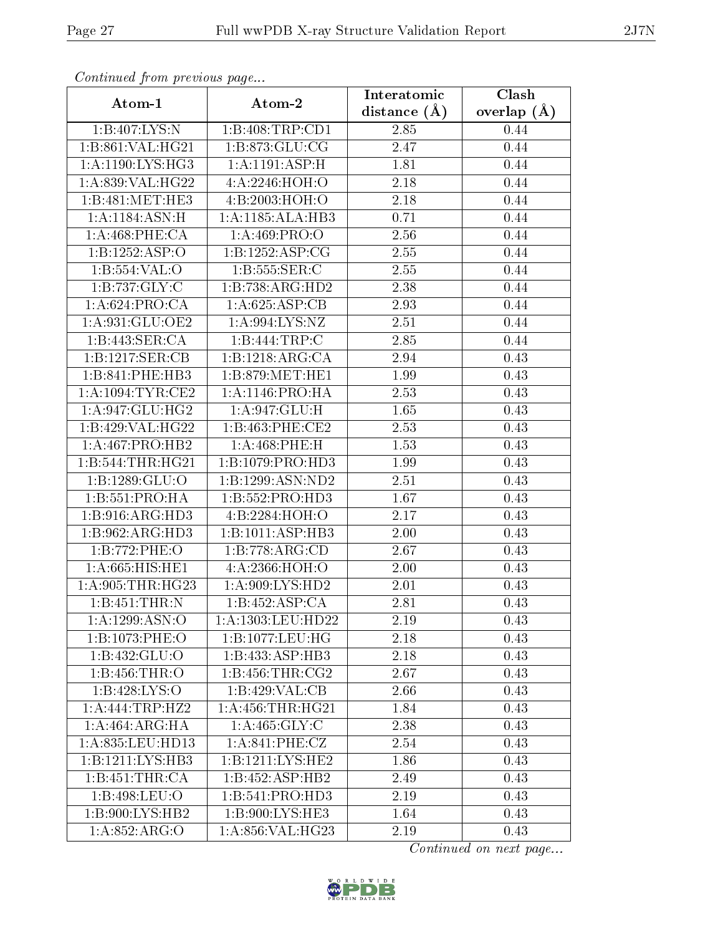| <i>, r</i><br>Atom-1 | $\cdots$ $\cdots$ $\cdots$<br>Atom-2 | Interatomic       | Clash         |
|----------------------|--------------------------------------|-------------------|---------------|
|                      |                                      | distance $(\AA)$  | overlap $(A)$ |
| 1:B:407:LYS:N        | 1:B:408:TRP:CD1                      | 2.85              | 0.44          |
| 1:B:861:VAL:HG21     | 1:B:873:GLU:CG                       | 2.47              | 0.44          |
| 1: A:1190: LYS: HG3  | 1:A:1191:ASP:H                       | 1.81              | 0.44          |
| 1:A:839:VAL:HG22     | 4: A:2246:HOH:O                      | 2.18              | 0.44          |
| 1:B:481:MET:HE3      | 4:B:2003:HOH:O                       | 2.18              | 0.44          |
| 1:A:1184:ASN:H       | 1:A:1185:ALA:HB3                     | $0.71\,$          | 0.44          |
| 1: A:468: PHE:CA     | 1:A:469:PRO:O                        | 2.56              | 0.44          |
| 1:B:1252:ASP:O       | 1:B:1252:ASP:CG                      | 2.55              | 0.44          |
| 1: B: 554: VAL: O    | 1: B: 555: SER:C                     | 2.55              | 0.44          |
| 1: B: 737: GLY: C    | 1:B:738:ARG:HD2                      | 2.38              | 0.44          |
| 1: A:624: PRO:CA     | 1:A:625:ASP:CB                       | 2.93              | 0.44          |
| 1:A:931:GLU:OE2      | 1: A:994: LYS: NZ                    | $\overline{2.51}$ | 0.44          |
| 1:B:443:SER:CA       | 1:B:444:TRP:C                        | 2.85              | 0.44          |
| 1:B:1217:SER:CB      | 1:B:1218:ARG:CA                      | 2.94              | 0.43          |
| 1:B:841:PHE:HB3      | 1:B:879:MET:HE1                      | 1.99              | 0.43          |
| 1: A: 1094: TYR: CE2 | 1: A:1146: PRO:HA                    | 2.53              | 0.43          |
| 1: A:947: GLU: HG2   | 1:A:947:GLU:H                        | 1.65              | 0.43          |
| 1:B:429:VAL:HG22     | 1:B:463:PHE:CE2                      | 2.53              | 0.43          |
| 1:A:467:PRO:HB2      | 1:A:468:PHE:H                        | 1.53              | 0.43          |
| 1:B:544:THR:HG21     | 1:B:1079:PRO:HD3                     | 1.99              | 0.43          |
| 1:B:1289:GLU:O       | 1:B:1299:ASN:ND2                     | 2.51              | 0.43          |
| 1: B: 551: PRO: HA   | 1:B:552:PRO:HD3                      | 1.67              | 0.43          |
| 1: B: 916: ARG: HD3  | 4:B:2284:HOH:O                       | 2.17              | 0.43          |
| 1:B:962:ARG:HD3      | 1:B:1011:ASP:HB3                     | 2.00              | 0.43          |
| 1:B:772:PHE:O        | 1:B:778:ARG:CD                       | 2.67              | 0.43          |
| 1:A:665:HIS:HE1      | 4: A: 2366: HOH:O                    | 2.00              | 0.43          |
| 1: A:905:THR:HG23    | 1: A:909: LYS: HD2                   | 2.01              | 0.43          |
| 1:B:451:THR:N        | 1:B:452:ASP:CA                       | 2.81              | 0.43          |
| 1: A: 1299: ASN:O    | 1: A: 1303: LEU: HD22                | 2.19              | 0.43          |
| 1:B:1073:PHE:O       | 1:B:1077:LEU:HG                      | 2.18              | 0.43          |
| 1:B:432:GLU:O        | 1:B:433:ASP:HB3                      | 2.18              | 0.43          |
| 1:B:456:THR:O        | 1: B: 456: THR: CG2                  | 2.67              | 0.43          |
| 1:B:428:LYS:O        | 1:B:429:VAL:CB                       | 2.66              | 0.43          |
| 1: A:444:TRP:HZ2     | 1: A: 456: THR: HG21                 | 1.84              | 0.43          |
| 1:A:464:ARG:HA       | 1: A:465: GLY: C                     | 2.38              | 0.43          |
| 1:A:835:LEU:HD13     | 1:A:841:PHE:CZ                       | 2.54              | 0.43          |
| 1:B:1211:LYS:HB3     | 1:B:1211:LYS:HE2                     | 1.86              | 0.43          |
| 1:B:451:THR:CA       | 1:B:452:ASP:HB2                      | 2.49              | 0.43          |
| 1:B:498:LEU:O        | 1:B:541:PRO:HD3                      | 2.19              | 0.43          |
| 1:B:900:LYS:HB2      | 1:B:900:LYS:HE3                      | 1.64              | 0.43          |
| 1:A:852:ARG:O        | 1:A:856:VAL:HG23                     | 2.19              | 0.43          |

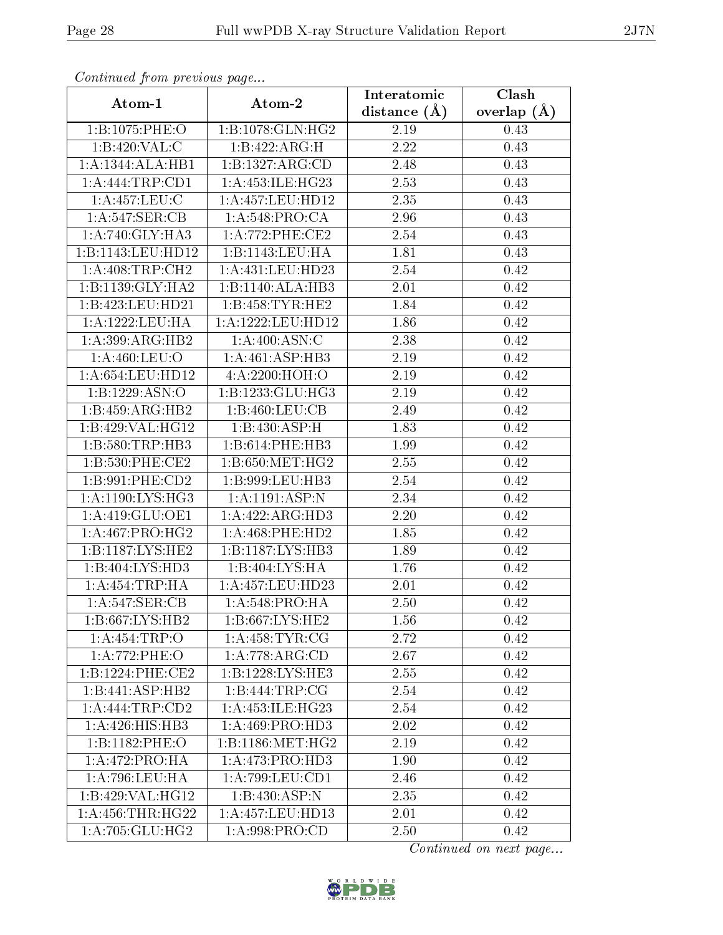| Atom-1               | Atom-2               | Interatomic    | Clash         |
|----------------------|----------------------|----------------|---------------|
|                      |                      | distance $(A)$ | overlap $(A)$ |
| 1:B:1075:PHE:O       | 1:B:1078:GLN:HG2     | 2.19           | 0.43          |
| 1: B:420: VAL:C      | 1:B:422:ARG:H        | 2.22           | 0.43          |
| 1:A:1344:ALA:HB1     | 1:B:1327:ARG:CD      | 2.48           | 0.43          |
| 1:A:444:TRP:CD1      | 1:A:453:ILE:HG23     | 2.53           | 0.43          |
| 1:A:457:LEU:C        | 1:A:457:LEU:HD12     | 2.35           | 0.43          |
| 1: A:547: SER: CB    | 1: A:548: PRO:CA     | 2.96           | 0.43          |
| 1: A:740: GLY:HA3    | 1: A:772: PHE:CE2    | 2.54           | 0.43          |
| 1:B:1143:LEU:HD12    | 1:B:1143:LEU:HA      | 1.81           | 0.43          |
| 1: A:408:TRP:CH2     | 1: A: 431: LEU: HD23 | 2.54           | 0.42          |
| 1:B:1139:GLY:HA2     | 1:B:1140:ALA:HB3     | 2.01           | 0.42          |
| 1:B:423:LEU:HD21     | 1: B: 458: TYR: HE2  | 1.84           | 0.42          |
| 1:A:1222:LEU:HA      | 1:A:1222:LEU:HD12    | 1.86           | 0.42          |
| 1:A:399:ARG:HB2      | 1:A:400:ASN:C        | 2.38           | 0.42          |
| 1: A:460: LEU:O      | 1:A:461:ASP:HB3      | 2.19           | 0.42          |
| 1: A:654:LEU:HD12    | 4:A:2200:HOH:O       | 2.19           | 0.42          |
| 1:B:1229:ASN:O       | 1:B:1233:GLU:HG3     | 2.19           | 0.42          |
| 1:B:459:ARG:HB2      | 1:B:460:LEU:CB       | 2.49           | 0.42          |
| 1:B:429:VAL:HG12     | 1:B:430:ASP:H        | 1.83           | 0.42          |
| 1:B:580:TRP:HB3      | 1:B:614:PHE:HB3      | 1.99           | 0.42          |
| $1: B:530:$ PHE:CE2  | 1: B:650:MET:HG2     | 2.55           | 0.42          |
| 1:B:991:PHE:CD2      | 1:B:999:LEU:HB3      | 2.54           | 0.42          |
| 1:A:1190:LYS:HG3     | 1:A:1191:ASP:N       | 2.34           | 0.42          |
| 1:A:419:GLU:OE1      | 1:A:422:ARG:HD3      | 2.20           | 0.42          |
| 1: A:467: PRO:HG2    | 1: A:468:PHE:HD2     | 1.85           | 0.42          |
| 1:B:1187:LYS:HE2     | 1:B:1187:LYS:HB3     | 1.89           | 0.42          |
| 1:B:404:LYS:HD3      | 1:B:404:LYS:HA       | 1.76           | 0.42          |
| 1:A:454:TRP:HA       | 1:A:457:LEU:HD23     | 2.01           | 0.42          |
| 1:A:547:SER:CB       | 1: A:548:PRO:HA      | 2.50           | 0.42          |
| 1:B:667:LYS:HB2      | 1: B:667: LYS: HE2   | 1.56           | 0.42          |
| 1:A:454:TRP:O        | 1: A:458: TYR: CG    | 2.72           | 0.42          |
| 1:A:772:PHE:O        | 1:A:778:ARG:CD       | 2.67           | 0.42          |
| 1:B:1224:PHE:CE2     | 1:B:1228:LYS:HE3     | 2.55           | 0.42          |
| 1:B:441:ASP:HB2      | 1:B:444:TRP:CG       | 2.54           | 0.42          |
| 1:A:444:TRP:CD2      | 1:A:453:ILE:HG23     | 2.54           | 0.42          |
| 1:A:426:HIS:HB3      | 1: A:469: PRO:HD3    | 2.02           | 0.42          |
| 1:B:1182:PHE:O       | 1:B:1186:MET:HG2     | 2.19           | 0.42          |
| 1:A:472:PRO:HA       | 1:A:473:PRO:HD3      | 1.90           | 0.42          |
| 1: A:796:LEU:HA      | 1: A:799:LEU:CD1     | 2.46           | 0.42          |
| 1:B:429:VAL:HG12     | 1:B:430:ASP:N        | 2.35           | 0.42          |
| 1: A: 456: THR: HG22 | 1:A:457:LEU:HD13     | 2.01           | 0.42          |
| 1: A:705: GLU:HG2    | 1:A:998:PRO:CD       | 2.50           | 0.42          |

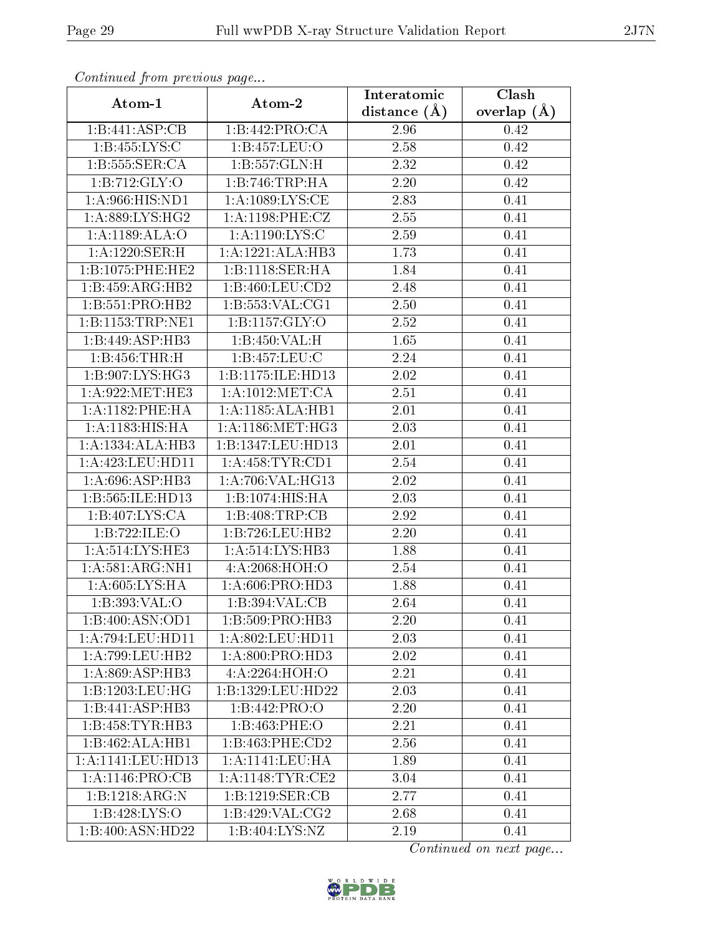| <i>. .</i><br>Atom-1          | $\cdots$ $\cdots$<br>Atom-2 | Interatomic      | Clash           |
|-------------------------------|-----------------------------|------------------|-----------------|
|                               |                             | distance $(\AA)$ | overlap $(\AA)$ |
| 1:B:441:ASP:CB                | 1:B:442:PRO:CA              | 2.96             | 0.42            |
| 1:B:455:LYS:C                 | 1:B:457:LEU:O               | 2.58             | 0.42            |
| 1:B:555:SER:CA                | 1:B:557:GLN:H               | 2.32             | 0.42            |
| 1:B:712:GLY:O                 | 1:B:746:TRP:HA              | 2.20             | 0.42            |
| 1:A:966:HIS:ND1               | 1: A: 1089: LYS: CE         | 2.83             | 0.41            |
| 1: A:889: LYS: HG2            | 1: A: 1198: PHE: CZ         | 2.55             | 0.41            |
| 1: A: 1189: ALA: O            | 1: A: 1190: LYS: C          | 2.59             | 0.41            |
| 1:A:1220:SER:H                | 1:A:1221:ALA:HB3            | 1.73             | 0.41            |
| 1:B:1075:PHE:HE2              | 1:B:1118:SER:HA             | 1.84             | 0.41            |
| 1:B:459:ARG:HB2               | 1:B:460:LEU:CD2             | 2.48             | 0.41            |
| 1:B:551:PRO:HB2               | 1: B: 553: VAL: CG1         | 2.50             | 0.41            |
| 1:B:1153:TRP:NE1              | 1:B:1157:GLY:O              | 2.52             | 0.41            |
| 1:B:449:ASP:HB3               | 1:B:450:VAL:H               | 1.65             | 0.41            |
| 1:B:456:THR:H                 | 1:B:457:LEU:C               | 2.24             | 0.41            |
| 1:B:907:LYS:HG3               | 1:B:1175:ILE:HD13           | 2.02             | 0.41            |
| 1: A:922: MET:HE3             | 1: A: 1012: MET: CA         | 2.51             | 0.41            |
| 1:A:1182:PHE:HA               | 1:A:1185:ALA:HB1            | 2.01             | 0.41            |
| 1: A:1183:HIS:HA              | 1: A:1186: MET:HG3          | 2.03             | 0.41            |
| 1:A:1334:ALA:HB3              | 1:B:1347:LEU:HD13           | 2.01             | 0.41            |
| 1:A:423:LEU:HD11              | 1: A: 458: TYR: CD1         | 2.54             | 0.41            |
| 1: A:696: ASP:HB3             | 1:A:706:VAL:HG13            | 2.02             | 0.41            |
| 1:B:565:ILE:HD13              | 1:B:1074:HIS:HA             | 2.03             | 0.41            |
| 1:B:407:LYS:CA                | 1:B:408:TRP:CB              | 2.92             | 0.41            |
| 1:B:722:ILE:O                 | 1:B:726:LEU:HB2             | $2.20\,$         | 0.41            |
| 1: A:514: LYS: HE3            | 1: A:514:LYS:HB3            | 1.88             | 0.41            |
| 1: A:581: ARG:NH1             | 4: A:2068:HOH:O             | 2.54             | 0.41            |
| 1: A:605: LYS: HA             | $1:$ A:606:PRO:HD3          | 1.88             | 0.41            |
| 1:B:393:VAL:O                 | 1:B:394:VAL:CB              | 2.64             | 0.41            |
| 1:B:400:ASN:OD1               | 1:B:509:PRO:HB3             | 2.20             | 0.41            |
| 1:A:794:LEU:HD11              | 1: A:802:LEU:HD11           | 2.03             | 0.41            |
| 1:A:799:LEU:HB2               | 1:A:800:PRO:HD3             | 2.02             | 0.41            |
| 1: A:869: ASP:HB3             | 4:A:2264:HOH:O              | 2.21             | 0.41            |
| 1:B:1203:LEU:HG               | 1:B:1329:LEU:HD22           | 2.03             | 0.41            |
| 1:B:441:ASP:HB3               | 1:B:442:PRO:O               | 2.20             | 0.41            |
| 1:B:458:TYR:HB3               | 1:B:463:PHE:O               | 2.21             | 0.41            |
| 1:B:462:ALA:HB1               | $1: B:463:$ PHE:CD2         | 2.56             | 0.41            |
| 1:A:1141:LEU:HD13             | $1:$ A:1141:LEU:HA          | 1.89             | 0.41            |
| 1: A: 1146: PRO: CB           | 1: A: 1148: TYR: CE2        | 3.04             | 0.41            |
| 1:B:1218:ARG:N                | 1:B:1219:SER:CB             | 2.77             | 0.41            |
| 1:B:428:LYS:O                 | 1:B:429:VAL:CG2             | 2.68             | 0.41            |
| $1:B:400:A\overline{SN:HD22}$ | 1: B:404: LYS: NZ           | 2.19             | 0.41            |

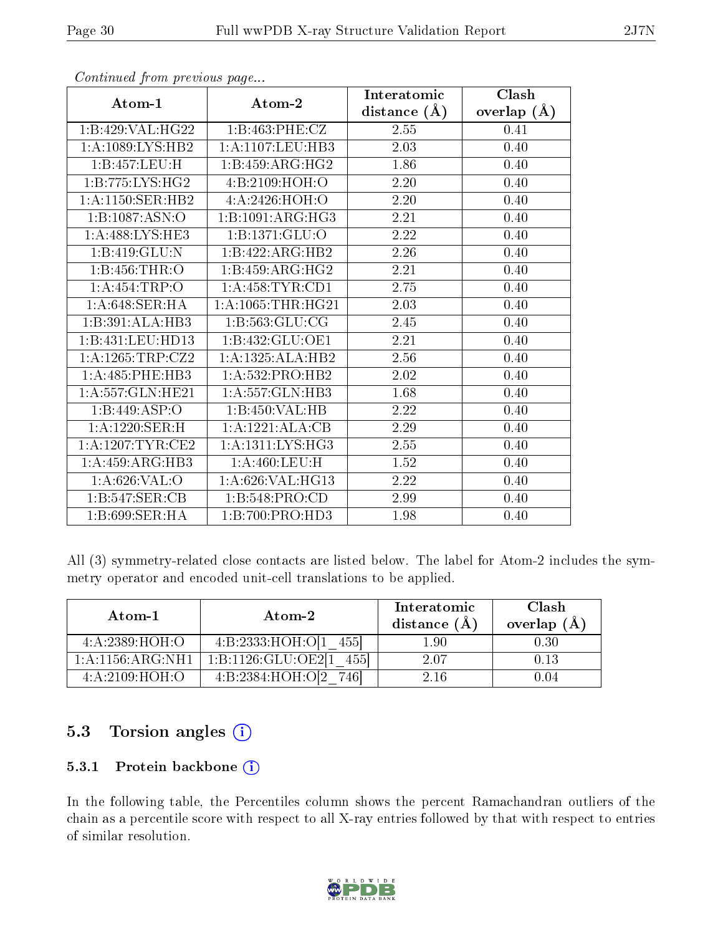|                      |                       | Interatomic       | Clash         |
|----------------------|-----------------------|-------------------|---------------|
| Atom-1               | Atom-2                | distance $(A)$    | overlap $(A)$ |
| 1:B:429:VAL:HG22     | 1:B:463:PHE:CZ        | 2.55              | 0.41          |
| 1: A: 1089: LYS: HB2 | 1: A: 1107: LEU: HB3  | 2.03              | 0.40          |
| 1:B:457:LEU:H        | 1:B:459:ARG:HG2       | 1.86              | 0.40          |
| 1:B:775:LYS:HG2      | 4: B: 2109: HOH:O     | 2.20              | 0.40          |
| 1:A:1150:SER:HB2     | 4: A:2426:HOH:O       | 2.20              | 0.40          |
| 1:B:1087:ASN:O       | 1:B:1091:ARG:HG3      | 2.21              | 0.40          |
| 1:A:488:LYS:HE3      | 1:B:1371:GLU:O        | $\overline{2.22}$ | $0.40\,$      |
| 1:B:419:GLU:N        | 1:B:422:ARG:HB2       | 2.26              | 0.40          |
| 1:B:456:THR:O        | 1:B:459:ARG:HG2       | $\overline{2.21}$ | 0.40          |
| 1:A:454:TRP:O        | 1:A:458:TYR:CD1       | 2.75              | 0.40          |
| 1:A:648:SER:HA       | 1: A: 1065: THR: HG21 | 2.03              | 0.40          |
| 1:B:391:ALA:HB3      | 1:B:563:GLU:CG        | 2.45              | 0.40          |
| 1:B:431:LEU:HD13     | 1: B: 432: GLU: OE1   | 2.21              | 0.40          |
| 1: A: 1265: TRP: CZ2 | 1:A:1325:ALA:HB2      | 2.56              | 0.40          |
| 1: A:485:PHE:HB3     | 1:A:532:PRO:HB2       | 2.02              | 0.40          |
| 1:A:557:GLN:HE21     | 1:A:557:GLN:HB3       | 1.68              | 0.40          |
| 1:B:449:ASP:O        | 1:B:450:VAL:HB        | 2.22              | 0.40          |
| 1:A:1220:SER:H       | 1:A:1221:ALA:CB       | 2.29              | 0.40          |
| 1: A: 1207: TYR: CE2 | 1: A: 1311: LYS: HG3  | 2.55              | 0.40          |
| 1: A:459: ARG:HB3    | 1:A:460:LEU:H         | 1.52              | 0.40          |
| 1: A:626: VAL:O      | 1: A:626: VAL:HG13    | 2.22              | 0.40          |
| 1:B:547:SER:CB       | 1:B:548:PRO:CD        | 2.99              | 0.40          |
| 1:B:699:SER:HA       | 1:B:700:PRO:HD3       | 1.98              | 0.40          |

All (3) symmetry-related close contacts are listed below. The label for Atom-2 includes the symmetry operator and encoded unit-cell translations to be applied.

| Atom-1            | Atom-2            | Interatomic<br>distance (A | Clash<br>overlap (Å |
|-------------------|-------------------|----------------------------|---------------------|
| 4: A: 2389: HOH:O | 4:B:2333:HOH:O[1] | $1.90\,$                   | $\rm 0.30$          |
| 1:A:1156:ARG:NH1  | 1:B:1126:GLU:OE2  | 2.07                       | 0.13                |
| 4: A:2109: HOH:O  | 4:B:2384:HOH:O[2] | 2.16                       | 0 04                |

### 5.3 Torsion angles (i)

#### 5.3.1 Protein backbone (i)

In the following table, the Percentiles column shows the percent Ramachandran outliers of the chain as a percentile score with respect to all X-ray entries followed by that with respect to entries of similar resolution.

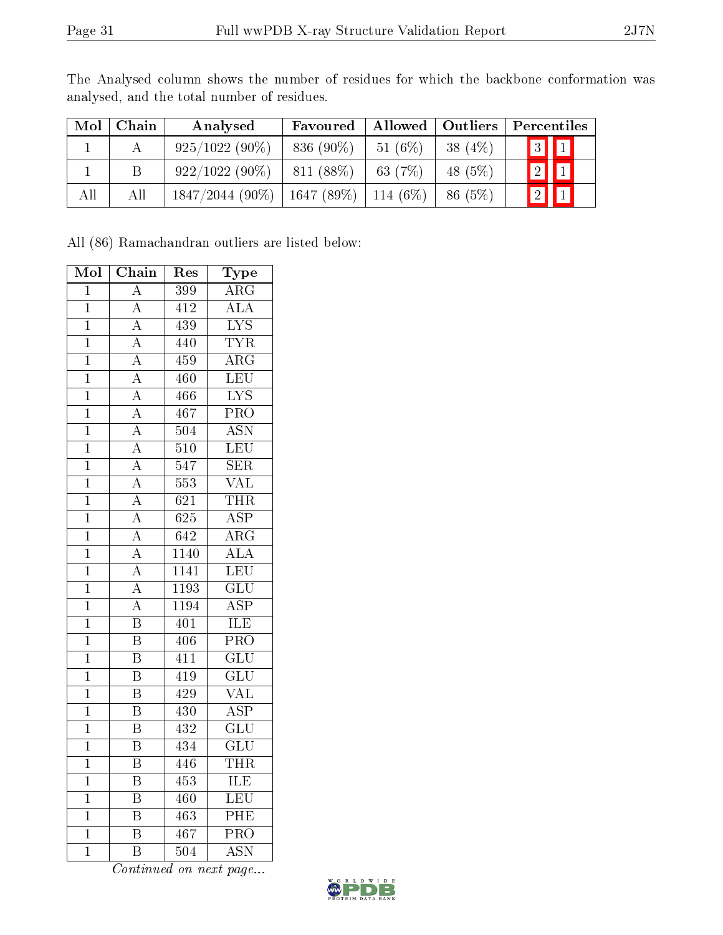The Analysed column shows the number of residues for which the backbone conformation was analysed, and the total number of residues.

| Mol | Chain | Analysed                                  | Favoured    | Allowed   Outliers |            | $\mid$ Percentiles      |
|-----|-------|-------------------------------------------|-------------|--------------------|------------|-------------------------|
|     |       | $925/1022(90\%)$                          | $836(90\%)$ | 51(6%)             | 38 $(4\%)$ | $\boxed{3}$ $\boxed{1}$ |
|     |       | $922/1022(90\%)$                          | 811 (88\%)  | 63 (7%)            | 48 (5%)    | $2 \mathbf{1} $         |
| All | All   | $1847/2044$ (90%)   1647 (89%)   114 (6%) |             |                    | 86(5%)     | 2 1                     |

All (86) Ramachandran outliers are listed below:

| Mol            | $\overline{\text{Chain}}$ | Res              | Type                      |
|----------------|---------------------------|------------------|---------------------------|
| $\overline{1}$ | $\mathbf{A}$              | 399              | $\rm{ARG}$                |
| $\mathbf 1$    | $\overline{A}$            | $4\overline{12}$ | $\overline{\rm ALA}$      |
| $\mathbf{1}$   | $\overline{\rm A}$        | 439              | <b>LYS</b>                |
| $\overline{1}$ | $\overline{A}$            | 440              | <b>TYR</b>                |
| $\mathbf 1$    | $\overline{\rm A}$        | 459              | $\overline{\rm{ARG}}$     |
| $\overline{1}$ | $\overline{\rm A}$        | 460              | $\overline{\textrm{LEU}}$ |
| $\mathbf{1}$   | $\overline{\rm A}$        | 466              | $\overline{\text{LYS}}$   |
| $\mathbf 1$    | $\overline{A}$            | 467              | $\overline{\mathrm{PRO}}$ |
| $\overline{1}$ | $\overline{A}$            | $\overline{504}$ | <b>ASN</b>                |
| $\mathbf 1$    | $\overline{\rm A}$        | 510              | $\overline{\text{LEU}}$   |
| $\mathbf 1$    | $\overline{\rm A}$        | $\overline{547}$ | $\overline{\text{SER}}$   |
| $\mathbf{1}$   | $\overline{\rm A}$        | 553              | $\overline{\text{VAL}}$   |
| $\mathbf{1}$   | $\overline{A}$            | 621              | <b>THR</b>                |
| $\overline{1}$ | $\overline{A}$            | 625              | $\overline{\text{ASP}}$   |
| $\mathbf 1$    | $\overline{\rm A}$        | 642              | $\overline{\rm{ARG}}$     |
| $\overline{1}$ | $\overline{\rm A}$        | 1140             | $\overline{ALA}$          |
| $\overline{1}$ | $\overline{\rm A}$        | 1141             | LEU                       |
| $\mathbf 1$    | $\overline{\rm A}$        | 1193             | $\overline{\text{GLU}}$   |
| $\overline{1}$ | $\overline{\rm A}$        | 1194             | <b>ASP</b>                |
| $\mathbf 1$    | $\overline{\mathrm{B}}$   | 401              | $\overline{\text{ILE}}$   |
| $\overline{1}$ | $\overline{\mathrm{B}}$   | $\overline{406}$ | $\overline{\text{PRO}}$   |
| $\mathbf{1}$   | $\overline{\mathrm{B}}$   | 411              | $\overline{\text{GLU}}$   |
| $\mathbf 1$    | $\overline{\mathrm{B}}$   | 419              | $\overline{\text{GLU}}$   |
| $\overline{1}$ | $\overline{\mathrm{B}}$   | 429              | $\overline{\text{VAL}}$   |
| $\mathbf 1$    | $\overline{\mathrm{B}}$   | 430              | <b>ASP</b>                |
| $\overline{1}$ | $\overline{\mathrm{B}}$   | $\overline{432}$ | $\overline{{\rm GLU}}$    |
| $\mathbf 1$    | $\overline{\text{B}}$     | 434              | $\overline{\text{GLU}}$   |
| $\mathbf 1$    | $\overline{\mathrm{B}}$   | 446              | <b>THR</b>                |
| $\mathbf 1$    | $\overline{\mathrm{B}}$   | $\overline{453}$ | ILE                       |
| $\mathbf 1$    | $\overline{\mathrm{B}}$   | $\overline{460}$ | $\overline{\text{LEU}}$   |
| $\overline{1}$ | $\overline{\mathrm{B}}$   | 463              | PHE                       |
| $\mathbf{1}$   | $\overline{\mathrm{B}}$   | 467              | $\overline{\text{PRO}}$   |
| $\overline{1}$ | $\overline{\mathrm{B}}$   | $\overline{504}$ | $\overline{\mathrm{ASN}}$ |

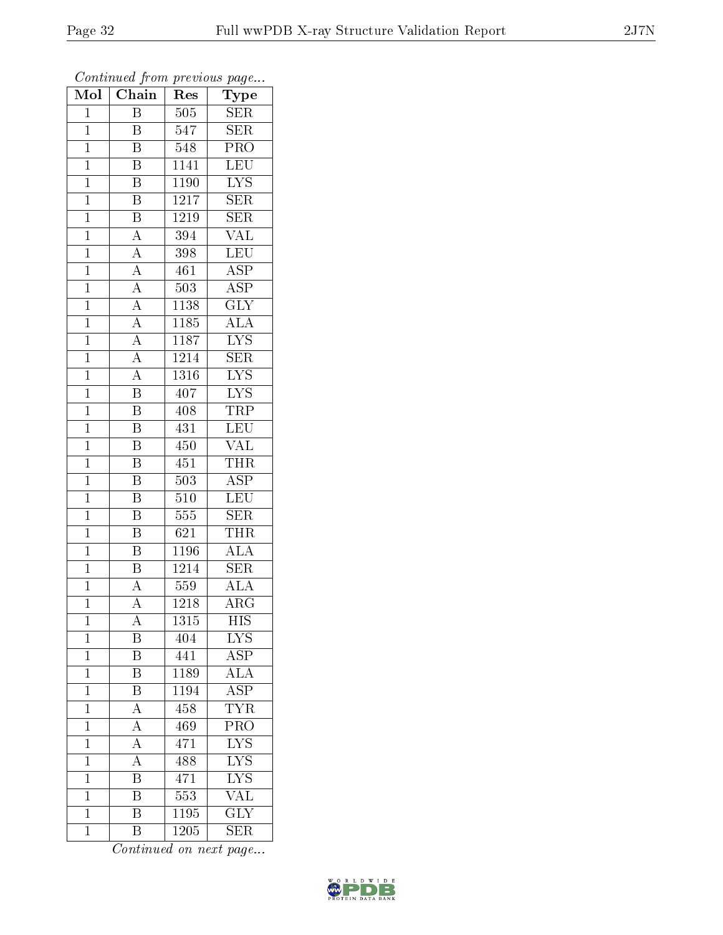| Mol            | Chain                               | Res               | $\overline{\phantom{a}}$<br>Type |
|----------------|-------------------------------------|-------------------|----------------------------------|
| $\mathbf{1}$   | Β                                   | 505               | <b>SER</b>                       |
| $\mathbf{1}$   | B                                   | $\overline{5}47$  | <b>SER</b>                       |
| $\mathbf{1}$   | B                                   | 548               | $\overline{\mathrm{PRO}}$        |
| $\overline{1}$ | $\overline{\mathrm{B}}$             | 1141              | <b>LEU</b>                       |
| $\overline{1}$ | $\overline{B}$                      | 1190              | $\overline{\text{LYS}}$          |
| $\mathbf{1}$   | $\overline{\mathrm{B}}$             | $\overline{1}217$ | <b>SER</b>                       |
| $\mathbf{1}$   | $\overline{\mathrm{B}}$             | 1219              | <b>SER</b>                       |
| $\mathbf{1}$   | $\overline{A}$                      | 394               | $\overline{\text{VAL}}$          |
| $\mathbf{1}$   | $\overline{A}$                      | 398               | <b>LEU</b>                       |
| $\overline{1}$ | $\overline{A}$                      | 461               | $\overline{\text{ASP}}$          |
| $\mathbf{1}$   |                                     | 503               | $\overline{\text{ASP}}$          |
| $\mathbf{1}$   | $\frac{\overline{A}}{\overline{A}}$ | $1\overline{138}$ | $\overline{\text{GLY}}$          |
| $\mathbf{1}$   | $\frac{1}{A}$                       | 1185              | $\overline{\text{ALA}}$          |
| $\overline{1}$ | $\overline{A}$                      | 1187              | <b>LYS</b>                       |
| $\overline{1}$ |                                     | 1214              | $\overline{\text{SER}}$          |
| $\mathbf{1}$   | $\frac{\overline{A}}{A}$            | 1316              | <b>LYS</b>                       |
| $\mathbf{1}$   | $\overline{\mathrm{B}}$             | 407               | $\overline{\text{LYS}}$          |
| $\mathbf{1}$   | B                                   | 408               | TRP                              |
| $\overline{1}$ | $\overline{\mathrm{B}}$             | 431               | LEU                              |
| $\overline{1}$ | Β                                   | 450               | <b>VAL</b>                       |
| $\mathbf 1$    | $\overline{\mathrm{B}}$             | 451               | <b>THR</b>                       |
| $\mathbf{1}$   | $\overline{\mathrm{B}}$             | 503               | <b>ASP</b>                       |
| $\overline{1}$ | B                                   | $\overline{5}10$  | $\overline{\textrm{LEU}}$        |
| $\overline{1}$ | $\overline{\mathrm{B}}$             | 555               | $\overline{\text{SER}}$          |
| $\mathbf{1}$   | $\overline{\mathrm{B}}$             | 621               | <b>THR</b>                       |
| $\mathbf{1}$   | $\overline{\mathrm{B}}$             | 1196              | $\overline{ALA}$                 |
| $\mathbf{1}$   | $\overline{\mathrm{B}}$             | 1214              | $\overline{\text{SER}}$          |
| $\mathbf{1}$   | $\overline{\rm A}$                  | 559               | $\overline{ALA}$                 |
| $\overline{1}$ | $\overline{\rm A}$                  | 1218              | $\overline{\rm{ARG}}$            |
| 1              | Α                                   | 1315              | HIS                              |
| $\mathbf{1}$   | Β                                   | 404               | L <sup>Y</sup> S                 |
| $\mathbf 1$    | $\overline{\mathrm{B}}$             | 441               | $\overline{\text{ASP}}$          |
| $\mathbf{1}$   | B                                   | 1189              | <b>ALA</b>                       |
| $\overline{1}$ | $\overline{\mathrm{B}}$             | 1194              | $\overline{\text{ASP}}$          |
| $\mathbf{1}$   | $\overline{A}$                      | 458               | $\overline{\text{TYR}}$          |
| $\mathbf 1$    | $\overline{A}$                      | 469               | $\overline{\text{PRO}}$          |
| $\mathbf 1$    | $\overline{A}$                      | 471               | $\overline{\text{LYS}}$          |
| $\overline{1}$ | $\overline{\rm A}$                  | 488               | $\overline{\text{LYS}}$          |
| $\mathbf 1$    | Β                                   | 471               | $\overline{\text{LYS}}$          |
| $\mathbf{1}$   | $\overline{\rm B}$                  | 553               | $\overline{\text{VAL}}$          |
| $\mathbf{1}$   | $\overline{\mathrm{B}}$             | $\overline{1}195$ | $\overline{\text{GLY}}$          |
| $\mathbf{1}$   | Β                                   | 1205              | $\overline{\text{SER}}$          |

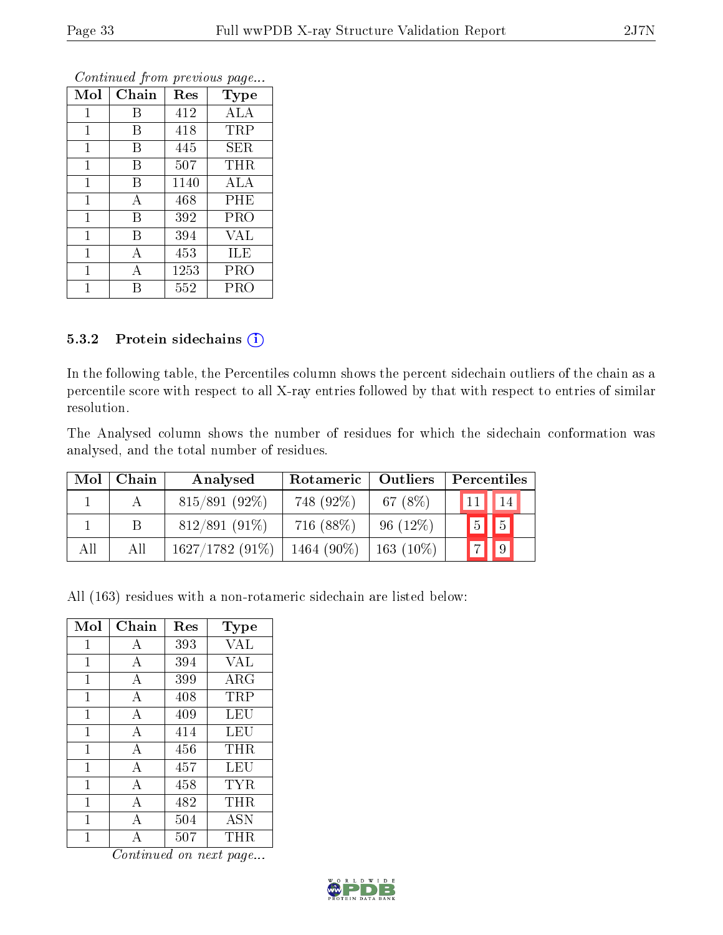| Mol            | Chain | Res  | Type       |
|----------------|-------|------|------------|
| 1              | Β     | 412  | <b>ALA</b> |
| 1              | Β     | 418  | TRP        |
| 1              | В     | 445  | SER        |
| $\mathbf{1}$   | B     | 507  | <b>THR</b> |
| $\overline{1}$ | B     | 1140 | ALA        |
| $\mathbf{1}$   | А     | 468  | PHE        |
| $\mathbf{1}$   | B     | 392  | PRO        |
| $\mathbf{1}$   | В     | 394  | VAL        |
| $\mathbf{1}$   | А     | 453  | ILE        |
| 1              | А     | 1253 | PRO        |
|                | R     | 552  | PRO        |

#### 5.3.2 Protein sidechains (i)

In the following table, the Percentiles column shows the percent sidechain outliers of the chain as a percentile score with respect to all X-ray entries followed by that with respect to entries of similar resolution.

The Analysed column shows the number of residues for which the sidechain conformation was analysed, and the total number of residues.

| Mol | Chain | Analysed        | Rotameric     | Outliers     | Percentiles |                |
|-----|-------|-----------------|---------------|--------------|-------------|----------------|
|     |       | $815/891(92\%)$ | 748 (92%)     | 67 $(8\%)$   | 11          | 14             |
|     |       | $812/891(91\%)$ | 716 (88%)     | $96(12\%)$   | 5           | $\parallel$ 5  |
| All | All   | 1627/1782(91%)  | 1464 $(90\%)$ | 163 $(10\%)$ | $"7_1$      | $\blacksquare$ |

All (163) residues with a non-rotameric sidechain are listed below:

| Mol          | Chain          | Res     | Type       |
|--------------|----------------|---------|------------|
| 1            | А              | 393     | <b>VAL</b> |
| $\mathbf{1}$ | А              | 394     | <b>VAL</b> |
| 1            | $\overline{A}$ | 399     | $\rm{ARG}$ |
| $\mathbf{1}$ | $\overline{A}$ | 408     | TRP        |
| 1            | $\overline{A}$ | 409     | LEU        |
| 1            | $\overline{A}$ | 414     | LEU        |
| 1            | А              | 456     | THR        |
| 1            | А              | 457     | LEU        |
| 1            | $\overline{A}$ | 458     | TYR        |
| 1            | А              | 482     | THR        |
| 1            | $\overline{A}$ | 504     | <b>ASN</b> |
| 1            | А              | $507\,$ | THR.       |

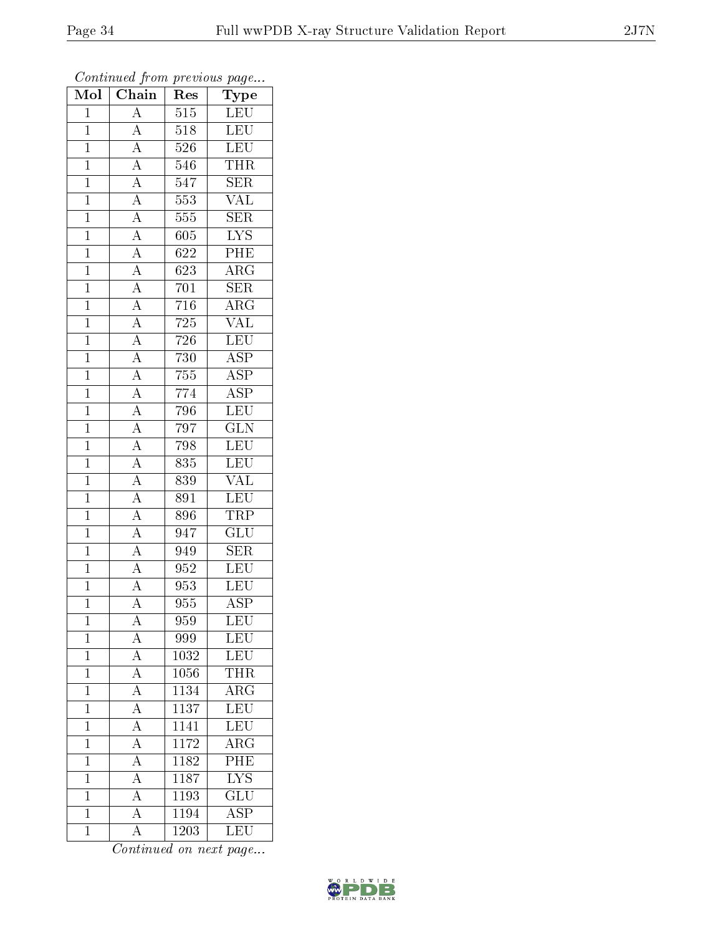| $\overline{\text{Mol}}$ | $\boldsymbol{\mathsf{v}}$<br>Chain                                                                                                                                                                                                                                                                                                           | Res                | $\mathbf{r}$<br>$\cdot$<br>${\rm \overline{T}ype}$ |
|-------------------------|----------------------------------------------------------------------------------------------------------------------------------------------------------------------------------------------------------------------------------------------------------------------------------------------------------------------------------------------|--------------------|----------------------------------------------------|
| $\overline{1}$          | $\overline{A}$                                                                                                                                                                                                                                                                                                                               | 515                | $\operatorname{LEU}$                               |
| $\overline{1}$          | $\overline{A}$                                                                                                                                                                                                                                                                                                                               | $\overline{518}$   | <b>LEU</b>                                         |
| $\overline{1}$          | $\frac{\overline{A}}{\overline{A}}$                                                                                                                                                                                                                                                                                                          | 526                | $\overline{\text{LEU}}$                            |
| $\mathbf{1}$            |                                                                                                                                                                                                                                                                                                                                              | 546                | <b>THR</b>                                         |
| $\overline{1}$          |                                                                                                                                                                                                                                                                                                                                              | $\overline{54}7$   | $\overline{\text{SER}}$                            |
| $\overline{1}$          |                                                                                                                                                                                                                                                                                                                                              | 553                | $\overline{\text{VAL}}$                            |
| $\overline{1}$          |                                                                                                                                                                                                                                                                                                                                              | 555                | SER                                                |
| $\mathbf{1}$            |                                                                                                                                                                                                                                                                                                                                              | 605                | <b>LYS</b>                                         |
| $\mathbf{1}$            |                                                                                                                                                                                                                                                                                                                                              | 622                | PHE                                                |
| $\overline{1}$          |                                                                                                                                                                                                                                                                                                                                              | $\overline{62}3$   | $\overline{\rm{ARG}}$                              |
| $\mathbf{1}$            |                                                                                                                                                                                                                                                                                                                                              | 701                | <b>SER</b>                                         |
| $\overline{1}$          |                                                                                                                                                                                                                                                                                                                                              | 716                | $\overline{\rm{ARG}}$                              |
| $\overline{1}$          |                                                                                                                                                                                                                                                                                                                                              | $\overline{725}$   | $\overline{\text{VAL}}$                            |
| $\mathbf{1}$            |                                                                                                                                                                                                                                                                                                                                              | $\overline{7}26$   | LEU                                                |
| $\overline{1}$          | $\frac{\overline{A}}{\overline{A}}\frac{\overline{A}}{\overline{A}}\frac{\overline{A}}{\overline{A}}\frac{\overline{A}}{\overline{A}}\frac{\overline{A}}{\overline{A}}\frac{\overline{A}}{\overline{A}}\frac{\overline{A}}{\overline{A}}\frac{\overline{A}}{\overline{A}}\frac{\overline{A}}{\overline{A}}\frac{\overline{A}}{\overline{A}}$ | 730                | <b>ASP</b>                                         |
| $\overline{1}$          |                                                                                                                                                                                                                                                                                                                                              | $755\,$            | $\overline{\text{ASP}}$                            |
| $\overline{1}$          |                                                                                                                                                                                                                                                                                                                                              | 774                | $\overline{\text{ASP}}$                            |
| $\mathbf{1}$            |                                                                                                                                                                                                                                                                                                                                              | 796                | $\overline{\text{LEU}}$                            |
| $\mathbf{1}$            |                                                                                                                                                                                                                                                                                                                                              | $\overline{79}7$   | $\overline{\text{GLN}}$                            |
| $\mathbf{1}$            |                                                                                                                                                                                                                                                                                                                                              | 798                | $\overline{\text{LEU}}$                            |
| $\overline{1}$          |                                                                                                                                                                                                                                                                                                                                              | 835                | $\overline{\text{LEU}}$                            |
| $\overline{1}$          |                                                                                                                                                                                                                                                                                                                                              | 839                | VAL                                                |
| $\mathbf 1$             |                                                                                                                                                                                                                                                                                                                                              | 891                | $\overline{\text{LEU}}$                            |
| $\overline{1}$          |                                                                                                                                                                                                                                                                                                                                              | 896                | <b>TRP</b>                                         |
| $\mathbf{1}$            | $\overline{A}$                                                                                                                                                                                                                                                                                                                               | 947                | $\overline{\text{GLU}}$                            |
| $\overline{1}$          | $\frac{\overline{A}}{\overline{A}}$                                                                                                                                                                                                                                                                                                          | 949                | $\overline{\text{SER}}$                            |
| $\mathbf{1}$            |                                                                                                                                                                                                                                                                                                                                              | 952                | $\overline{\text{LEU}}$                            |
| $\mathbf{1}$            |                                                                                                                                                                                                                                                                                                                                              | 953                | $\overline{\text{LEU}}$                            |
| $\mathbf 1$             | $\overline{\rm A}$                                                                                                                                                                                                                                                                                                                           | 955                | $\overline{\text{ASP}}$                            |
| $\mathbf{1}$            | А                                                                                                                                                                                                                                                                                                                                            | 959                | LEU                                                |
| $\mathbf{1}$            | А                                                                                                                                                                                                                                                                                                                                            | 999                | <b>LEU</b>                                         |
| $\mathbf{1}$            | $\overline{A}$                                                                                                                                                                                                                                                                                                                               | 1032               | LEU                                                |
| $\mathbf{1}$            | $\overline{A}$                                                                                                                                                                                                                                                                                                                               | 1056               | <b>THR</b>                                         |
| $\mathbf{1}$            | $\overline{A}$                                                                                                                                                                                                                                                                                                                               | 1134               | $\overline{\rm{ARG}}$                              |
| $\mathbf{1}$            | $\overline{A}$                                                                                                                                                                                                                                                                                                                               | $113\overline{7}$  | LEU                                                |
| $\overline{1}$          | $\overline{A}$                                                                                                                                                                                                                                                                                                                               | 1141               | LEU                                                |
| $\mathbf{1}$            | $\overline{A}$                                                                                                                                                                                                                                                                                                                               | 1172               | $\overline{\rm{ARG}}$                              |
| $\mathbf{1}$            | $\overline{A}$                                                                                                                                                                                                                                                                                                                               | 1182               | $\overline{\text{PHE}}$                            |
| $\mathbf{1}$            | $\overline{A}$                                                                                                                                                                                                                                                                                                                               | 1187               | $\overline{\text{LYS}}$                            |
| $\overline{1}$          | $\overline{\rm A}$                                                                                                                                                                                                                                                                                                                           | 1193               | $\overline{\text{GLU}}$                            |
| $\mathbf 1$             | $\overline{A}$                                                                                                                                                                                                                                                                                                                               | $\overline{1}$ 194 | $\overline{\text{ASP}}$                            |
| $\mathbf{1}$            | $\overline{A}$                                                                                                                                                                                                                                                                                                                               | $\overline{1203}$  | LEU                                                |

Continued from previous page...

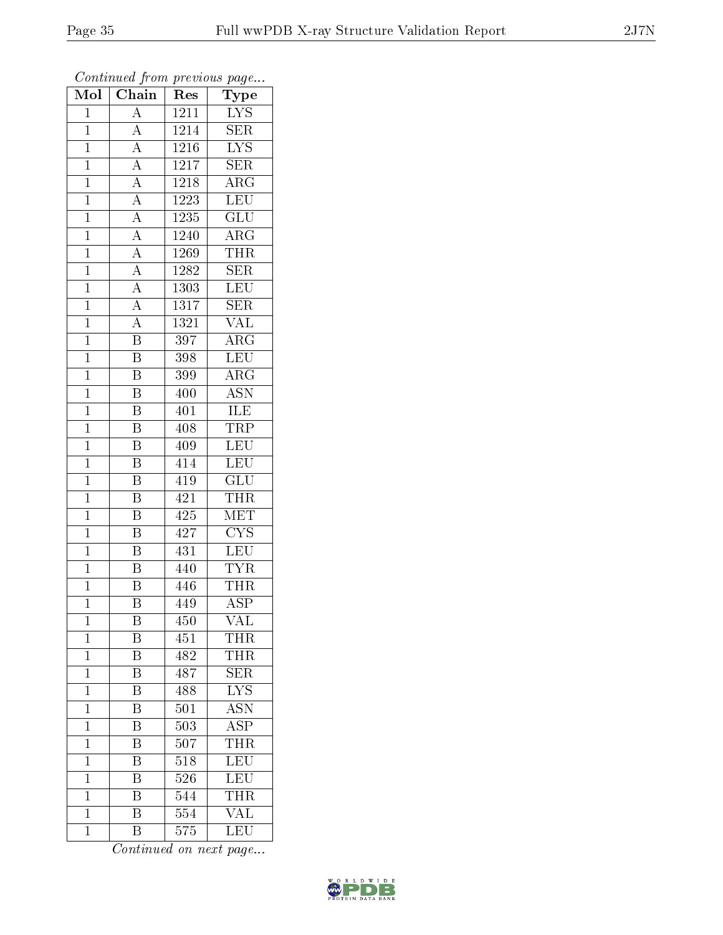| Mol            | Chain                               | Res              | ${\bf Type}$            |
|----------------|-------------------------------------|------------------|-------------------------|
| $\mathbf{1}$   | $\overline{\rm A}$                  | 1211             | <b>LYS</b>              |
| $\overline{1}$ | $\boldsymbol{A}$                    | 1214             | $\overline{\text{SER}}$ |
| $\mathbf{1}$   | $\overline{A}$                      | 1216             | $\overline{\text{LYS}}$ |
| $\mathbf{1}$   | $\overline{A}$                      | 1217             | <b>SER</b>              |
| $\mathbf{1}$   | $\frac{\overline{A}}{\overline{A}}$ | 1218             | $\rm{ARG}$              |
| $\mathbf{1}$   |                                     | 1223             | $\overline{\text{LEU}}$ |
| $\overline{1}$ | $\overline{A}$                      | 1235             | GLU                     |
| $\overline{1}$ | $\overline{A}$                      | 1240             | $\rm{ARG}$              |
| $\mathbf{1}$   | $\frac{\overline{A}}{A}$            | 1269             | <b>THR</b>              |
| $\mathbf{1}$   |                                     | 1282             | $\overline{\text{SER}}$ |
| $\overline{1}$ | $\overline{A}$                      | 1303             | <b>LEU</b>              |
| $\overline{1}$ | $\overline{A}$                      | 1317             | $\overline{\text{SER}}$ |
| $\overline{1}$ | $\overline{A}$                      | 1321             | <b>VAL</b>              |
| $\mathbf{1}$   | $\overline{\text{B}}$               | $\overline{3}97$ | $\rm{ARG}$              |
| $\overline{1}$ | $\overline{\mathrm{B}}$             | 398              | LEU                     |
| $\overline{1}$ | $\boldsymbol{B}$                    | 399              | $\rm{ARG}$              |
| $\overline{1}$ | $\overline{\mathrm{B}}$             | 400              | <b>ASN</b>              |
| $\mathbf{1}$   | $\overline{\mathbf{B}}$             | 401              | ILE                     |
| $\mathbf 1$    | $\overline{\mathrm{B}}$             | 408              | TRP                     |
| $\mathbf{1}$   | $\overline{\mathrm{B}}$             | 409              | LEU                     |
| $\overline{1}$ | $\overline{\mathrm{B}}$             | 414              | LEU                     |
| $\mathbf{1}$   | $\overline{\mathrm{B}}$             | 419              | $\overline{\text{GLU}}$ |
| $\mathbf{1}$   | $\, {\bf B}$                        | 421              | <b>THR</b>              |
| $\mathbf{1}$   | $\overline{\mathrm{B}}$             | 425              | MET                     |
| $\mathbf{1}$   | $\overline{B}$                      | 427              | $\overline{\text{CYS}}$ |
| $\overline{1}$ | $\overline{\mathrm{B}}$             | $\overline{431}$ | $\overline{\text{LEU}}$ |
| $\mathbf{1}$   | $\overline{\mathrm{B}}$             | 440              | <b>TYR</b>              |
| $\mathbf{1}$   | B                                   | 446              | <b>THR</b>              |
| $\mathbf 1$    | $\overline{\mathrm{B}}$             | 449              | $\overline{\text{ASP}}$ |
| $\mathbf{1}$   | B                                   | 450              | VAL                     |
| $\overline{1}$ | Β                                   | 451              | THR                     |
| $\mathbf 1$    | $\overline{\mathrm{B}}$             | 482              | THR                     |
| $\mathbf{1}$   | Β                                   | 487              | <b>SER</b>              |
| $\mathbf{1}$   | $\overline{\mathrm{B}}$             | 488              | $\overline{\text{LYS}}$ |
| $\mathbf{1}$   | Β                                   | 501              | <b>ASN</b>              |
| $\overline{1}$ | $\overline{\mathrm{B}}$             | 503              | $\overline{\text{ASP}}$ |
| $\mathbf{1}$   | $\overline{\mathrm{B}}$             | 507              | <b>THR</b>              |
| $\overline{1}$ | $\overline{\rm B}$                  | 518              | LEU                     |
| $\mathbf{1}$   | $\overline{\mathrm{B}}$             | 526              | LEU                     |
| $\mathbf{1}$   | B                                   | 544              | <b>THR</b>              |
| $\mathbf 1$    | $\overline{\mathrm{B}}$             | 554              | $\overline{\text{VAL}}$ |
| $\mathbf{1}$   | Β                                   | 575              | <b>LEU</b>              |

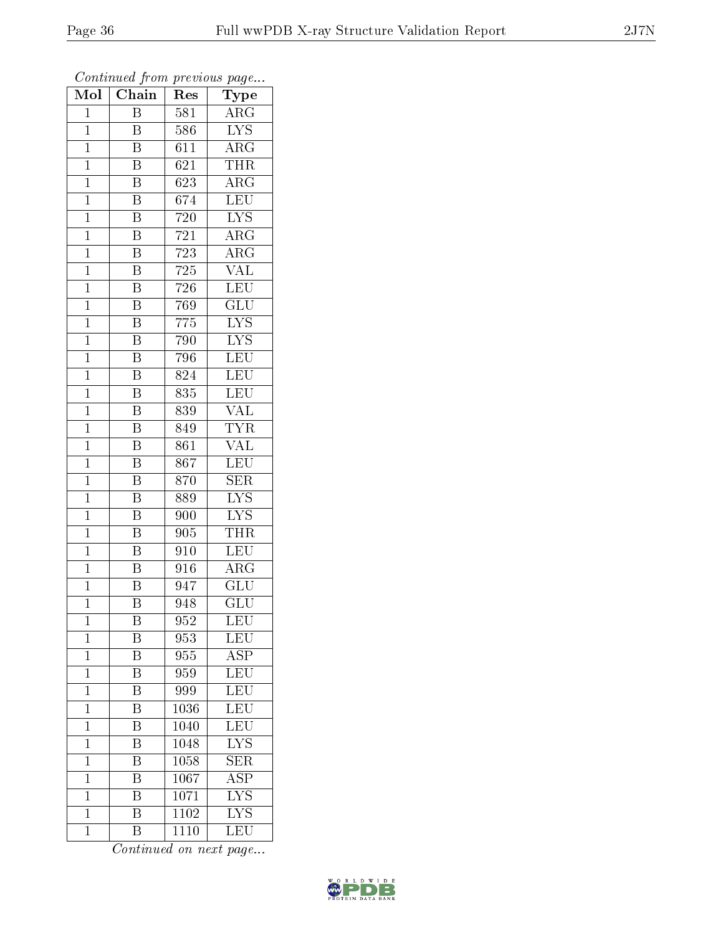| Mol            | Chain                   | Res              | Type                                    |
|----------------|-------------------------|------------------|-----------------------------------------|
| $\mathbf{1}$   | Β                       | 581              | <b>ARG</b>                              |
| $\mathbf 1$    | B                       | 586              | $\overline{\text{LYS}}$                 |
| $\mathbf{1}$   | $\overline{\mathrm{B}}$ | 611              | $\overline{\rm{ARG}}$                   |
| $\overline{1}$ | $\overline{\mathrm{B}}$ | 621              | THR                                     |
| $\overline{1}$ | $\overline{\mathrm{B}}$ | $\overline{623}$ | $\rm{A}\overline{\rm{RG}}$              |
| $\mathbf 1$    | $\overline{\mathrm{B}}$ | 674              | <b>LEU</b>                              |
| $\mathbf{1}$   | $\overline{\text{B}}$   | 720              | $\overline{\text{LYS}}$                 |
| $\mathbf{1}$   | $\overline{\mathrm{B}}$ | 721              | $\rm{ARG}$                              |
| $\mathbf{1}$   | $\overline{\mathrm{B}}$ | $\overline{7}23$ | $\rm{ARG}$                              |
| $\overline{1}$ | $\overline{\mathrm{B}}$ | 725              | $\overline{\text{VAL}}$                 |
| $\mathbf{1}$   | B                       | $\overline{7}26$ | <b>LEU</b>                              |
| $\mathbf{1}$   | $\overline{\mathrm{B}}$ | 769              | $\overline{\mathrm{GLU}}$               |
| $\overline{1}$ | $\overline{\mathrm{B}}$ | 775              | <b>LYS</b>                              |
| $\overline{1}$ | B                       | 790              | <b>LYS</b>                              |
| $\overline{1}$ | $\overline{\mathrm{B}}$ | 796              | $\overline{\text{LEU}}$                 |
| $\mathbf{1}$   | B                       | 824              | LEU                                     |
| $\overline{1}$ | $\overline{\mathrm{B}}$ | 835              | LEU                                     |
| $\mathbf{1}$   | $\overline{\mathrm{B}}$ | 839              | <b>VAL</b>                              |
| $\overline{1}$ | B                       | 849              | <b>TYR</b>                              |
| $\mathbf 1$    | Β                       | 861              | $\overline{\text{VAL}}$                 |
| $\mathbf 1$    | $\overline{\mathrm{B}}$ | 867              | <b>LEU</b>                              |
| $\mathbf{1}$   | $\overline{\mathrm{B}}$ | 870              | $\overline{\text{SER}}$                 |
| $\overline{1}$ | B                       | 889              | <b>LYS</b>                              |
| $\overline{1}$ | $\overline{\mathrm{B}}$ | 900              | $\overline{\text{LYS}}$                 |
| $\mathbf{1}$   | $\overline{\mathrm{B}}$ | 905              | <b>THR</b>                              |
| $\mathbf{1}$   | $\overline{\text{B}}$   | 910              | <b>LEU</b>                              |
| $\mathbf{1}$   | $\overline{\mathrm{B}}$ | 916              | $\overline{\rm{ARG}}$                   |
| $\overline{1}$ | $\overline{\mathrm{B}}$ | 947              | $\overline{\text{GLU}}$                 |
| $\overline{1}$ | $\overline{\mathrm{B}}$ | 948              | $\overline{\mathrm{GLU}}$               |
| $\mathbf{1}$   | Β                       | 952              | <b>LEU</b>                              |
| $\mathbf{1}$   | Β                       | 953              | LEU                                     |
| $\mathbf{1}$   | $\overline{\mathrm{B}}$ | 955              | $\overline{\text{ASP}}$                 |
| $\mathbf{1}$   | Β                       | 959              | LEU                                     |
| $\overline{1}$ | $\overline{\mathrm{B}}$ | 999              | $\overline{\text{LEU}}$                 |
| $\mathbf 1$    | Β                       | 1036             | $\textrm{LEU}$                          |
| $\mathbf{1}$   | $\overline{\mathrm{B}}$ | 1040             | $\overline{\textrm{LEU}}$               |
| $\mathbf{1}$   | $\overline{\mathrm{B}}$ | 1048             | <b>LYS</b>                              |
| $\overline{1}$ | B                       | 1058             | <b>SER</b>                              |
| $\mathbf 1$    | Β                       | 1067             | $\overline{\rm ASP}$                    |
| $\mathbf{1}$   | B                       | 1071             | $\overline{\text{L} \text{Y}} \text{S}$ |
| $\mathbf{1}$   | $\overline{\mathrm{B}}$ | 1102             | $\overline{\rm LYS}$                    |
| $\mathbf{1}$   | Β                       | 1110             | LEU                                     |

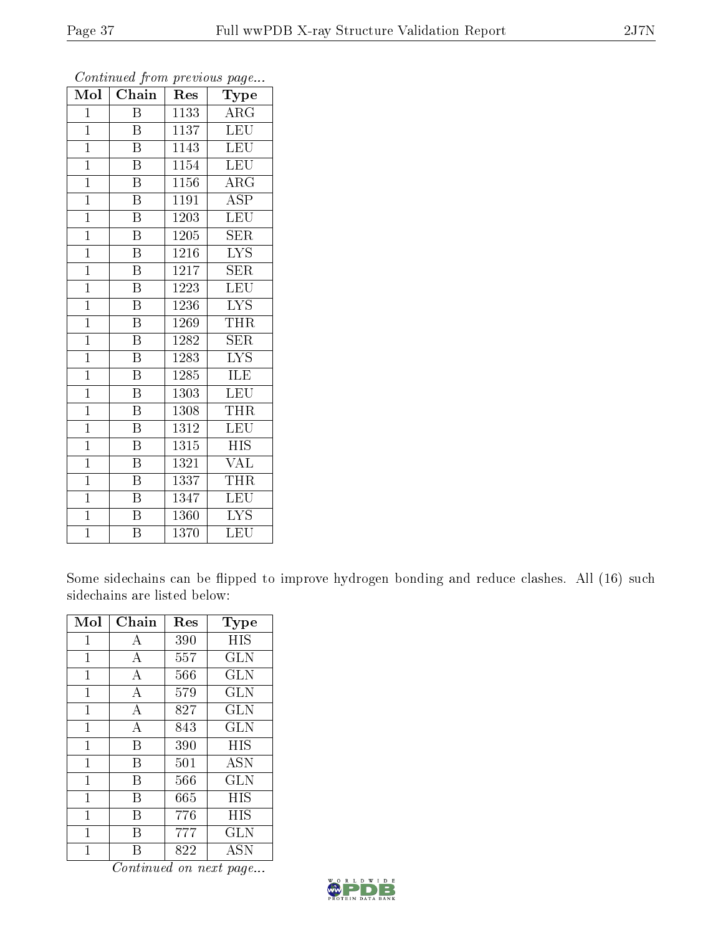| Mol            | $\overline{\text{Chain}}$ | Res               | $\sim$<br>Type          |
|----------------|---------------------------|-------------------|-------------------------|
| $\mathbf{1}$   | B                         | 1133              | $\rm{ARG}$              |
| $\mathbf{1}$   | Β                         | 1137              | <b>LEU</b>              |
| $\overline{1}$ | $\overline{\mathrm{B}}$   | 1143              | LEU                     |
| $\mathbf{1}$   | Β                         | 1154              | LEU                     |
| $\mathbf{1}$   | $\overline{\mathrm{B}}$   | 1156              | $\rm{ARG}$              |
| $\mathbf{1}$   | $\overline{\mathrm{B}}$   | 1191              | $\overline{\text{ASP}}$ |
| $\mathbf{1}$   | $\overline{\mathrm{B}}$   | 1203              | <b>LEU</b>              |
| $\overline{1}$ | $\overline{\mathrm{B}}$   | 1205              | <b>SER</b>              |
| $\mathbf{1}$   | $\overline{B}$            | 1216              | <b>LYS</b>              |
| $\overline{1}$ | $\overline{\mathrm{B}}$   | $121\overline{7}$ | $\overline{\text{SER}}$ |
| $\mathbf{1}$   | Β                         | 1223              | <b>LEU</b>              |
| $\overline{1}$ | $\overline{\mathrm{B}}$   | 1236              | $\overline{\text{LYS}}$ |
| $\mathbf{1}$   | Β                         | 1269              | THR                     |
| $\mathbf{1}$   | $\overline{\mathrm{B}}$   | 1282              | <b>SER</b>              |
| $\mathbf{1}$   | $\overline{\mathrm{B}}$   | 1283              | $\overline{\text{LYS}}$ |
| $\overline{1}$ | $\rm \bar{B}$             | 1285              | ILE                     |
| $\mathbf{1}$   | $\overline{\mathrm{B}}$   | 1303              | LEU                     |
| $\mathbf{1}$   | Β                         | 1308              | THR                     |
| $\mathbf{1}$   | B                         | 1312              | LEU                     |
| $\overline{1}$ | Β                         | 1315              | <b>HIS</b>              |
| $\mathbf{1}$   | $\overline{\mathrm{B}}$   | 1321              | VAL                     |
| $\mathbf{1}$   | $\overline{\mathrm{B}}$   | 1337              | THR                     |
| $\mathbf{1}$   | B                         | 1347              | <b>LEU</b>              |
| $\mathbf{1}$   | B                         | 1360              | <b>LYS</b>              |
| $\overline{1}$ | $\overline{\mathrm{B}}$   | 1370              | LEU                     |

Some sidechains can be flipped to improve hydrogen bonding and reduce clashes. All (16) such sidechains are listed below:

| Mol            | Chain          | Res | Type       |
|----------------|----------------|-----|------------|
| $\overline{1}$ | $\bf{A}$       | 390 | HIS        |
| 1              | А              | 557 | <b>GLN</b> |
| 1              | $\overline{A}$ | 566 | <b>GLN</b> |
| $\mathbf{1}$   | A              | 579 | <b>GLN</b> |
| 1              | А              | 827 | <b>GLN</b> |
| 1              | $\overline{A}$ | 843 | <b>GLN</b> |
| $\mathbf{1}$   | B              | 390 | <b>HIS</b> |
| $\mathbf{1}$   | B              | 501 | <b>ASN</b> |
| 1              | В              | 566 | <b>GLN</b> |
| $\mathbf{1}$   | В              | 665 | HIS        |
| 1              | B              | 776 | HIS        |
| 1              | В              | 777 | <b>GLN</b> |
| 1              | R              | 822 | <b>ASN</b> |

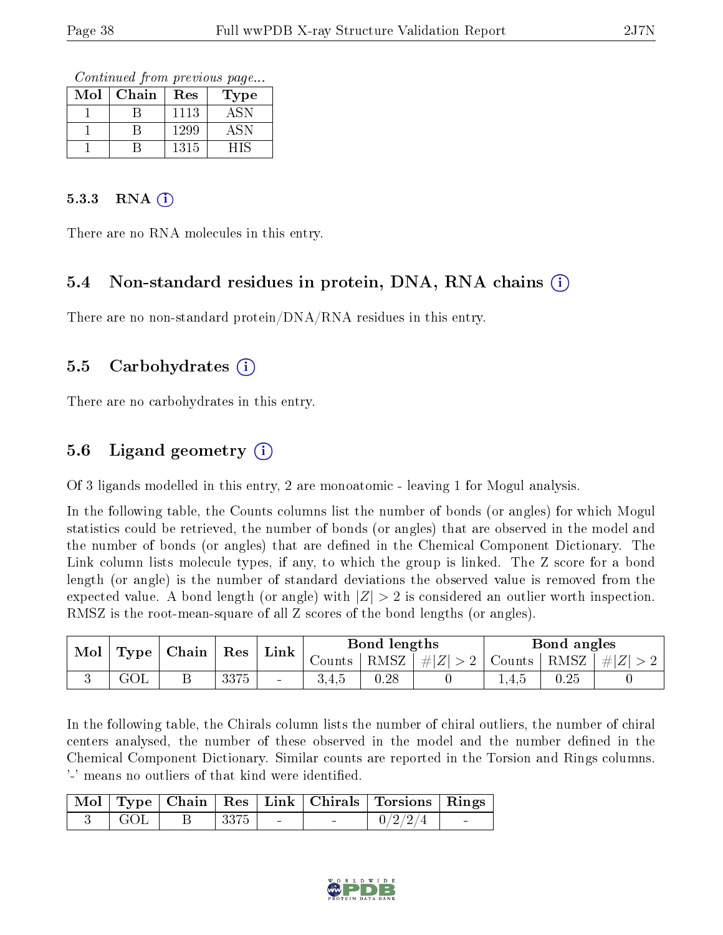Continued from previous page...

| Mol | Chain | Res  | Type             |
|-----|-------|------|------------------|
|     |       | 1113 | $AS\overline{N}$ |
|     |       | 1299 | ASN              |
|     |       | 1315 |                  |

#### $5.3.3$  RNA  $(i)$

There are no RNA molecules in this entry.

#### 5.4 Non-standard residues in protein, DNA, RNA chains (i)

There are no non-standard protein/DNA/RNA residues in this entry.

#### 5.5 Carbohydrates (i)

There are no carbohydrates in this entry.

### 5.6 Ligand geometry (i)

Of 3 ligands modelled in this entry, 2 are monoatomic - leaving 1 for Mogul analysis.

In the following table, the Counts columns list the number of bonds (or angles) for which Mogul statistics could be retrieved, the number of bonds (or angles) that are observed in the model and the number of bonds (or angles) that are dened in the Chemical Component Dictionary. The Link column lists molecule types, if any, to which the group is linked. The Z score for a bond length (or angle) is the number of standard deviations the observed value is removed from the expected value. A bond length (or angle) with  $|Z| > 2$  is considered an outlier worth inspection. RMSZ is the root-mean-square of all Z scores of the bond lengths (or angles).

| Mol | Type | Chain | Res  | Link,  | Bond lengths |      | Bond angles   |        |      |           |
|-----|------|-------|------|--------|--------------|------|---------------|--------|------|-----------|
|     |      |       |      |        | Counts       | RMSZ | $ \#  Z  > 2$ | Counts | RMSZ | $\pm  Z $ |
|     |      |       | 3375 | $\sim$ |              | 0.28 |               | 1,4,0  | 0.25 |           |

In the following table, the Chirals column lists the number of chiral outliers, the number of chiral centers analysed, the number of these observed in the model and the number defined in the Chemical Component Dictionary. Similar counts are reported in the Torsion and Rings columns. '-' means no outliers of that kind were identified.

|       |  |                          |        | Mol   Type   Chain   Res   Link   Chirals   Torsions   Rings |        |
|-------|--|--------------------------|--------|--------------------------------------------------------------|--------|
| + GOL |  | <b>Contract Contract</b> | $\sim$ | 0/2/2/4                                                      | $\sim$ |

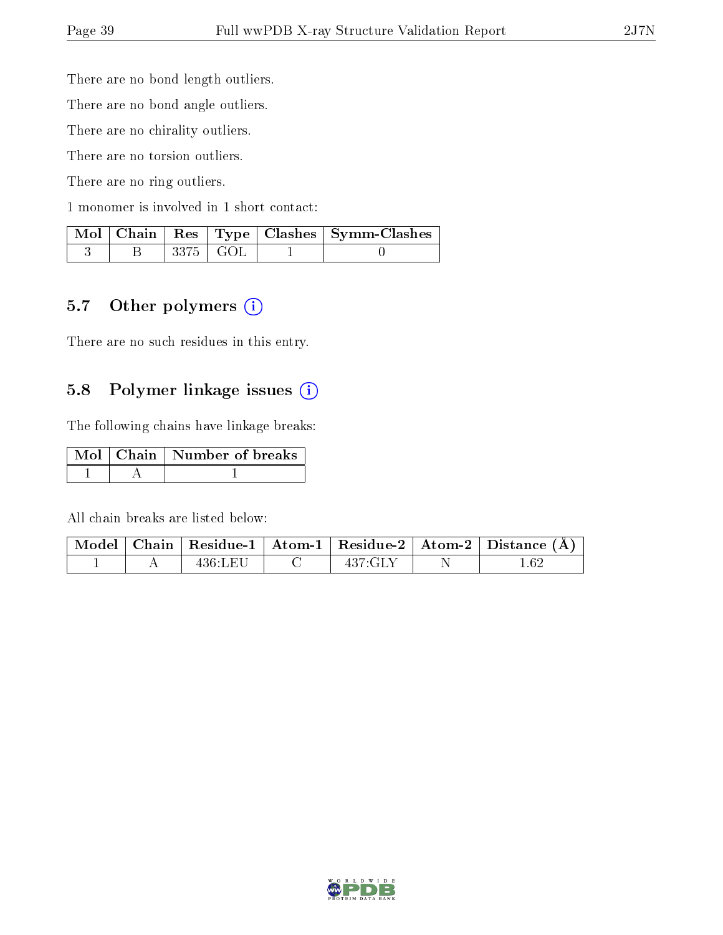There are no bond length outliers.

There are no bond angle outliers.

There are no chirality outliers.

There are no torsion outliers.

There are no ring outliers.

1 monomer is involved in 1 short contact:

|  |            | Mol   Chain   Res   Type   Clashes   Symm-Clashes |
|--|------------|---------------------------------------------------|
|  | $3375$ GOL |                                                   |

### 5.7 [O](https://www.wwpdb.org/validation/2017/XrayValidationReportHelp#nonstandard_residues_and_ligands)ther polymers (i)

There are no such residues in this entry.

#### 5.8 Polymer linkage issues (i)

The following chains have linkage breaks:

|  | Mol   Chain   Number of breaks |
|--|--------------------------------|
|  |                                |

All chain breaks are listed below:

|  |          |             | $\mid$ Model $\mid$ Chain $\mid$ Residue-1 $\mid$ Atom-1 $\mid$ Residue-2 $\mid$ Atom-2 $\mid$ Distance (Å) |
|--|----------|-------------|-------------------------------------------------------------------------------------------------------------|
|  | -436:LET | $-437$ : GI |                                                                                                             |

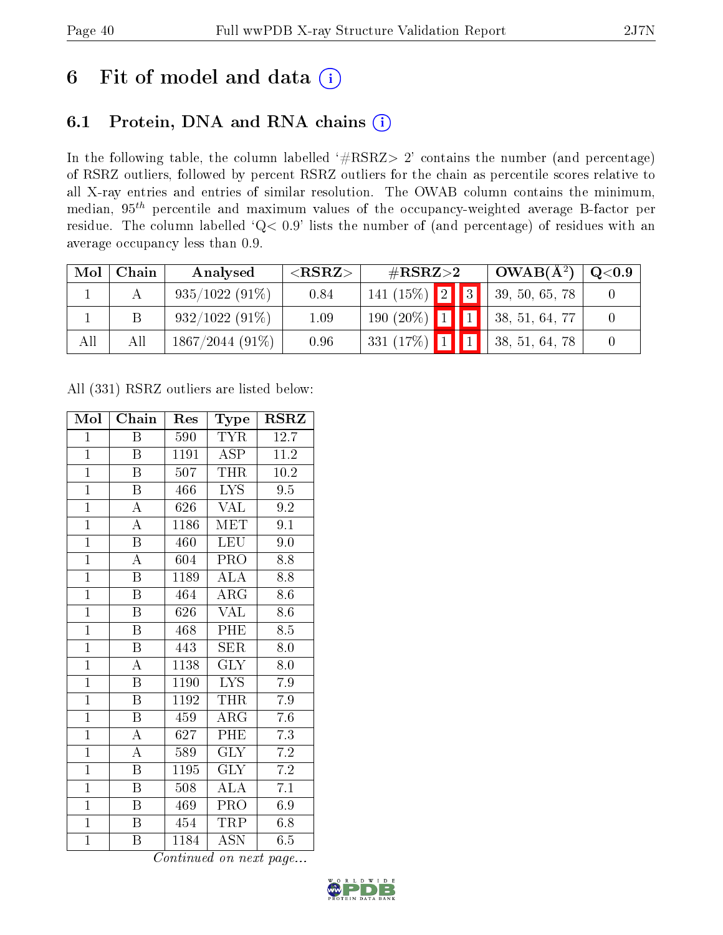## 6 Fit of model and data  $(i)$

### 6.1 Protein, DNA and RNA chains  $(i)$

In the following table, the column labelled  $#RSRZ> 2'$  contains the number (and percentage) of RSRZ outliers, followed by percent RSRZ outliers for the chain as percentile scores relative to all X-ray entries and entries of similar resolution. The OWAB column contains the minimum, median,  $95<sup>th</sup>$  percentile and maximum values of the occupancy-weighted average B-factor per residue. The column labelled ' $Q< 0.9$ ' lists the number of (and percentage) of residues with an average occupancy less than 0.9.

| Mol | Chain | Analysed          | ${ <\hspace{-1.5pt}{\mathrm{RSRZ}} \hspace{-1.5pt}>}$ | $\#\text{RSRZ}{>}2$               |  | $\vert$ OWAB( $A^2$ ) | $\bf{Q} {<} 0.9$ |  |
|-----|-------|-------------------|-------------------------------------------------------|-----------------------------------|--|-----------------------|------------------|--|
|     |       | $935/1022(91\%)$  | 0.84                                                  | 141 (15%) $\boxed{2}$ $\boxed{3}$ |  |                       | 39, 50, 65, 78   |  |
|     |       | $932/1022(91\%)$  | 1.09                                                  | $190(20\%)$ 1 1                   |  |                       | 38, 51, 64, 77   |  |
| All | All   | $1867/2044(91\%)$ | 0.96                                                  | 331 $(17\%)$ 1 1                  |  |                       | 38, 51, 64, 78   |  |

All (331) RSRZ outliers are listed below:

| Mol            | Chain                   | Res  | Type                      | <b>RSRZ</b>      |
|----------------|-------------------------|------|---------------------------|------------------|
| $\mathbf{1}$   | Β                       | 590  | <b>TYR</b>                | 12.7             |
| $\mathbf{1}$   | B                       | 1191 | <b>ASP</b>                | 11.2             |
| $\overline{1}$ | Β                       | 507  | THR                       | $10.2\,$         |
| $\overline{1}$ | B                       | 466  | <b>LYS</b>                | 9.5              |
| $\overline{1}$ | $\overline{\rm A}$      | 626  | $\overline{\text{VAL}}$   | $9.2\,$          |
| $\overline{1}$ | $\boldsymbol{A}$        | 1186 | $\textrm{MET}$            | 9.1              |
| $\overline{1}$ | $\boldsymbol{B}$        | 460  | <b>LEU</b>                | 9.0              |
| $\overline{1}$ | $\overline{\rm A}$      | 604  | PRO                       | 8.8              |
| $\overline{1}$ | $\boldsymbol{B}$        | 1189 | <b>ALA</b>                | 8.8              |
| $\overline{1}$ | $\overline{\mathrm{B}}$ | 464  | $\rm{AR}\bar{\rm{G}}$     | 8.6              |
| $\overline{1}$ | $\overline{\mathrm{B}}$ | 626  | <b>VAL</b>                | 8.6              |
| $\overline{1}$ | $\overline{\mathrm{B}}$ | 468  | PHE                       | $8.\overline{5}$ |
| $\overline{1}$ | $\overline{B}$          | 443  | <b>SER</b>                | 8.0              |
| $\overline{1}$ | $\boldsymbol{A}$        | 1138 | <b>GLY</b>                | 8.0              |
| $\overline{1}$ | $\overline{\mathrm{B}}$ | 1190 | <b>LYS</b>                | 7.9              |
| $\overline{1}$ | $\boldsymbol{B}$        | 1192 | <b>THR</b>                | 7.9              |
| $\overline{1}$ | $\overline{\mathrm{B}}$ | 459  | $\overline{\rm{ARG}}$     | $\overline{7.6}$ |
| $\mathbf{1}$   | $\boldsymbol{A}$        | 627  | PHE                       | 7.3              |
| $\overline{1}$ | $\boldsymbol{A}$        | 589  | $\overline{\text{GLY}}$   | 7.2              |
| $\overline{1}$ | Β                       | 1195 | GLY                       | $7.2\,$          |
| $\mathbf{1}$   | $\boldsymbol{B}$        | 508  | <b>ALA</b>                | 7.1              |
| $\overline{1}$ | $\boldsymbol{B}$        | 469  | PRO                       | 6.9              |
| $\mathbf{1}$   | B                       | 454  | TRP                       | 6.8              |
| $\overline{1}$ | Β                       | 1184 | $\overline{\mathrm{ASN}}$ | 6.5              |

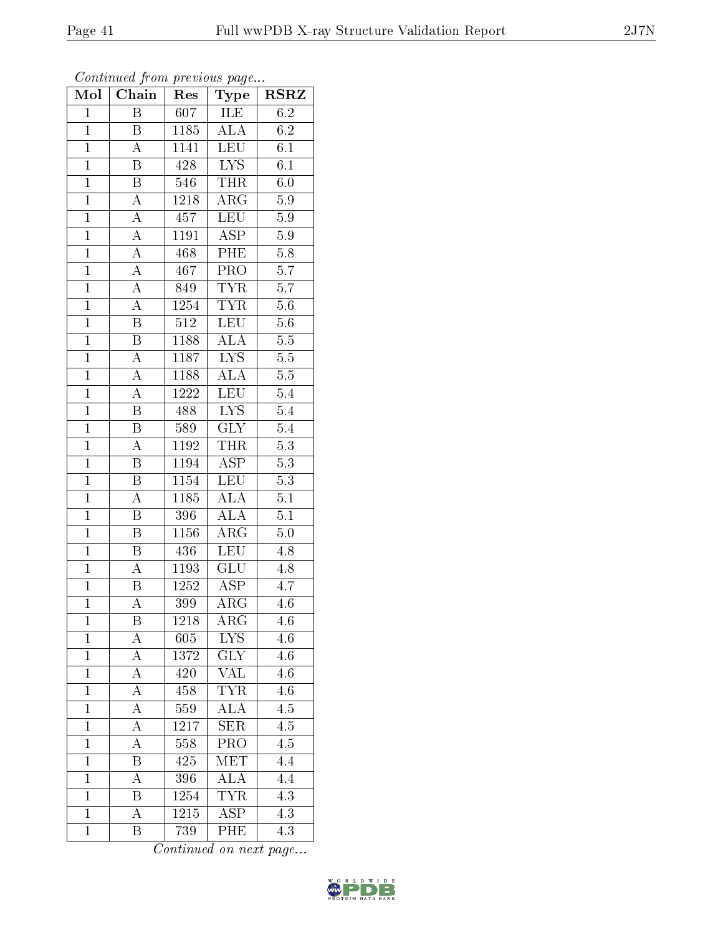| 5.9     |
|---------|
| 5.8     |
| 5.7     |
| 5.7     |
| $5.6\,$ |
| 5.6     |
| $5.5\,$ |
|         |

Continued from previous page...

Mol | Chain | Res | Type | RSRZ

| $\overline{1}$ | Β                       | 607                                     | ILE                     | 6.2              |
|----------------|-------------------------|-----------------------------------------|-------------------------|------------------|
| $\overline{1}$ | $\overline{\mathbf{B}}$ | 1185                                    | $\overline{\rm ALA}$    | 6.2              |
| $\overline{1}$ | $\overline{\rm A}$      | 1141                                    | LEU                     | $\overline{6.1}$ |
| $\mathbf{1}$   | B                       | 428                                     | <b>LYS</b>              | 6.1              |
| $\overline{1}$ | $\overline{\mathrm{B}}$ | 546                                     | <b>THR</b>              | $\overline{6.0}$ |
| $\mathbf{1}$   | A                       | 1218                                    | ARG                     | 5.9              |
| $\overline{1}$ | $\overline{A}$          | 457                                     | <b>LEU</b>              | 5.9              |
| $\overline{1}$ | $\overline{\rm A}$      | 1191                                    | $\overline{\text{ASP}}$ | $\overline{5.9}$ |
| $\overline{1}$ | $\overline{A}$          | 468                                     | PHE                     | $5.8\,$          |
| $\overline{1}$ | $\boldsymbol{A}$        | 467                                     | PRO                     | 5.7              |
| $\overline{1}$ | $\overline{A}$          | 849                                     | <b>TYR</b>              | 5.7              |
| $\overline{1}$ | $\overline{\rm A}$      | 1254                                    | <b>TYR</b>              | $5.\overline{6}$ |
| $\overline{1}$ | $\overline{\mathbf{B}}$ | 512                                     | LEU                     | $5.6\,$          |
| $\mathbf{1}$   | $\overline{\mathrm{B}}$ | 1188                                    | <b>ALA</b>              | $5.5\,$          |
| $\overline{1}$ | $\overline{A}$          | 1187                                    | <b>LYS</b>              | $\overline{5.5}$ |
| $\mathbf{1}$   | $\overline{\rm A}$      | 1188                                    | ALA                     | $5.5\,$          |
| $\overline{1}$ | $\overline{A}$          | $1\overline{2}\overline{2}\overline{2}$ | <b>LEU</b>              | $\overline{5.4}$ |
| $\mathbf{1}$   | Β                       | 488                                     | $L\overline{YS}$        | 5.4              |
| $\mathbf{1}$   | $\, {\bf B}$            | 589                                     | $\overline{\text{GLY}}$ | 5.4              |
| $\overline{1}$ | $\overline{\rm A}$      | 1192                                    | <b>THR</b>              | $\overline{5.3}$ |
| $\overline{1}$ | B                       | 1194                                    | <b>ASP</b>              | $\overline{5.3}$ |
| $\overline{1}$ | $\overline{\mathrm{B}}$ | 1154                                    | $\overline{\text{LEU}}$ | $\overline{5.3}$ |
| $\mathbf{1}$   | $\boldsymbol{A}$        | 1185                                    | <b>ALA</b>              | 5.1              |
| $\overline{1}$ | $\overline{\mathrm{B}}$ | 396                                     | $\overline{\rm ALA}$    | $\overline{5.1}$ |
| $\overline{1}$ | Β                       | $11\overline{56}$                       | ARG                     | $\overline{5.0}$ |
| $\overline{1}$ | Β                       | 436                                     | <b>LEU</b>              | 4.8              |
| $\overline{1}$ | А                       | 1193                                    | $\overline{\text{GLU}}$ | $\overline{4.8}$ |
| $\overline{1}$ | Β                       | 1252                                    | ASP                     | 4.7              |
| $\overline{1}$ | А                       | 399                                     | $\overline{\rm{ARG}}$   | 4.6              |
| $\overline{1}$ | Β                       | 1218                                    | $\rm{ARG}$              | 4.6              |
| 1              | А                       | 605                                     | LYS                     | 4.6              |
| $\mathbf{1}$   | А                       | 1372                                    | $\overline{\text{GLY}}$ | 4.6              |
| $\mathbf{1}$   | А                       | 420                                     | VAL                     | 4.6              |
| $\mathbf{1}$   | $\rm A$                 | 458                                     | $\overline{\text{TYR}}$ | 4.6              |
| $\mathbf{1}$   | А                       | 559                                     | <b>ALA</b>              | 4.5              |
| $\mathbf{1}$   | $\overline{\rm A}$      | $12\overline{17}$                       | $\overline{\text{SER}}$ | $\overline{4.5}$ |
| $\mathbf{1}$   | $\overline{\rm A}$      | 558                                     | PRO                     | 4.5              |
| $\mathbf{1}$   | Β                       | 425                                     | MET                     | 4.4              |
| $\mathbf{1}$   | $\overline{\rm A}$      | 396                                     | $\overline{\rm ALA}$    | 4.4              |
| $\mathbf{1}$   | Β                       | 1254                                    | <b>TYR</b>              | 4.3              |
| $\mathbf{1}$   | A                       | 1215                                    | $\overline{\text{ASP}}$ | 4.3              |
| $\mathbf{1}$   | B                       | 739                                     | PHE                     | 4.3              |

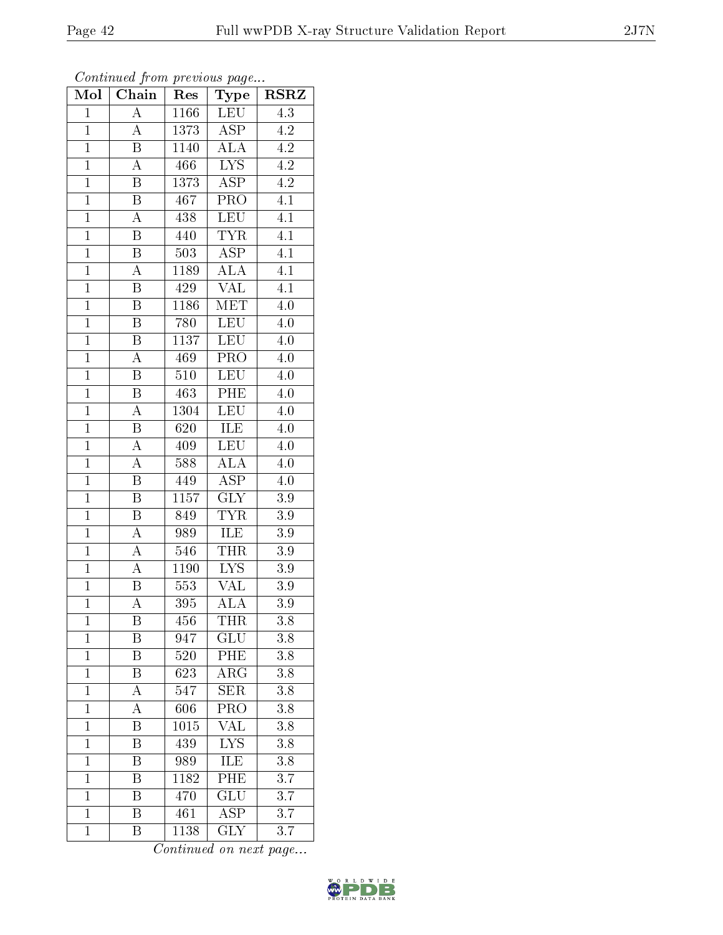|                | Communica from previous page |      |                                 |                  |
|----------------|------------------------------|------|---------------------------------|------------------|
| Mol            | Chain                        | Res  | Type                            | <b>RSRZ</b>      |
| $\mathbf{1}$   | А                            | 1166 | <b>LEU</b>                      | $\overline{4.3}$ |
| $\mathbf{1}$   | $\boldsymbol{A}$             | 1373 | ASP                             | 4.2              |
| $\mathbf{1}$   | $\overline{\mathrm{B}}$      | 1140 | <b>ALA</b>                      | 4.2              |
| $\mathbf{1}$   | $\boldsymbol{A}$             | 466  | <b>LYS</b>                      | 4.2              |
| $\overline{1}$ | $\overline{\mathrm{B}}$      | 1373 | $\overline{\text{ASP}}$         | $\overline{4.2}$ |
| $\mathbf{1}$   | Β                            | 467  | PRO                             | 4.1              |
| $\mathbf{1}$   | A                            | 438  | LEU                             | 4.1              |
| $\mathbf{1}$   | Β                            | 440  | <b>TYR</b>                      | 4.1              |
| $\overline{1}$ | $\boldsymbol{B}$             | 503  | <b>ASP</b>                      | 4.1              |
| $\mathbf{1}$   | A                            | 1189 | $\overline{\rm ALA}$            | $\overline{4.1}$ |
| $\mathbf{1}$   | B                            | 429  | <b>VAL</b>                      | 4.1              |
| $\mathbf{1}$   | $\overline{\mathrm{B}}$      | 1186 | $\overline{\text{MET}}$         | $4.0\,$          |
| $\mathbf{1}$   | B                            | 780  | <b>LEU</b>                      | $4.0\,$          |
| $\mathbf{1}$   | B                            | 1137 | <b>LEU</b>                      | $4.0\,$          |
| $\mathbf{1}$   | $\overline{A}$               | 469  | PRO                             | $4.0\,$          |
| $\mathbf{1}$   | B                            | 510  | <b>LEU</b>                      | 4.0              |
| $\mathbf{1}$   | $\overline{\mathrm{B}}$      | 463  | PHE                             | 4.0              |
| $\mathbf{1}$   | А                            | 1304 | <b>LEU</b>                      | 4.0              |
| $\mathbf{1}$   | Β                            | 620  | ILE                             | 4.0              |
| $\mathbf{1}$   | $\overline{\rm A}$           | 409  | <b>LEU</b>                      | 4.0              |
| $\mathbf{1}$   | A                            | 588  | $\rm AL\overline{A}$            | 4.0              |
| $\mathbf{1}$   | $\overline{\mathrm{B}}$      | 449  | $\overline{\text{ASP}}$         | 4.0              |
| $\mathbf{1}$   | Β                            | 1157 | <b>GLY</b>                      | 3.9              |
| $\mathbf{1}$   | $\overline{\mathrm{B}}$      | 849  | <b>TYR</b>                      | $\overline{3.9}$ |
| $\overline{1}$ | A                            | 989  | ILE                             | 3.9              |
| $\mathbf 1$    | A                            | 546  | <b>THR</b>                      | 3.9              |
| $\mathbf{1}$   | А                            | 1190 | $\overline{\text{L} \text{YS}}$ | 3.9              |
| $\mathbf{1}$   | Β                            | 553  | VAL                             | 3.9              |
| $\overline{1}$ | A                            | 395  | $\overline{\rm ALA}$            | $\overline{3.9}$ |
| 1              | Β                            | 456  | THR                             | 3.8              |
| $\mathbf 1$    | $\boldsymbol{B}$             | 947  | GLU                             | 3.8              |
| $\mathbf{1}$   | B                            | 520  | PHE                             | 3.8              |
| $\mathbf{1}$   | B                            | 623  | $\rm{ARG}$                      | 3.8              |
| $\mathbf{1}$   | A                            | 547  | $\overline{\text{SER}}$         | 3.8              |
| $\mathbf{1}$   | А                            | 606  | PRO                             | 3.8              |
| $\mathbf 1$    | Β                            | 1015 | $\overline{\text{VAL}}$         | 3.8              |
| $\mathbf{1}$   | $\overline{\mathrm{B}}$      | 439  | <b>LYS</b>                      | 3.8              |
| $\mathbf{1}$   | Β                            | 989  | ILE                             | 3.8              |
| $\overline{1}$ | B                            | 1182 | PHE                             | $\overline{3.7}$ |
| $\mathbf{1}$   | Β                            | 470  | GLU                             | 3.7              |
| $\mathbf{1}$   | B                            | 461  | $\overline{\text{ASP}}$         | 3.7              |
| $\mathbf{1}$   | Β                            | 1138 | GLY                             | 3.7              |

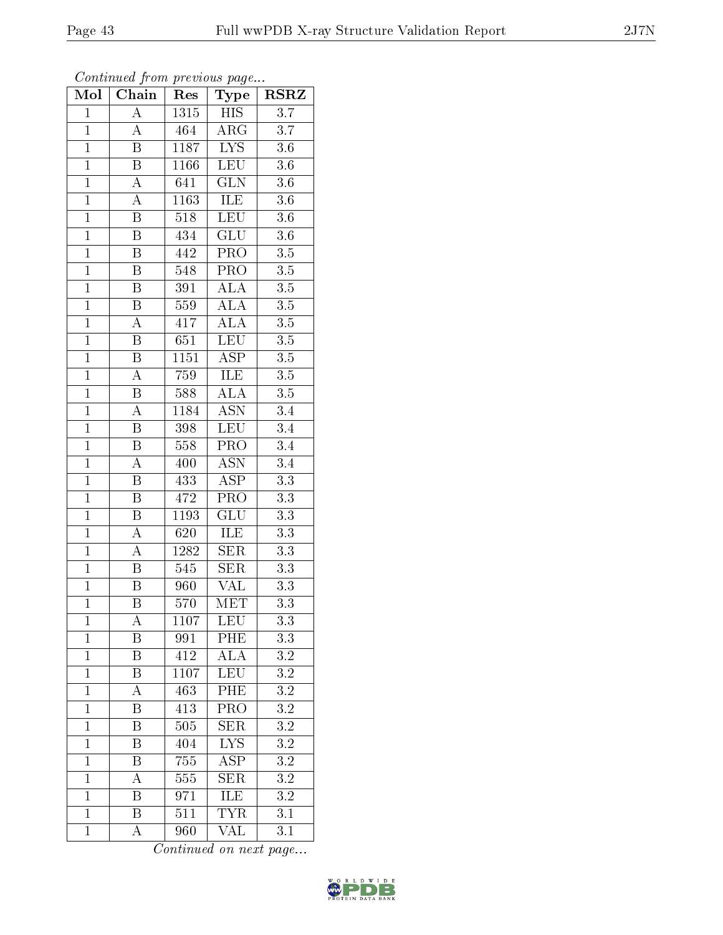| Mol            | Chain                   | Res              | Type                    | <b>RSRZ</b>      |
|----------------|-------------------------|------------------|-------------------------|------------------|
| $\mathbf{1}$   | A                       | 1315             | <b>HIS</b>              | 3.7              |
| $\mathbf{1}$   | A                       | 464              | $\rm{ARG}$              | 3.7              |
| $\mathbf{1}$   | $\overline{\mathrm{B}}$ | 1187             | <b>LYS</b>              | 3.6              |
| $\overline{1}$ | $\overline{\mathrm{B}}$ | 1166             | $\overline{\text{LEU}}$ | $3.6\,$          |
| $\overline{1}$ | $\overline{A}$          | 641              | $\overline{\text{GLN}}$ | $\overline{3.6}$ |
| $\mathbf{1}$   | $\rm A$                 | 1163             | ILE                     | $3.6\,$          |
| $\mathbf{1}$   | $\overline{\mathrm{B}}$ | $\overline{518}$ | LEU                     | $3.6\,$          |
| $\mathbf{1}$   | $\overline{\mathrm{B}}$ | 434              | GLU                     | 3.6              |
| $\overline{1}$ | $\overline{\mathrm{B}}$ | 442              | PRO                     | $3.5\,$          |
| $\overline{1}$ | $\overline{\mathrm{B}}$ | 548              | $\overline{\text{PRO}}$ | $\overline{3.5}$ |
| $\mathbf{1}$   | B                       | 391              | $\widehat{\text{ALA}}$  | $3.5\,$          |
| $\mathbf{1}$   | $\overline{\mathrm{B}}$ | 559              | $\overline{\rm ALA}$    | 3.5              |
| $\overline{1}$ | $\overline{\rm A}$      | 417              | ALA                     | 3.5              |
| $\overline{1}$ | $\, {\bf B}$            | 651              | $\overline{\text{LEU}}$ | $\overline{3.5}$ |
| $\overline{1}$ | $\overline{\mathrm{B}}$ | 1151             | $\overline{\text{ASP}}$ | $\overline{3.5}$ |
| $\mathbf{1}$   | $\overline{A}$          | 759              | ILE                     | $3.5\,$          |
| $\overline{1}$ | $\overline{\mathrm{B}}$ | 588              | $\overline{\rm ALA}$    | $\overline{3.5}$ |
| $\overline{1}$ | $\overline{\rm A}$      | 1184             | <b>ASN</b>              | 3.4              |
| $\overline{1}$ | B                       | 398              | LEU                     | $\overline{3.4}$ |
| $\overline{1}$ | $\overline{\mathrm{B}}$ | 558              | PRO                     | 3.4              |
| $\mathbf{1}$   | $\overline{\rm A}$      | 400              | <b>ASN</b>              | $\overline{3.4}$ |
| $\overline{1}$ | $\overline{\mathrm{B}}$ | 433              | $\overline{\text{ASP}}$ | $\overline{3.3}$ |
| $\overline{1}$ | $\overline{\mathrm{B}}$ | 472              | PRO                     | $3.3\,$          |
| $\overline{1}$ | $\overline{\mathrm{B}}$ | 1193             | $\overline{\text{GLU}}$ | $\overline{3.3}$ |
| $\mathbf{1}$   | $\overline{A}$          | 620              | ILE                     | 3.3              |
| $\mathbf{1}$   | $\boldsymbol{A}$        | 1282             | <b>SER</b>              | 3.3              |
| $\mathbf{1}$   | B                       | 545              | $\overline{\text{SER}}$ | 3.3              |
| $\overline{1}$ | $\overline{\mathrm{B}}$ | 960              | VAL                     | $3.3\,$          |
| $\overline{1}$ | $\overline{\mathrm{B}}$ | 570              | $\overline{\text{MET}}$ | $\overline{3.3}$ |
| $\mathbf{1}$   | А                       | 1107             | <b>LEU</b>              | 3.3              |
| $\mathbf{1}$   | B                       | 991              | PHE                     | 3.3              |
| $\mathbf{1}$   | $\overline{\mathrm{B}}$ | 412              | $\overline{ALA}$        | $3.2\,$          |
| $\mathbf{1}$   | $\boldsymbol{B}$        | 1107             | LEU                     | 3.2              |
| $\overline{1}$ | $\overline{\rm A}$      | 463              | PHE                     | $\overline{3.2}$ |
| $\mathbf{1}$   | Β                       | 413              | PRO                     | $3.2\,$          |
| $\mathbf{1}$   | $\overline{\mathrm{B}}$ | $\overline{505}$ | $\overline{\text{SER}}$ | $\overline{3.2}$ |
| $\mathbf{1}$   | B                       | 404              | <b>LYS</b>              | 3.2              |
| $\overline{1}$ | B                       | $\overline{755}$ | $\overline{\text{ASP}}$ | $\overline{3.2}$ |
| $\mathbf{1}$   | A                       | 555              | $\overline{\text{SER}}$ | 3.2              |
| $\mathbf{1}$   | Β                       | 971              | ILE                     | $3.2\,$          |
| $\mathbf{1}$   | $\overline{\mathrm{B}}$ | 511              | <b>TYR</b>              | $\overline{3.1}$ |
| $\mathbf{1}$   | A                       | 960              | VAL                     | 3.1              |

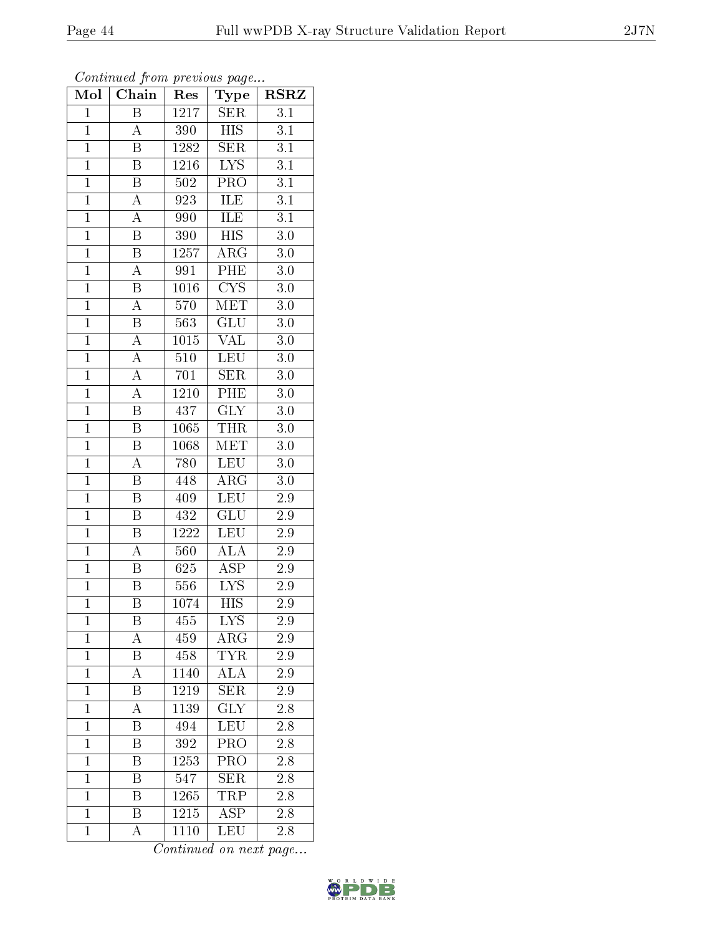| Mol            | Chain                   | Res                                                | Type                      | <b>RSRZ</b>      |
|----------------|-------------------------|----------------------------------------------------|---------------------------|------------------|
| $\overline{1}$ | $\overline{B}$          | $\overline{1}\overline{2}\overline{1}\overline{7}$ | <b>SER</b>                | $\overline{3.1}$ |
| $\mathbf{1}$   | $\overline{\rm A}$      | 390                                                | <b>HIS</b>                | 3.1              |
| $\overline{1}$ | $\overline{\mathrm{B}}$ | 1282                                               | SER                       | $\overline{3.1}$ |
| $\mathbf{1}$   | B                       | 1216                                               | <b>LYS</b>                | 3.1              |
| $\overline{1}$ | $\overline{\mathrm{B}}$ | 502                                                | $\overline{\text{PRO}}$   | $\overline{3.1}$ |
| $\overline{1}$ | $\overline{\rm A}$      | 923                                                | ILE                       | 3.1              |
| $\overline{1}$ | $\overline{\rm A}$      | 990                                                | ILE                       | $\overline{3.1}$ |
| $\overline{1}$ | $\overline{\mathrm{B}}$ | 390                                                | $\overline{HIS}$          | $3.0\,$          |
| $\overline{1}$ | $\overline{\mathrm{B}}$ | 1257                                               | $\rm{ARG}$                | $3.\overline{0}$ |
| $\overline{1}$ | $\overline{\rm A}$      | 991                                                | PHE                       | 3.0              |
| $\overline{1}$ | $\boldsymbol{B}$        | 1016                                               | $\overline{\text{CYS}}$   | 3.0              |
| $\overline{1}$ | $\overline{\rm A}$      | 570                                                | $\overline{\text{MET}}$   | $3.0\,$          |
| $\overline{1}$ | $\, {\bf B}$            | 563                                                | GLU                       | $3.0\,$          |
| $\mathbf{1}$   | $\overline{A}$          | 1015                                               | VAL                       | 3.0              |
| $\overline{1}$ | $\overline{A}$          | $\overline{510}$                                   | <b>LEU</b>                | $\overline{3.0}$ |
| $\overline{1}$ | $\overline{A}$          | 701                                                | <b>SER</b>                | $3.0\,$          |
| $\overline{1}$ | $\overline{A}$          | $\overline{12}10$                                  | PHE                       | $3.0\,$          |
| $\mathbf{1}$   | $\overline{\mathbf{B}}$ | 437                                                | <b>GLY</b>                | 3.0              |
| $\mathbf{1}$   | $\, {\bf B}$            | 1065                                               | <b>THR</b>                | $3.0\,$          |
| $\overline{1}$ | $\overline{\text{B}}$   | 1068                                               | <b>MET</b>                | 3.0              |
| $\overline{1}$ | $\overline{\rm A}$      | 780                                                | <b>LEU</b>                | 3.0              |
| $\overline{1}$ | $\overline{\mathrm{B}}$ | 448                                                | $\overline{\rm{ARG}}$     | $\overline{3.0}$ |
| $\mathbf{1}$   | B                       | 409                                                | <b>LEU</b>                | 2.9              |
| $\overline{1}$ | $\overline{\mathrm{B}}$ | 432                                                | $\overline{\text{GLU}}$   | 2.9              |
| $\mathbf{1}$   | $\overline{B}$          | 1222                                               | LEU                       | 2.9              |
| $\overline{1}$ | $\overline{\rm A}$      | 560                                                | $\overline{\text{ALA}}$   | 2.9              |
| $\overline{1}$ | $\overline{\mathrm{B}}$ | 625                                                | $\overline{\text{ASP}}$   | 2.9              |
| $\mathbf{1}$   | B                       | 556                                                | <b>LYS</b>                | 2.9              |
| $\overline{1}$ | Β                       | 1074                                               | $\overline{\mathrm{HIS}}$ | $2.\overline{9}$ |
| 1              | B                       | 455                                                | <b>LYS</b>                | 2.9              |
| $\overline{1}$ | A                       | 459                                                | ARG                       | 2.9              |
| $\overline{1}$ | B                       | 458                                                | TYR                       | $2.9\,$          |
| $\mathbf{1}$   | A                       | 1140                                               | <b>ALA</b>                | 2.9              |
| $\mathbf{1}$   | Β                       | 1219                                               | $\overline{\text{SER}}$   | $\overline{2}.9$ |
| $\mathbf{1}$   | A                       | 1139                                               | <b>GLY</b>                | 2.8              |
| $\mathbf{1}$   | Β                       | 494                                                | LEU                       | 2.8              |
| $\mathbf{1}$   | Β                       | 392                                                | PRO                       | 2.8              |
| $\mathbf{1}$   | B                       | 1253                                               | PRO                       | 2.8              |
| $\mathbf{1}$   | $\overline{\mathrm{B}}$ | 547                                                | <b>SER</b>                | $2.\overline{8}$ |
| $\mathbf{1}$   | B                       | 1265                                               | TRP                       | 2.8              |
| $\mathbf{1}$   | $\overline{\mathrm{B}}$ | 1215                                               | $\overline{\text{ASP}}$   | $\overline{2.8}$ |
| $\mathbf{1}$   | Ā                       | 1110                                               | LEU                       | 2.8              |

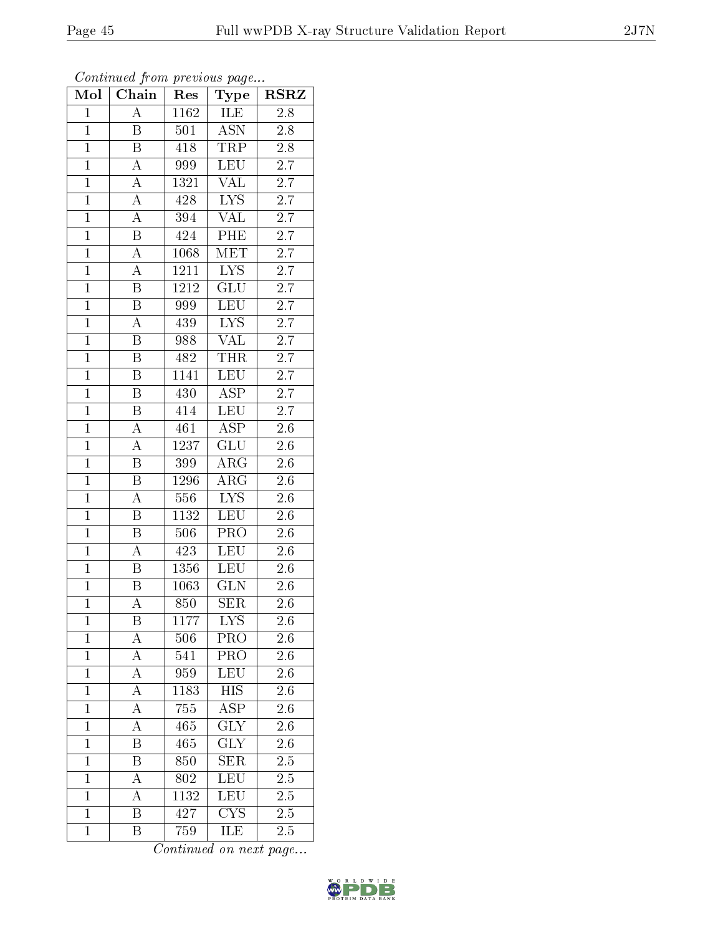| Mol            | $\overline{\text{Chain}}$ | Res               | Type                      | <b>RSRZ</b>      |
|----------------|---------------------------|-------------------|---------------------------|------------------|
| $\overline{1}$ | $\overline{A}$            | $\overline{1162}$ | ILE                       | 2.8              |
| $\overline{1}$ | Β                         | 501               | $\overline{\mathrm{ASN}}$ | 2.8              |
| $\overline{1}$ | $\overline{\mathrm{B}}$   | 418               | <b>TRP</b>                | $\overline{2.8}$ |
| $\mathbf{1}$   | $\overline{A}$            | 999               | LEU                       | $2.\overline{7}$ |
| $\overline{1}$ | $\overline{A}$            | 1321              | <b>VAL</b>                | $\overline{2.7}$ |
| $\overline{1}$ | $\overline{A}$            | 428               | <b>LYS</b>                | 2.7              |
| $\overline{1}$ | $\overline{\rm A}$        | 394               | <b>VAL</b>                | $\overline{2.7}$ |
| $\overline{1}$ | $\overline{\mathbf{B}}$   | 424               | PHE                       | 2.7              |
| $\overline{1}$ | A                         | 1068              | MET                       | 2.7              |
| $\overline{1}$ | $\overline{\rm A}$        | 1211              | $\overline{\text{LYS}}$   | $\overline{2.7}$ |
| $\overline{1}$ | B                         | 1212              | GLU                       | $\overline{2.7}$ |
| $\overline{1}$ | $\overline{\mathrm{B}}$   | 999               | $\overline{\text{LEU}}$   | $\overline{2.7}$ |
| $\overline{1}$ | A                         | 439               | <b>LYS</b>                | $\overline{2.7}$ |
| $\mathbf{1}$   | $\overline{\mathrm{B}}$   | 988               | <b>VAL</b>                | 2.7              |
| $\overline{1}$ | $\overline{\mathrm{B}}$   | $48\overline{2}$  | <b>THR</b>                | $\overline{2.7}$ |
| $\overline{1}$ | $\overline{\mathrm{B}}$   | 1141              | <b>LEU</b>                | $2.7\,$          |
| $\overline{1}$ | $\overline{\mathrm{B}}$   | 430               | <b>ASP</b>                | $\overline{2.7}$ |
| $\mathbf{1}$   | $\overline{\mathbf{B}}$   | 414               | <b>LEU</b>                | 2.7              |
| $\mathbf{1}$   | A                         | 461               | <b>ASP</b>                | 2.6              |
| $\overline{1}$ | $\overline{\rm A}$        | 1237              | $\overline{\mathrm{GLU}}$ | 2.6              |
| $\mathbf{1}$   | B                         | 399               | $\rm{ARG}$                | 2.6              |
| $\overline{1}$ | $\overline{\mathrm{B}}$   | 1296              | $\overline{\rm{ARG}}$     | $\overline{2.6}$ |
| $\mathbf{1}$   | $\boldsymbol{A}$          | 556               | <b>LYS</b>                | 2.6              |
| $\overline{1}$ | $\overline{\mathrm{B}}$   | 1132              | LEU                       | 2.6              |
| $\mathbf{1}$   | $\overline{B}$            | 506               | $\overline{\text{PRO}}$   | 2.6              |
| $\overline{1}$ | $\overline{\rm A}$        | 423               | <b>LEU</b>                | $\overline{2.6}$ |
| $\overline{1}$ | $\overline{\mathrm{B}}$   | $\overline{13}56$ | LEU                       | 2.6              |
| $\mathbf{1}$   | $\overline{\mathrm{B}}$   | 1063              | <b>GLN</b>                | $\overline{2.6}$ |
| $\overline{1}$ | $\overline{\rm A}$        | 850               | <b>SER</b>                | 2.6              |
| $\mathbf{1}$   | B                         | 1177              | <b>LYS</b>                | 2.6              |
| $\mathbf{1}$   | $\rm A$                   | 506               | PRO                       | 2.6              |
| $\mathbf{1}$   | А                         | 541               | PRO                       | $2.6\,$          |
| $\mathbf{1}$   | $\boldsymbol{A}$          | 959               | LEU                       | 2.6              |
| $\mathbf{1}$   | $\overline{A}$            | 1183              | $\overline{HIS}$          | $\overline{2}.6$ |
| $\mathbf{1}$   | A                         | 755               | ASP                       | 2.6              |
| $\mathbf{1}$   | A                         | 465               | $\overline{\text{GLY}}$   | 2.6              |
| $\mathbf{1}$   | $\overline{\mathrm{B}}$   | 465               | GLY                       | 2.6              |
| $\mathbf{1}$   | B                         | 850               | <b>SER</b>                | 2.5              |
| $\mathbf{1}$   | A                         | 802               | $\overline{\text{LEU}}$   | $\overline{2.5}$ |
| $\mathbf{1}$   | A                         | 1132              | LEU                       | 2.5              |
| $\overline{1}$ | $\overline{\mathrm{B}}$   | 427               | $\overline{\text{CYS}}$   | $\overline{2.5}$ |
| $\mathbf{1}$   | Β                         | 759               | ILE                       | 2.5              |

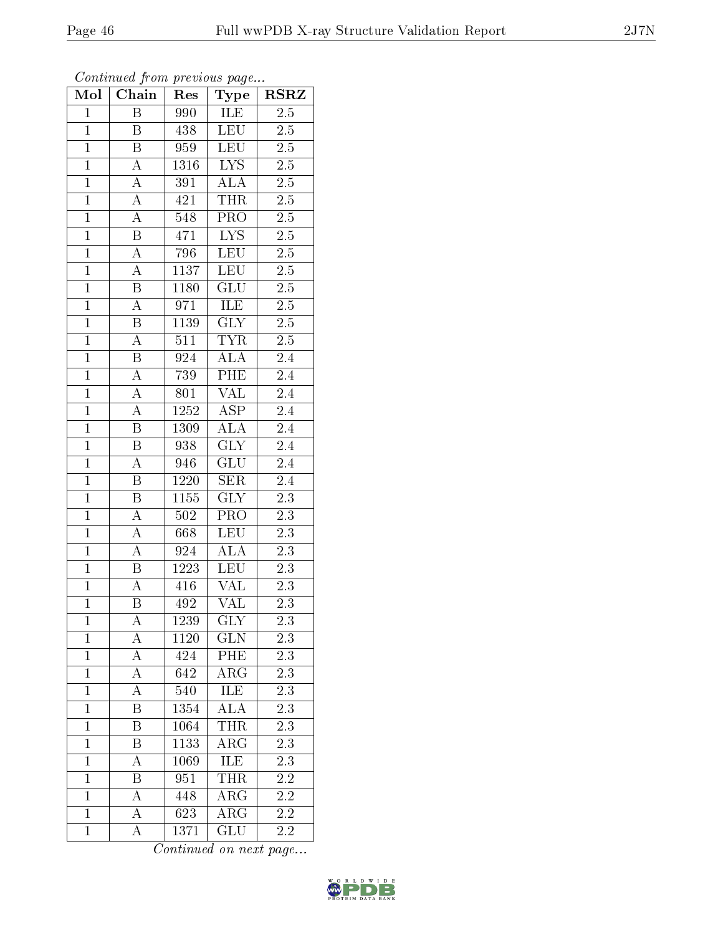| Mol            | Chain                   | Res              | <b>RSRZ</b><br>Type     |                  |
|----------------|-------------------------|------------------|-------------------------|------------------|
| $\mathbf{1}$   | $\overline{\mathrm{B}}$ | 990              | ILE                     | $\overline{2.5}$ |
| $\mathbf{1}$   | B                       | 438              | <b>LEU</b>              | $2.5\,$          |
| $\overline{1}$ | $\overline{\mathrm{B}}$ | 959              | LEU                     | $\overline{2.5}$ |
| $\mathbf{1}$   | $\boldsymbol{A}$        | 1316             | $\overline{\text{LYS}}$ | $2.\overline{5}$ |
| $\overline{1}$ | $\overline{A}$          | $\overline{391}$ | $\overline{ALA}$        | $\overline{2.5}$ |
| $\mathbf{1}$   | $\overline{A}$          | 421              | <b>THR</b>              | $2.5\,$          |
| $\mathbf{1}$   | $\overline{A}$          | 548              | PRO                     | $2.5\,$          |
| $\mathbf{1}$   | $\overline{\mathbf{B}}$ | 471              | $\overline{\text{LYS}}$ | $2.5\,$          |
| $\overline{1}$ | $\overline{A}$          | 796              | <b>LEU</b>              | $2.5\,$          |
| $\overline{1}$ | $\overline{A}$          | 1137             | <b>LEU</b>              | $2.\overline{5}$ |
| $\mathbf{1}$   | $\overline{\mathrm{B}}$ | 1180             | GLU                     | $2.\overline{5}$ |
| $\overline{1}$ | $\overline{A}$          | 971              | <b>ILE</b>              | $2.\overline{5}$ |
| $\overline{1}$ | $\overline{B}$          | 1139             | GLY                     | 2.5              |
| $\overline{1}$ | $\overline{\rm A}$      | 511              | <b>TYR</b>              | $\overline{2.5}$ |
| $\overline{1}$ | $\overline{\mathrm{B}}$ | $\overline{924}$ | <b>ALA</b>              | $\overline{2.4}$ |
| $\overline{1}$ | $\overline{A}$          | 739              | PHE                     | 2.4              |
| $\overline{1}$ | $\overline{A}$          | 801              | $\overline{\text{VAL}}$ | 2.4              |
| $\overline{1}$ | $\boldsymbol{A}$        | 1252             | $A\overline{SP}$        | 2.4              |
| $\overline{1}$ | $\boldsymbol{B}$        | 1309             | $\overline{\rm ALA}$    | 2.4              |
| $\mathbf{1}$   | $\overline{\mathbf{B}}$ | 938              | $\overline{\text{GLY}}$ | 2.4              |
| $\mathbf{1}$   | $\boldsymbol{A}$        | 946              | GLU                     | 2.4              |
| $\overline{1}$ | $\overline{\mathrm{B}}$ | 1220             | SER                     | 2.4              |
| $\mathbf{1}$   | $\boldsymbol{B}$        | 1155             | <b>GLY</b>              | 2.3              |
| $\overline{1}$ | A                       | $50\overline{2}$ | PRO                     | $\overline{2.3}$ |
| $\mathbf{1}$   | $\overline{A}$          | 668              | LEU                     | 2.3              |
| $\mathbf{1}$   | $\overline{A}$          | 924              | <b>ALA</b>              | $2.3\,$          |
| $\mathbf 1$    | $\overline{\mathrm{B}}$ | 1223             | LEU                     | 2.3              |
| $\overline{1}$ | $\overline{\rm A}$      | 416              | VAL                     | 2.3              |
| $\overline{1}$ | $\overline{\mathrm{B}}$ | $\overline{492}$ | $\overline{\text{VAL}}$ | $\overline{2.3}$ |
| $\mathbf{1}$   | А                       | 1239             | $\overline{\text{GLY}}$ | $\overline{2.3}$ |
| $\mathbf{1}$   | A                       | 1120             | <b>GLN</b>              | 2.3              |
| $\mathbf{1}$   | А                       | 424              | PHE                     | 2.3              |
| $\mathbf{1}$   | A                       | 642              | ARG                     | 2.3              |
| $\overline{1}$ | A                       | $\overline{540}$ | $\overline{\text{ILE}}$ | 2.3              |
| $\mathbf{1}$   | Β                       | 1354             | <b>ALA</b>              | 2.3              |
| $\mathbf{1}$   | $\overline{\mathrm{B}}$ | 1064             | <b>THR</b>              | $\overline{2.3}$ |
| $\mathbf{1}$   | Β                       | 1133             | $\rm{ARG}$              | $2.3\,$          |
| $\overline{1}$ | A                       | 1069             | ILE                     | 2.3              |
| $\mathbf{1}$   | $\overline{\mathrm{B}}$ | 951              | <b>THR</b>              | 2.2              |
| $\mathbf{1}$   | А                       | 448              | $\rm{ARG}$              | $2.2\,$          |
| $\mathbf{1}$   | A                       | 623              | $\rm{ARG}$              | 2.2              |
| $\mathbf 1$    | $\boldsymbol{A}$        | 1371             | GLU                     | 2.2              |

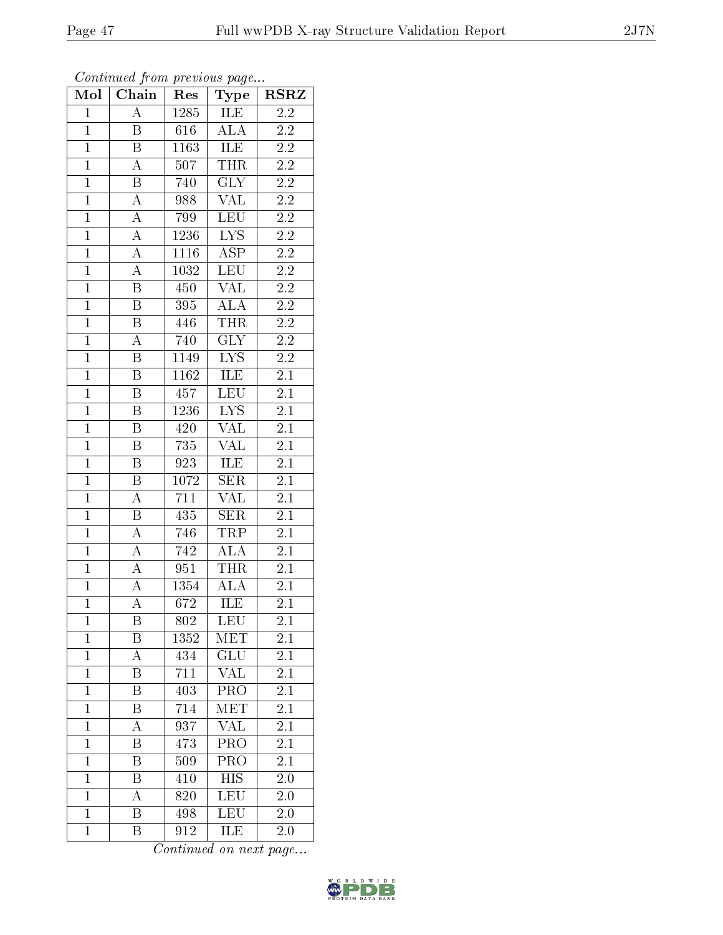|  |  | ∠υ |
|--|--|----|
|  |  |    |
|  |  |    |
|  |  |    |

| Mol            | Chain                   | Res               | <b>RSRZ</b><br>Type     |                  |
|----------------|-------------------------|-------------------|-------------------------|------------------|
| $\mathbf 1$    | $\overline{\rm A}$      | 1285              | ILE                     | 2.2              |
| $\mathbf 1$    | $\boldsymbol{B}$        | 616               | <b>ALA</b>              | $2.2\,$          |
| $\overline{1}$ | $\overline{\mathrm{B}}$ | 1163              | ILE                     | $\overline{2.2}$ |
| $\overline{1}$ | A                       | 507               | <b>THR</b>              | $\overline{2.2}$ |
| $\overline{1}$ | $\overline{B}$          | 740               | $\overline{\text{GLY}}$ | $\overline{2.2}$ |
| $\mathbf{1}$   | $\boldsymbol{A}$        | 988               | <b>VAL</b>              | $2.2\,$          |
| $\mathbf{1}$   | $\overline{A}$          | 799               | LEU                     | $2.2\,$          |
| $\overline{1}$ | $\overline{A}$          | $\overline{1}236$ | $\overline{\text{LYS}}$ | $2.2\,$          |
| $\overline{1}$ | $\overline{A}$          | 1116              | <b>ASP</b>              | $2\overline{.2}$ |
| $\overline{1}$ | $\overline{A}$          | 1032              | <b>LEU</b>              | $\overline{2.2}$ |
| $\mathbf{1}$   | $\, {\bf B}$            | 450               | <b>VAL</b>              | $2.\overline{2}$ |
| $\overline{1}$ | $\overline{\mathrm{B}}$ | 395               | ALA                     | $2.\overline{2}$ |
| $\overline{1}$ | $\overline{\mathbf{B}}$ | 446               | <b>THR</b>              | $2.2\,$          |
| $\overline{1}$ | $\overline{\rm A}$      | 740               | $\overline{\text{GLY}}$ | $2.\overline{2}$ |
| $\overline{1}$ | $\overline{\mathrm{B}}$ | 1149              | $\overline{\text{LYS}}$ | $\overline{2.2}$ |
| $\mathbf{1}$   | $\, {\bf B}$            | 1162              | ILE                     | 2.1              |
| $\overline{1}$ | $\overline{\mathrm{B}}$ | 457               | LEU                     | $\overline{2.1}$ |
| $\overline{1}$ | $\boldsymbol{B}$        | 1236              | ${\rm LYS}$             | $2\overline{.1}$ |
| $\overline{1}$ | $\overline{B}$          | 420               | $\overline{\text{VAL}}$ | $2\overline{.1}$ |
| $\overline{1}$ | $\overline{\mathbf{B}}$ | 735               | VAL                     | $\overline{2.1}$ |
| $\overline{1}$ | $\, {\bf B}$            | 923               | ILE                     | $\overline{2.1}$ |
| $\overline{1}$ | $\overline{\mathrm{B}}$ | 1072              | <b>SER</b>              | $\overline{2.1}$ |
| $\overline{1}$ | A                       | 711               | VAL                     | 2.1              |
| $\overline{1}$ | $\overline{\mathrm{B}}$ | 435               | $\overline{\text{SER}}$ | $2\overline{.1}$ |
| $\mathbf{1}$   | $\overline{A}$          | 746               | TRP                     | $2.1\,$          |
| $\mathbf{1}$   | A                       | 742               | <b>ALA</b>              | 2.1              |
| $\mathbf{1}$   | $\overline{A}$          | 951               | <b>THR</b>              | 2.1              |
| $\overline{1}$ | $\overline{\rm A}$      | 1354              | <b>ALA</b>              | $2.\overline{1}$ |
| $\overline{1}$ | $\overline{\rm A}$      | 672               | ILE                     | $\overline{2.1}$ |
| $\mathbf 1$    | Β                       | 802               | <b>LEU</b>              | $2.1\,$          |
| $\mathbf{1}$   | Β                       | 1352              | MET                     | 2.1              |
| $\mathbf{1}$   | А                       | 434               | GLU                     | 2.1              |
| $\mathbf{1}$   | Β                       | 711               | <b>VAL</b>              | $2.\overline{1}$ |
| $\overline{1}$ | $\overline{\mathrm{B}}$ | $4\overline{03}$  | $\overline{\text{PRO}}$ | $\overline{2.1}$ |
| $\mathbf{1}$   | Β                       | 714               | MET                     | 2.1              |
| $\mathbf{1}$   | A                       | 937               | VAL                     | 2.1              |
| $\mathbf{1}$   | Β                       | 473               | PRO                     | 2.1              |
| $\overline{1}$ | B                       | 509               | PRO                     | 2.1              |
| $\mathbf{1}$   | Β                       | 410               | <b>HIS</b>              | 2.0              |
| $\mathbf{1}$   | A                       | 820               | <b>LEU</b>              | 2.0              |
| $\mathbf{1}$   | $\overline{\text{B}}$   | 498               | <b>LEU</b>              | 2.0              |
| $\mathbf{1}$   | $\overline{\mathrm{B}}$ | 912               | ILE                     | 2.0              |